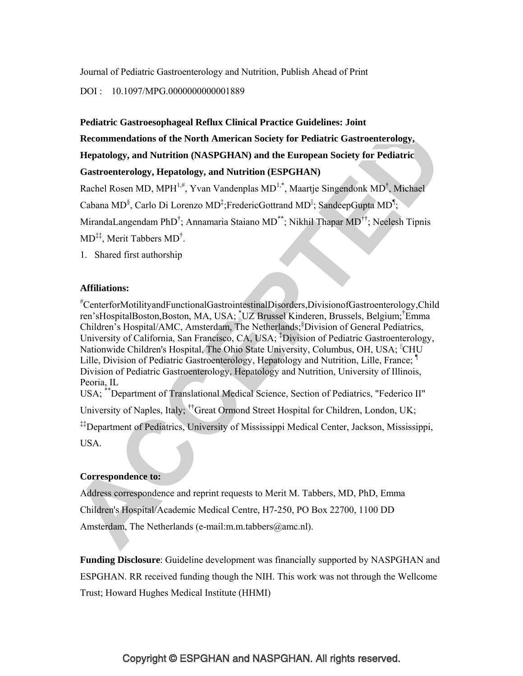Journal of Pediatric Gastroenterology and Nutrition, Publish Ahead of Print

## DOI : 10.1097/MPG.0000000000001889

#### **Pediatric Gastroesophageal Reflux Clinical Practice Guidelines: Joint**

**Recommendations of the North American Society for Pediatric Gastroenterology,** 

**Hepatology, and Nutrition (NASPGHAN) and the European Society for Pediatric** 

## **Gastroenterology, Hepatology, and Nutrition (ESPGHAN)**

Rachel Rosen MD, MPH<sup>1,#</sup>, Yvan Vandenplas MD<sup>1,\*</sup>, Maartje Singendonk MD<sup>†</sup>, Michael Cabana MD<sup>§</sup>, Carlo Di Lorenzo MD<sup>‡</sup>; Frederic Gottrand MD<sup>||</sup>; SandeepGupta MD<sup>1</sup>} MirandaLangendam PhD<sup>†</sup>; Annamaria Staiano MD<sup>\*\*</sup>; Nikhil Thapar MD<sup>††</sup>; Neelesh Tipnis  $MD^{\ddagger\ddagger}$ , Merit Tabbers  $MD^{\dagger}$ .

1. Shared first authorship

#### **Affiliations:**

# CenterforMotilityandFunctionalGastrointestinalDisorders,DivisionofGastroenterology,Child ren'sHospitalBoston,Boston, MA, USA; <sup>\*</sup>UZ Brussel Kinderen, Brussels, Belgium; <sup>†</sup>Emma Children's Hospital/AMC, Amsterdam, The Netherlands;§ Division of General Pediatrics, University of California, San Francisco, CA, USA; <sup>‡</sup>Division of Pediatric Gastroenterology, Nationwide Children's Hospital, The Ohio State University, Columbus, OH, USA; CHU Lille, Division of Pediatric Gastroenterology, Hepatology and Nutrition, Lille, France; Division of Pediatric Gastroenterology, Hepatology and Nutrition, University of Illinois, Peoria, IL USA; \*\*Department of Translational Medical Science, Section of Pediatrics, "Federico II"

University of Naples, Italy; ††Great Ormond Street Hospital for Children, London, UK;

‡‡Department of Pediatrics, University of Mississippi Medical Center, Jackson, Mississippi, USA.

#### **Correspondence to:**

Address correspondence and reprint requests to Merit M. Tabbers, MD, PhD, Emma Children's Hospital/Academic Medical Centre, H7-250, PO Box 22700, 1100 DD Amsterdam, The Netherlands (e-mail:m.m.tabbers@amc.nl).

**Funding Disclosure**: Guideline development was financially supported by NASPGHAN and ESPGHAN. RR received funding though the NIH. This work was not through the Wellcome Trust; Howard Hughes Medical Institute (HHMI)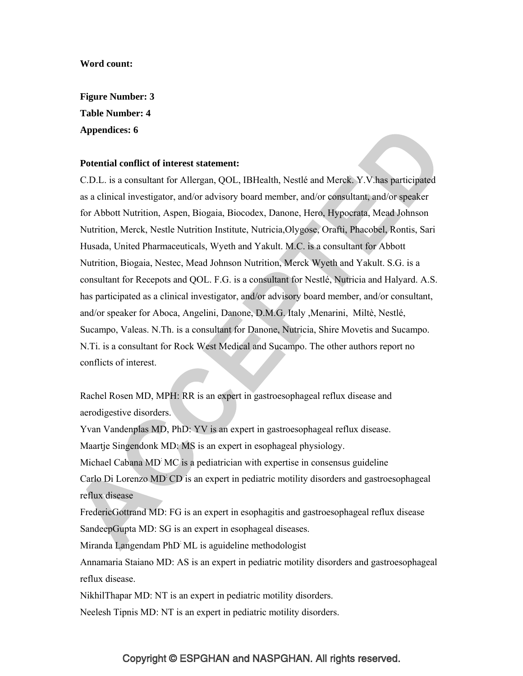#### **Word count:**

**Figure Number: 3 Table Number: 4 Appendices: 6** 

#### **Potential conflict of interest statement:**

C.D.L. is a consultant for Allergan, QOL, IBHealth, Nestlé and Merck. Y.V.has participated as a clinical investigator, and/or advisory board member, and/or consultant, and/or speaker for Abbott Nutrition, Aspen, Biogaia, Biocodex, Danone, Hero, Hypocrata, Mead Johnson Nutrition, Merck, Nestle Nutrition Institute, Nutricia,Olygose, Orafti, Phacobel, Rontis, Sari Husada, United Pharmaceuticals, Wyeth and Yakult. M.C. is a consultant for Abbott Nutrition, Biogaia, Nestec, Mead Johnson Nutrition, Merck Wyeth and Yakult. S.G. is a consultant for Recepots and QOL. F.G. is a consultant for Nestlé, Nutricia and Halyard. A.S. has participated as a clinical investigator, and/or advisory board member, and/or consultant, and/or speaker for Aboca, Angelini, Danone, D.M.G. Italy ,Menarini, Miltè, Nestlé, Sucampo, Valeas. N.Th. is a consultant for Danone, Nutricia, Shire Movetis and Sucampo. N.Ti. is a consultant for Rock West Medical and Sucampo. The other authors report no conflicts of interest.

Rachel Rosen MD, MPH: RR is an expert in gastroesophageal reflux disease and aerodigestive disorders.

Yvan Vandenplas MD, PhD: YV is an expert in gastroesophageal reflux disease. Maartje Singendonk MD: MS is an expert in esophageal physiology. Michael Cabana MD: MC is a pediatrician with expertise in consensus guideline Carlo Di Lorenzo MD: CD is an expert in pediatric motility disorders and gastroesophageal reflux disease

FredericGottrand MD: FG is an expert in esophagitis and gastroesophageal reflux disease SandeepGupta MD: SG is an expert in esophageal diseases.

Miranda Langendam PhD: ML is aguideline methodologist

Annamaria Staiano MD: AS is an expert in pediatric motility disorders and gastroesophageal reflux disease.

NikhilThapar MD: NT is an expert in pediatric motility disorders.

Neelesh Tipnis MD: NT is an expert in pediatric motility disorders.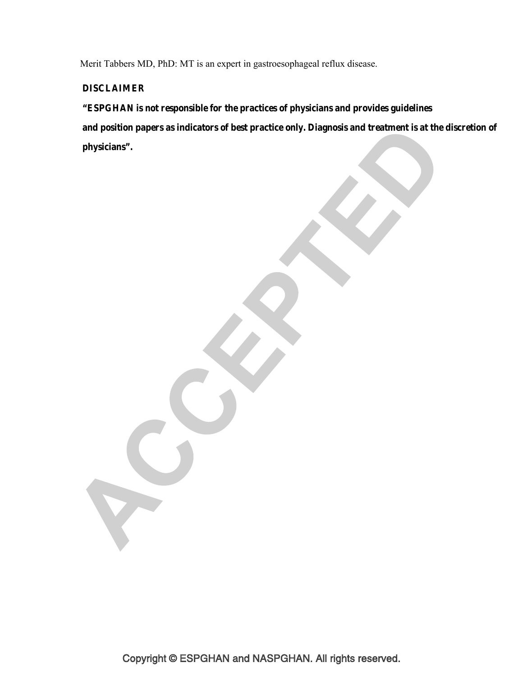Merit Tabbers MD, PhD: MT is an expert in gastroesophageal reflux disease.

# **DISCLAIMER**

S

**"ESPGHAN is not responsible for the practices of physicians and provides guidelines**

 **and position papers as indicators of best practice only. Diagnosis and treatment is at the discretion of physicians".**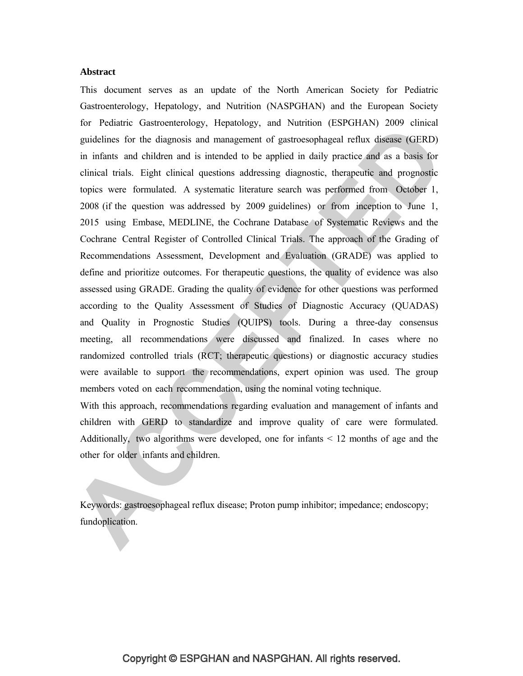#### **Abstract**

This document serves as an update of the North American Society for Pediatric Gastroenterology, Hepatology, and Nutrition (NASPGHAN) and the European Society for Pediatric Gastroenterology, Hepatology, and Nutrition (ESPGHAN) 2009 clinical guidelines for the diagnosis and management of gastroesophageal reflux disease (GERD) in infants and children and is intended to be applied in daily practice and as a basis for clinical trials. Eight clinical questions addressing diagnostic, therapeutic and prognostic topics were formulated. A systematic literature search was performed from October 1, 2008 (if the question was addressed by 2009 guidelines) or from inception to June 1, 2015 using Embase, MEDLINE, the Cochrane Database of Systematic Reviews and the Cochrane Central Register of Controlled Clinical Trials. The approach of the Grading of Recommendations Assessment, Development and Evaluation (GRADE) was applied to define and prioritize outcomes. For therapeutic questions, the quality of evidence was also assessed using GRADE. Grading the quality of evidence for other questions was performed according to the Quality Assessment of Studies of Diagnostic Accuracy (QUADAS) and Quality in Prognostic Studies (QUIPS) tools. During a three-day consensus meeting, all recommendations were discussed and finalized. In cases where no randomized controlled trials (RCT; therapeutic questions) or diagnostic accuracy studies were available to support the recommendations, expert opinion was used. The group members voted on each recommendation, using the nominal voting technique.

With this approach, recommendations regarding evaluation and management of infants and children with GERD to standardize and improve quality of care were formulated. Additionally, two algorithms were developed, one for infants < 12 months of age and the other for older infants and children.

Keywords: gastroesophageal reflux disease; Proton pump inhibitor; impedance; endoscopy; fundoplication.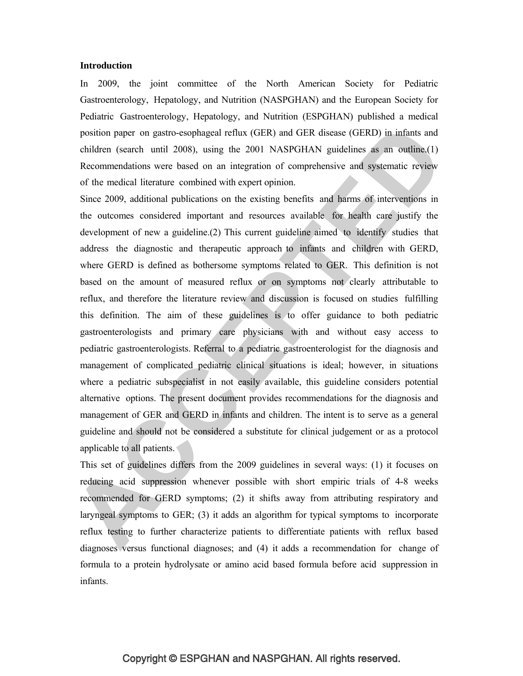#### **Introduction**

In 2009, the joint committee of the North American Society for Pediatric Gastroenterology, Hepatology, and Nutrition (NASPGHAN) and the European Society for Pediatric Gastroenterology, Hepatology, and Nutrition (ESPGHAN) published a medical position paper on gastro-esophageal reflux (GER) and GER disease (GERD) in infants and children (search until 2008), using the 2001 NASPGHAN guidelines as an outline.(1) Recommendations were based on an integration of comprehensive and systematic review of the medical literature combined with expert opinion.

Since 2009, additional publications on the existing benefits and harms of interventions in the outcomes considered important and resources available for health care justify the development of new a guideline.(2) This current guideline aimed to identify studies that address the diagnostic and therapeutic approach to infants and children with GERD, where GERD is defined as bothersome symptoms related to GER. This definition is not based on the amount of measured reflux or on symptoms not clearly attributable to reflux, and therefore the literature review and discussion is focused on studies fulfilling this definition. The aim of these guidelines is to offer guidance to both pediatric gastroenterologists and primary care physicians with and without easy access to pediatric gastroenterologists. Referral to a pediatric gastroenterologist for the diagnosis and management of complicated pediatric clinical situations is ideal; however, in situations where a pediatric subspecialist in not easily available, this guideline considers potential alternative options. The present document provides recommendations for the diagnosis and management of GER and GERD in infants and children. The intent is to serve as a general guideline and should not be considered a substitute for clinical judgement or as a protocol applicable to all patients.

This set of guidelines differs from the 2009 guidelines in several ways: (1) it focuses on reducing acid suppression whenever possible with short empiric trials of 4-8 weeks recommended for GERD symptoms; (2) it shifts away from attributing respiratory and laryngeal symptoms to GER; (3) it adds an algorithm for typical symptoms to incorporate reflux testing to further characterize patients to differentiate patients with reflux based diagnoses versus functional diagnoses; and (4) it adds a recommendation for change of formula to a protein hydrolysate or amino acid based formula before acid suppression in infants.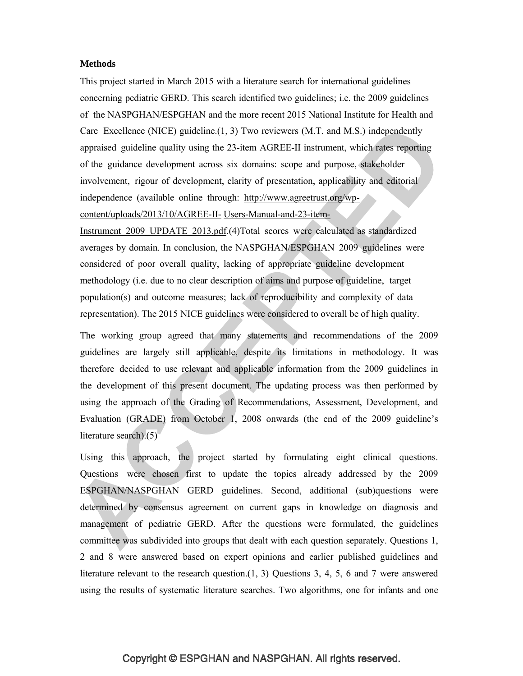#### **Methods**

This project started in March 2015 with a literature search for international guidelines concerning pediatric GERD. This search identified two guidelines; i.e. the 2009 guidelines of the NASPGHAN/ESPGHAN and the more recent 2015 National Institute for Health and Care Excellence (NICE) guideline.(1, 3) Two reviewers (M.T. and M.S.) independently appraised guideline quality using the 23-item AGREE-II instrument, which rates reporting of the guidance development across six domains: scope and purpose, stakeholder involvement, rigour of development, clarity of presentation, applicability and editorial independence (available online through: http://www.agreetrust.org/wpcontent/uploads/2013/10/AGREE-II- Users-Manual-and-23-item-

Instrument\_2009\_UPDATE\_2013.pdf.(4)Total scores were calculated as standardized averages by domain. In conclusion, the NASPGHAN/ESPGHAN 2009 guidelines were considered of poor overall quality, lacking of appropriate guideline development methodology (i.e. due to no clear description of aims and purpose of guideline, target population(s) and outcome measures; lack of reproducibility and complexity of data representation). The 2015 NICE guidelines were considered to overall be of high quality.

The working group agreed that many statements and recommendations of the 2009 guidelines are largely still applicable, despite its limitations in methodology. It was therefore decided to use relevant and applicable information from the 2009 guidelines in the development of this present document. The updating process was then performed by using the approach of the Grading of Recommendations, Assessment, Development, and Evaluation (GRADE) from October 1, 2008 onwards (the end of the 2009 guideline's literature search).(5)

Using this approach, the project started by formulating eight clinical questions. Questions were chosen first to update the topics already addressed by the 2009 ESPGHAN/NASPGHAN GERD guidelines. Second, additional (sub)questions were determined by consensus agreement on current gaps in knowledge on diagnosis and management of pediatric GERD. After the questions were formulated, the guidelines committee was subdivided into groups that dealt with each question separately. Questions 1, 2 and 8 were answered based on expert opinions and earlier published guidelines and literature relevant to the research question. $(1, 3)$  Questions 3, 4, 5, 6 and 7 were answered using the results of systematic literature searches. Two algorithms, one for infants and one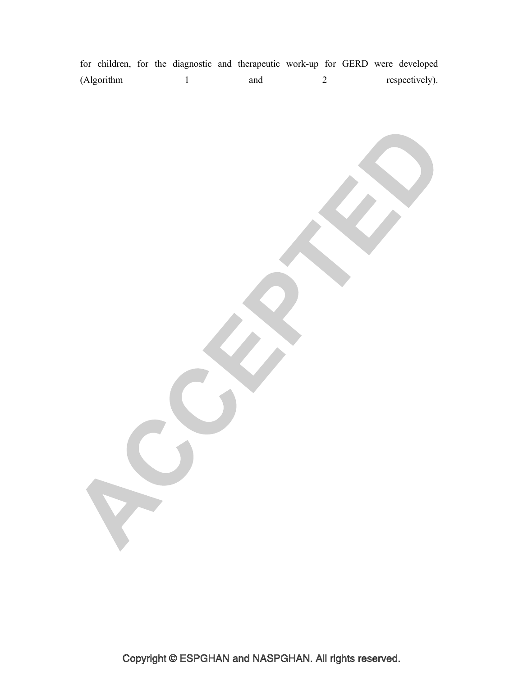for children, for the diagnostic and therapeutic work-up for GERD were developed (Algorithm 1 and 2 respectively).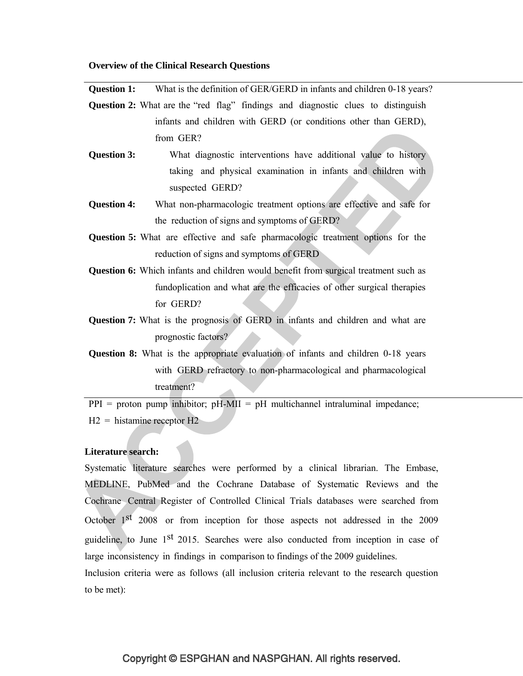#### **Overview of the Clinical Research Questions**

**Question 1:** What is the definition of GER/GERD in infants and children 0-18 years?

**Question 2:** What are the "red flag" findings and diagnostic clues to distinguish infants and children with GERD (or conditions other than GERD), from GER?

- **Question 3:** What diagnostic interventions have additional value to history taking and physical examination in infants and children with suspected GERD?
- **Question 4:** What non-pharmacologic treatment options are effective and safe for the reduction of signs and symptoms of GERD?
- **Question 5:** What are effective and safe pharmacologic treatment options for the reduction of signs and symptoms of GERD
- **Question 6:** Which infants and children would benefit from surgical treatment such as fundoplication and what are the efficacies of other surgical therapies for GERD?
- **Question 7:** What is the prognosis of GERD in infants and children and what are prognostic factors?
- **Question 8:** What is the appropriate evaluation of infants and children 0-18 years with GERD refractory to non-pharmacological and pharmacological treatment?

 $PPI =$  proton pump inhibitor;  $pH-MII = pH$  multichannel intraluminal impedance;  $H2 =$  histamine receptor  $H2$ 

# **Literature search:**

Systematic literature searches were performed by a clinical librarian. The Embase, MEDLINE, PubMed and the Cochrane Database of Systematic Reviews and the Cochrane Central Register of Controlled Clinical Trials databases were searched from October 1st 2008 or from inception for those aspects not addressed in the 2009 guideline, to June 1st 2015. Searches were also conducted from inception in case of large inconsistency in findings in comparison to findings of the 2009 guidelines. Inclusion criteria were as follows (all inclusion criteria relevant to the research question

to be met):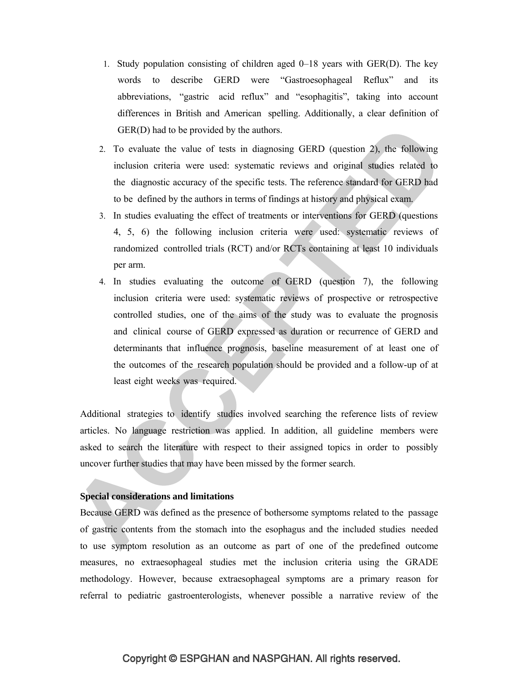- 1. Study population consisting of children aged 0–18 years with GER(D). The key words to describe GERD were "Gastroesophageal Reflux" and its abbreviations, "gastric acid reflux" and "esophagitis", taking into account differences in British and American spelling. Additionally, a clear definition of GER(D) had to be provided by the authors.
- 2. To evaluate the value of tests in diagnosing GERD (question 2), the following inclusion criteria were used: systematic reviews and original studies related to the diagnostic accuracy of the specific tests. The reference standard for GERD had to be defined by the authors in terms of findings at history and physical exam.
- 3. In studies evaluating the effect of treatments or interventions for GERD (questions 4, 5, 6) the following inclusion criteria were used: systematic reviews of randomized controlled trials (RCT) and/or RCTs containing at least 10 individuals per arm.
- 4. In studies evaluating the outcome of GERD (question 7), the following inclusion criteria were used: systematic reviews of prospective or retrospective controlled studies, one of the aims of the study was to evaluate the prognosis and clinical course of GERD expressed as duration or recurrence of GERD and determinants that influence prognosis, baseline measurement of at least one of the outcomes of the research population should be provided and a follow-up of at least eight weeks was required.

Additional strategies to identify studies involved searching the reference lists of review articles. No language restriction was applied. In addition, all guideline members were asked to search the literature with respect to their assigned topics in order to possibly uncover further studies that may have been missed by the former search.

#### **Special considerations and limitations**

Because GERD was defined as the presence of bothersome symptoms related to the passage of gastric contents from the stomach into the esophagus and the included studies needed to use symptom resolution as an outcome as part of one of the predefined outcome measures, no extraesophageal studies met the inclusion criteria using the GRADE methodology. However, because extraesophageal symptoms are a primary reason for referral to pediatric gastroenterologists, whenever possible a narrative review of the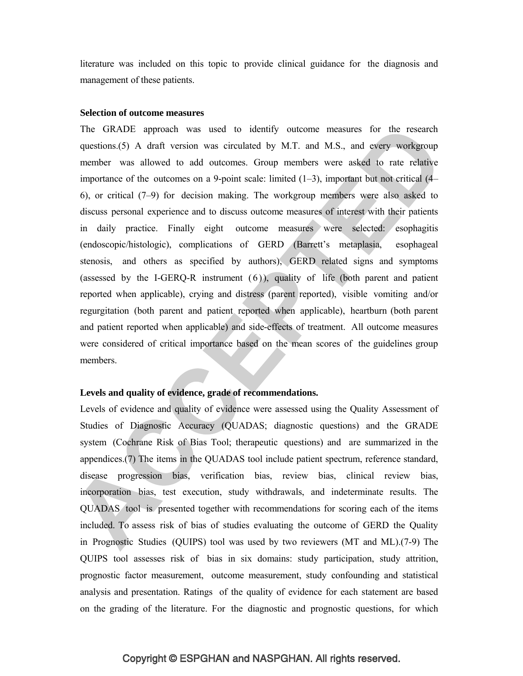literature was included on this topic to provide clinical guidance for the diagnosis and management of these patients.

## **Selection of outcome measures**

The GRADE approach was used to identify outcome measures for the research questions.(5) A draft version was circulated by M.T. and M.S., and every workgroup member was allowed to add outcomes. Group members were asked to rate relative importance of the outcomes on a 9-point scale: limited  $(1-3)$ , important but not critical  $(4-$ 6), or critical (7–9) for decision making. The workgroup members were also asked to discuss personal experience and to discuss outcome measures of interest with their patients in daily practice. Finally eight outcome measures were selected: esophagitis (endoscopic/histologic), complications of GERD (Barrett's metaplasia, esophageal stenosis, and others as specified by authors), GERD related signs and symptoms (assessed by the I-GERQ-R instrument  $(6)$ ), quality of life (both parent and patient reported when applicable), crying and distress (parent reported), visible vomiting and/or regurgitation (both parent and patient reported when applicable), heartburn (both parent and patient reported when applicable) and side-effects of treatment. All outcome measures were considered of critical importance based on the mean scores of the guidelines group members.

## **Levels and quality of evidence, grade of recommendations.**

Levels of evidence and quality of evidence were assessed using the Quality Assessment of Studies of Diagnostic Accuracy (QUADAS; diagnostic questions) and the GRADE system (Cochrane Risk of Bias Tool; therapeutic questions) and are summarized in the appendices.(7) The items in the QUADAS tool include patient spectrum, reference standard, disease progression bias, verification bias, review bias, clinical review bias, incorporation bias, test execution, study withdrawals, and indeterminate results. The QUADAS tool is presented together with recommendations for scoring each of the items included. To assess risk of bias of studies evaluating the outcome of GERD the Quality in Prognostic Studies (QUIPS) tool was used by two reviewers (MT and ML).(7-9) The QUIPS tool assesses risk of bias in six domains: study participation, study attrition, prognostic factor measurement, outcome measurement, study confounding and statistical analysis and presentation. Ratings of the quality of evidence for each statement are based on the grading of the literature. For the diagnostic and prognostic questions, for which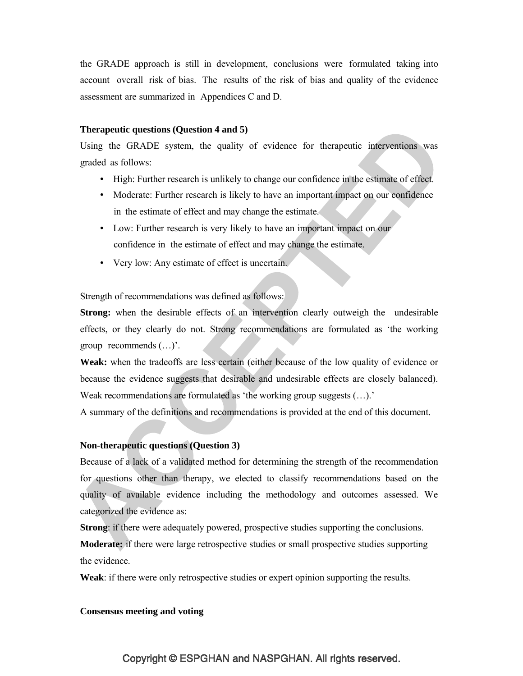the GRADE approach is still in development, conclusions were formulated taking into account overall risk of bias. The results of the risk of bias and quality of the evidence assessment are summarized in Appendices C and D.

#### **Therapeutic questions (Question 4 and 5)**

Using the GRADE system, the quality of evidence for therapeutic interventions was graded as follows:

- High: Further research is unlikely to change our confidence in the estimate of effect.
- Moderate: Further research is likely to have an important impact on our confidence in the estimate of effect and may change the estimate.
- Low: Further research is very likely to have an important impact on our confidence in the estimate of effect and may change the estimate.
- Very low: Any estimate of effect is uncertain.

Strength of recommendations was defined as follows:

**Strong:** when the desirable effects of an intervention clearly outweigh the undesirable effects, or they clearly do not. Strong recommendations are formulated as 'the working group recommends (…)'.

**Weak:** when the tradeoffs are less certain (either because of the low quality of evidence or because the evidence suggests that desirable and undesirable effects are closely balanced). Weak recommendations are formulated as 'the working group suggests  $(\ldots)$ .'

A summary of the definitions and recommendations is provided at the end of this document.

## **Non-therapeutic questions (Question 3)**

Because of a lack of a validated method for determining the strength of the recommendation for questions other than therapy, we elected to classify recommendations based on the quality of available evidence including the methodology and outcomes assessed. We categorized the evidence as:

**Strong**: if there were adequately powered, prospective studies supporting the conclusions.

**Moderate:** if there were large retrospective studies or small prospective studies supporting the evidence.

**Weak**: if there were only retrospective studies or expert opinion supporting the results.

#### **Consensus meeting and voting**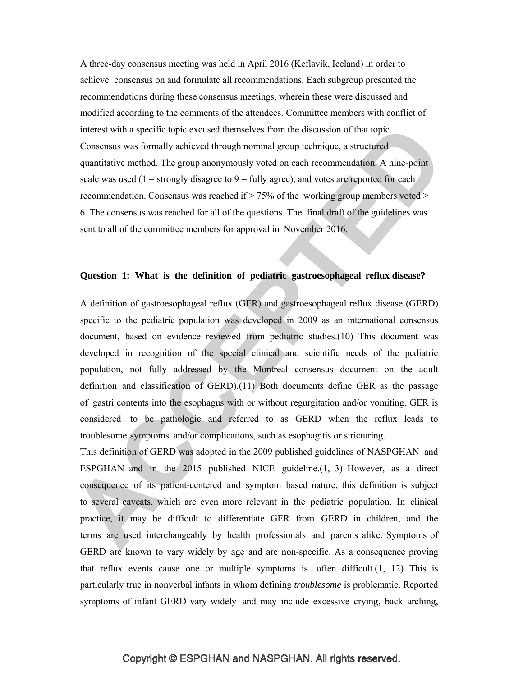A three-day consensus meeting was held in April 2016 (Keflavik, Iceland) in order to achieve consensus on and formulate all recommendations. Each subgroup presented the recommendations during these consensus meetings, wherein these were discussed and modified according to the comments of the attendees. Committee members with conflict of interest with a specific topic excused themselves from the discussion of that topic. Consensus was formally achieved through nominal group technique, a structured quantitative method. The group anonymously voted on each recommendation. A nine-point scale was used ( $1 =$  strongly disagree to  $9 =$  fully agree), and votes are reported for each recommendation. Consensus was reached if  $> 75\%$  of the working group members voted  $>$ 6. The consensus was reached for all of the questions. The final draft of the guidelines was sent to all of the committee members for approval in November 2016.

#### **Question 1: What is the definition of pediatric gastroesophageal reflux disease?**

A definition of gastroesophageal reflux (GER) and gastroesophageal reflux disease (GERD) specific to the pediatric population was developed in 2009 as an international consensus document, based on evidence reviewed from pediatric studies.(10) This document was developed in recognition of the special clinical and scientific needs of the pediatric population, not fully addressed by the Montreal consensus document on the adult definition and classification of GERD).(11) Both documents define GER as the passage of gastri contents into the esophagus with or without regurgitation and/or vomiting. GER is considered to be pathologic and referred to as GERD when the reflux leads to troublesome symptoms and/or complications, such as esophagitis or stricturing.

This definition of GERD was adopted in the 2009 published guidelines of NASPGHAN and ESPGHAN and in the 2015 published NICE guideline.(1, 3) However, as a direct consequence of its patient-centered and symptom based nature, this definition is subject to several caveats, which are even more relevant in the pediatric population. In clinical practice, it may be difficult to differentiate GER from GERD in children, and the terms are used interchangeably by health professionals and parents alike. Symptoms of GERD are known to vary widely by age and are non-specific. As a consequence proving that reflux events cause one or multiple symptoms is often difficult. $(1, 12)$  This is particularly true in nonverbal infants in whom defining *troublesome* is problematic. Reported symptoms of infant GERD vary widely and may include excessive crying, back arching,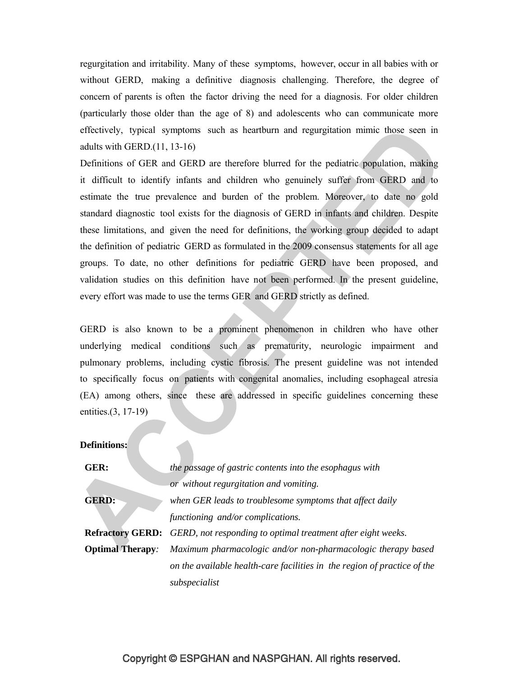regurgitation and irritability. Many of these symptoms, however, occur in all babies with or without GERD, making a definitive diagnosis challenging. Therefore, the degree of concern of parents is often the factor driving the need for a diagnosis. For older children (particularly those older than the age of 8) and adolescents who can communicate more effectively, typical symptoms such as heartburn and regurgitation mimic those seen in adults with GERD.(11, 13-16)

Definitions of GER and GERD are therefore blurred for the pediatric population, making it difficult to identify infants and children who genuinely suffer from GERD and to estimate the true prevalence and burden of the problem. Moreover, to date no gold standard diagnostic tool exists for the diagnosis of GERD in infants and children. Despite these limitations, and given the need for definitions, the working group decided to adapt the definition of pediatric GERD as formulated in the 2009 consensus statements for all age groups. To date, no other definitions for pediatric GERD have been proposed, and validation studies on this definition have not been performed. In the present guideline, every effort was made to use the terms GER and GERD strictly as defined.

GERD is also known to be a prominent phenomenon in children who have other underlying medical conditions such as prematurity, neurologic impairment and pulmonary problems, including cystic fibrosis. The present guideline was not intended to specifically focus on patients with congenital anomalies, including esophageal atresia (EA) among others, since these are addressed in specific guidelines concerning these entities.(3, 17-19)

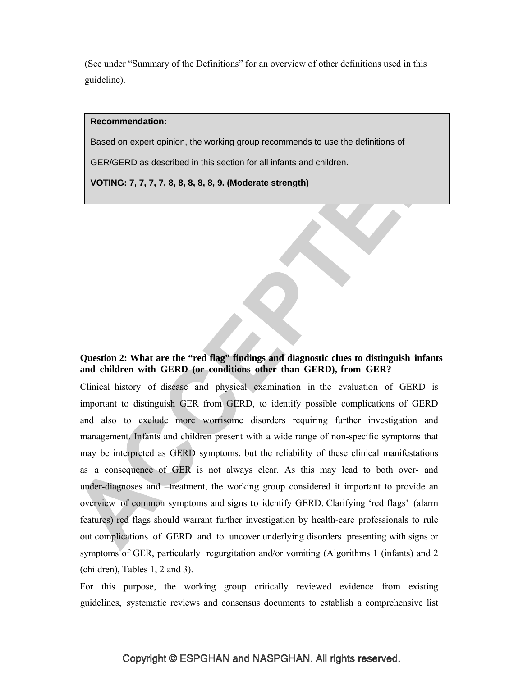(See under "Summary of the Definitions" for an overview of other definitions used in this guideline).

#### **Recommendation:**

Based on expert opinion, the working group recommends to use the definitions of

GER/GERD as described in this section for all infants and children.

**VOTING: 7, 7, 7, 7, 8, 8, 8, 8, 8, 9. (Moderate strength)**

# **Question 2: What are the "red flag" findings and diagnostic clues to distinguish infants and children with GERD (or conditions other than GERD), from GER?**

Clinical history of disease and physical examination in the evaluation of GERD is important to distinguish GER from GERD, to identify possible complications of GERD and also to exclude more worrisome disorders requiring further investigation and management. Infants and children present with a wide range of non-specific symptoms that may be interpreted as GERD symptoms, but the reliability of these clinical manifestations as a consequence of GER is not always clear. As this may lead to both over- and under-diagnoses and –treatment, the working group considered it important to provide an overview of common symptoms and signs to identify GERD. Clarifying 'red flags' (alarm features) red flags should warrant further investigation by health-care professionals to rule out complications of GERD and to uncover underlying disorders presenting with signs or symptoms of GER, particularly regurgitation and/or vomiting (Algorithms 1 (infants) and 2 (children), Tables 1, 2 and 3).

For this purpose, the working group critically reviewed evidence from existing guidelines, systematic reviews and consensus documents to establish a comprehensive list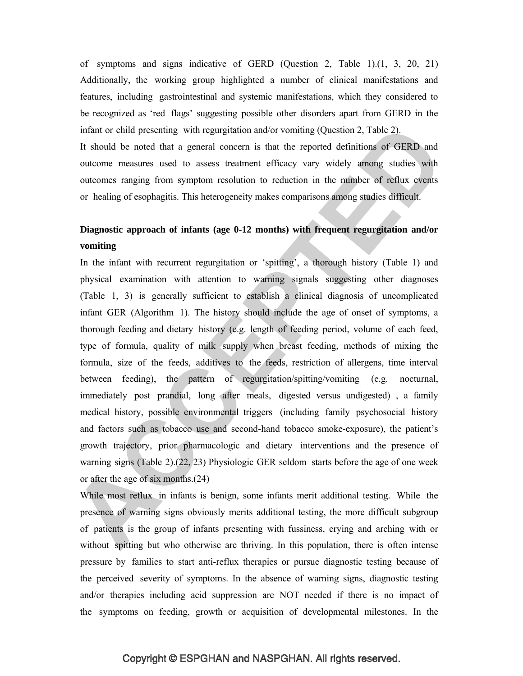of symptoms and signs indicative of GERD (Question 2, Table 1).(1, 3, 20, 21) Additionally, the working group highlighted a number of clinical manifestations and features, including gastrointestinal and systemic manifestations, which they considered to be recognized as 'red flags' suggesting possible other disorders apart from GERD in the infant or child presenting with regurgitation and/or vomiting (Question 2, Table 2).

It should be noted that a general concern is that the reported definitions of GERD and outcome measures used to assess treatment efficacy vary widely among studies with outcomes ranging from symptom resolution to reduction in the number of reflux events or healing of esophagitis. This heterogeneity makes comparisons among studies difficult.

# **Diagnostic approach of infants (age 0-12 months) with frequent regurgitation and/or vomiting**

In the infant with recurrent regurgitation or 'spitting', a thorough history (Table 1) and physical examination with attention to warning signals suggesting other diagnoses (Table 1, 3) is generally sufficient to establish a clinical diagnosis of uncomplicated infant GER (Algorithm 1). The history should include the age of onset of symptoms, a thorough feeding and dietary history (e.g. length of feeding period, volume of each feed, type of formula, quality of milk supply when breast feeding, methods of mixing the formula, size of the feeds, additives to the feeds, restriction of allergens, time interval between feeding), the pattern of regurgitation/spitting/vomiting (e.g. nocturnal, immediately post prandial, long after meals, digested versus undigested) , a family medical history, possible environmental triggers (including family psychosocial history and factors such as tobacco use and second-hand tobacco smoke-exposure), the patient's growth trajectory, prior pharmacologic and dietary interventions and the presence of warning signs (Table 2).(22, 23) Physiologic GER seldom starts before the age of one week or after the age of six months.(24)

While most reflux in infants is benign, some infants merit additional testing. While the presence of warning signs obviously merits additional testing, the more difficult subgroup of patients is the group of infants presenting with fussiness, crying and arching with or without spitting but who otherwise are thriving. In this population, there is often intense pressure by families to start anti-reflux therapies or pursue diagnostic testing because of the perceived severity of symptoms. In the absence of warning signs, diagnostic testing and/or therapies including acid suppression are NOT needed if there is no impact of the symptoms on feeding, growth or acquisition of developmental milestones. In the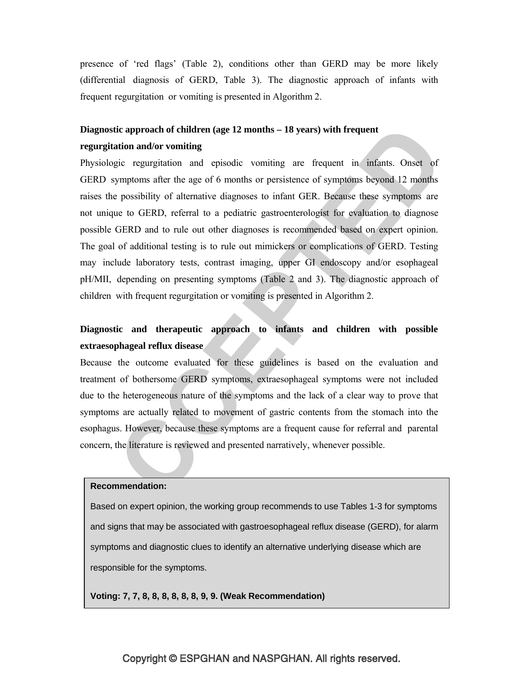presence of 'red flags' (Table 2), conditions other than GERD may be more likely (differential diagnosis of GERD, Table 3). The diagnostic approach of infants with frequent regurgitation or vomiting is presented in Algorithm 2.

# **Diagnostic approach of children (age 12 months – 18 years) with frequent regurgitation and/or vomiting**

Physiologic regurgitation and episodic vomiting are frequent in infants. Onset of GERD symptoms after the age of 6 months or persistence of symptoms beyond 12 months raises the possibility of alternative diagnoses to infant GER. Because these symptoms are not unique to GERD, referral to a pediatric gastroenterologist for evaluation to diagnose possible GERD and to rule out other diagnoses is recommended based on expert opinion. The goal of additional testing is to rule out mimickers or complications of GERD. Testing may include laboratory tests, contrast imaging, upper GI endoscopy and/or esophageal pH/MII, depending on presenting symptoms (Table 2 and 3). The diagnostic approach of children with frequent regurgitation or vomiting is presented in Algorithm 2.

# **Diagnostic and therapeutic approach to infants and children with possible extraesophageal reflux disease**

Because the outcome evaluated for these guidelines is based on the evaluation and treatment of bothersome GERD symptoms, extraesophageal symptoms were not included due to the heterogeneous nature of the symptoms and the lack of a clear way to prove that symptoms are actually related to movement of gastric contents from the stomach into the esophagus. However, because these symptoms are a frequent cause for referral and parental concern, the literature is reviewed and presented narratively, whenever possible.

#### **Recommendation:**

Based on expert opinion, the working group recommends to use Tables 1-3 for symptoms and signs that may be associated with gastroesophageal reflux disease (GERD), for alarm symptoms and diagnostic clues to identify an alternative underlying disease which are responsible for the symptoms.

**Voting: 7, 7, 8, 8, 8, 8, 8, 8, 9, 9. (Weak Recommendation)**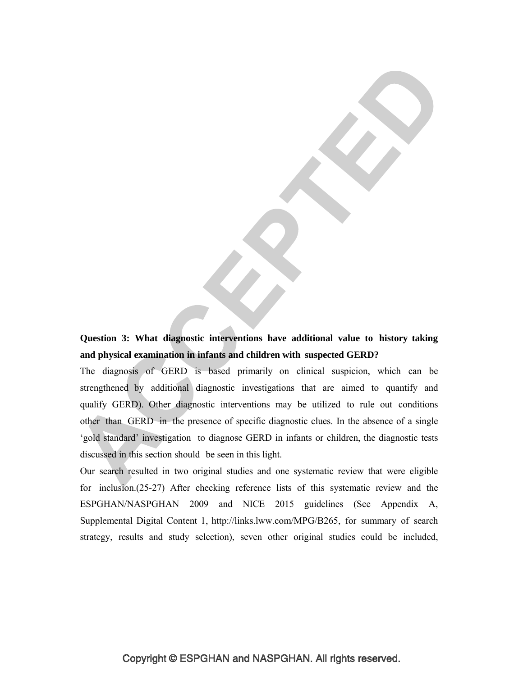**Question 3: What diagnostic interventions have additional value to history taking and physical examination in infants and children with suspected GERD?**

The diagnosis of GERD is based primarily on clinical suspicion, which can be strengthened by additional diagnostic investigations that are aimed to quantify and qualify GERD). Other diagnostic interventions may be utilized to rule out conditions other than GERD in the presence of specific diagnostic clues. In the absence of a single 'gold standard' investigation to diagnose GERD in infants or children, the diagnostic tests discussed in this section should be seen in this light.

Our search resulted in two original studies and one systematic review that were eligible for inclusion.(25-27) After checking reference lists of this systematic review and the ESPGHAN/NASPGHAN 2009 and NICE 2015 guidelines (See Appendix A, Supplemental Digital Content 1, http://links.lww.com/MPG/B265, for summary of search strategy, results and study selection), seven other original studies could be included,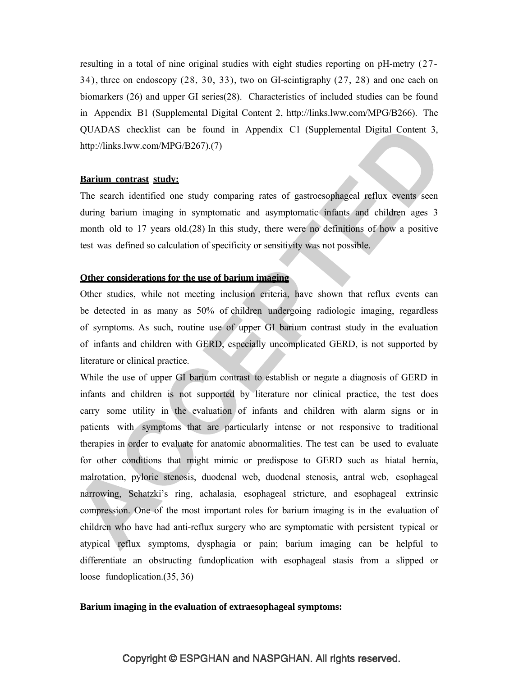resulting in a total of nine original studies with eight studies reporting on pH-metry (27- 34), three on endoscopy (28, 30, 33), two on GI-scintigraphy (27, 28) and one each on biomarkers (26) and upper GI series(28). Characteristics of included studies can be found in Appendix B1 (Supplemental Digital Content 2, http://links.lww.com/MPG/B266). The QUADAS checklist can be found in Appendix C1 (Supplemental Digital Content 3, http://links.lww.com/MPG/B267).(7)

#### **Barium contrast study:**

The search identified one study comparing rates of gastroesophageal reflux events seen during barium imaging in symptomatic and asymptomatic infants and children ages 3 month old to 17 years old.(28) In this study, there were no definitions of how a positive test was defined so calculation of specificity or sensitivity was not possible.

#### **Other considerations for the use of barium imaging**

Other studies, while not meeting inclusion criteria, have shown that reflux events can be detected in as many as 50% of children undergoing radiologic imaging, regardless of symptoms. As such, routine use of upper GI barium contrast study in the evaluation of infants and children with GERD, especially uncomplicated GERD, is not supported by literature or clinical practice.

While the use of upper GI barium contrast to establish or negate a diagnosis of GERD in infants and children is not supported by literature nor clinical practice, the test does carry some utility in the evaluation of infants and children with alarm signs or in patients with symptoms that are particularly intense or not responsive to traditional therapies in order to evaluate for anatomic abnormalities. The test can be used to evaluate for other conditions that might mimic or predispose to GERD such as hiatal hernia, malrotation, pyloric stenosis, duodenal web, duodenal stenosis, antral web, esophageal narrowing, Schatzki's ring, achalasia, esophageal stricture, and esophageal extrinsic compression. One of the most important roles for barium imaging is in the evaluation of children who have had anti-reflux surgery who are symptomatic with persistent typical or atypical reflux symptoms, dysphagia or pain; barium imaging can be helpful to differentiate an obstructing fundoplication with esophageal stasis from a slipped or loose fundoplication.(35, 36)

#### **Barium imaging in the evaluation of extraesophageal symptoms:**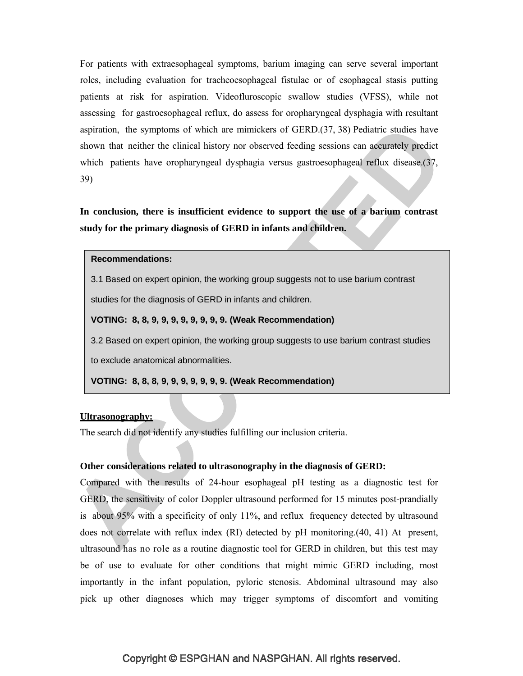For patients with extraesophageal symptoms, barium imaging can serve several important roles, including evaluation for tracheoesophageal fistulae or of esophageal stasis putting patients at risk for aspiration. Videofluroscopic swallow studies (VFSS), while not assessing for gastroesophageal reflux, do assess for oropharyngeal dysphagia with resultant aspiration, the symptoms of which are mimickers of GERD.(37, 38) Pediatric studies have shown that neither the clinical history nor observed feeding sessions can accurately predict which patients have oropharyngeal dysphagia versus gastroesophageal reflux disease.(37, 39)

**In conclusion, there is insufficient evidence to support the use of a barium contrast study for the primary diagnosis of GERD in infants and children.**

#### **Recommendations:**

3.1 Based on expert opinion, the working group suggests not to use barium contrast

studies for the diagnosis of GERD in infants and children.

#### **VOTING: 8, 8, 9, 9, 9, 9, 9, 9, 9, 9. (Weak Recommendation)**

3.2 Based on expert opinion, the working group suggests to use barium contrast studies

to exclude anatomical abnormalities.

**VOTING: 8, 8, 8, 9, 9, 9, 9, 9, 9, 9. (Weak Recommendation)**

#### **Ultrasonography:**

The search did not identify any studies fulfilling our inclusion criteria.

#### **Other considerations related to ultrasonography in the diagnosis of GERD:**

Compared with the results of 24-hour esophageal pH testing as a diagnostic test for GERD, the sensitivity of color Doppler ultrasound performed for 15 minutes post-prandially is about 95% with a specificity of only 11%, and reflux frequency detected by ultrasound does not correlate with reflux index (RI) detected by pH monitoring.(40, 41) At present, ultrasound has no role as a routine diagnostic tool for GERD in children, but this test may be of use to evaluate for other conditions that might mimic GERD including, most importantly in the infant population, pyloric stenosis. Abdominal ultrasound may also pick up other diagnoses which may trigger symptoms of discomfort and vomiting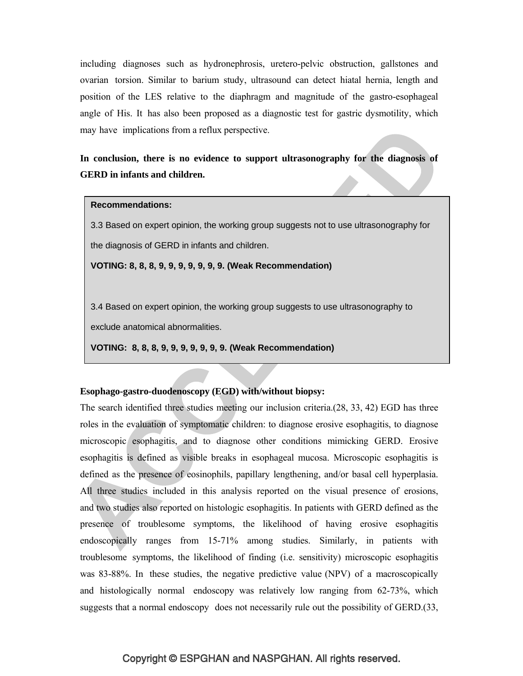including diagnoses such as hydronephrosis, uretero-pelvic obstruction, gallstones and ovarian torsion. Similar to barium study, ultrasound can detect hiatal hernia, length and position of the LES relative to the diaphragm and magnitude of the gastro-esophageal angle of His. It has also been proposed as a diagnostic test for gastric dysmotility, which may have implications from a reflux perspective.

**In conclusion, there is no evidence to support ultrasonography for the diagnosis of GERD in infants and children.**

#### **Recommendations:**

3.3 Based on expert opinion, the working group suggests not to use ultrasonography for the diagnosis of GERD in infants and children.

**VOTING: 8, 8, 8, 9, 9, 9, 9, 9, 9, 9. (Weak Recommendation)**

3.4 Based on expert opinion, the working group suggests to use ultrasonography to

exclude anatomical abnormalities.

**VOTING: 8, 8, 8, 9, 9, 9, 9, 9, 9, 9. (Weak Recommendation)**

#### **Esophago-gastro-duodenoscopy (EGD) with/without biopsy:**

The search identified three studies meeting our inclusion criteria.(28, 33, 42) EGD has three roles in the evaluation of symptomatic children: to diagnose erosive esophagitis, to diagnose microscopic esophagitis, and to diagnose other conditions mimicking GERD. Erosive esophagitis is defined as visible breaks in esophageal mucosa. Microscopic esophagitis is defined as the presence of eosinophils, papillary lengthening, and/or basal cell hyperplasia. All three studies included in this analysis reported on the visual presence of erosions, and two studies also reported on histologic esophagitis. In patients with GERD defined as the presence of troublesome symptoms, the likelihood of having erosive esophagitis endoscopically ranges from 15-71% among studies. Similarly, in patients with troublesome symptoms, the likelihood of finding (i.e. sensitivity) microscopic esophagitis was 83-88%. In these studies, the negative predictive value (NPV) of a macroscopically and histologically normal endoscopy was relatively low ranging from 62-73%, which suggests that a normal endoscopy does not necessarily rule out the possibility of GERD.(33,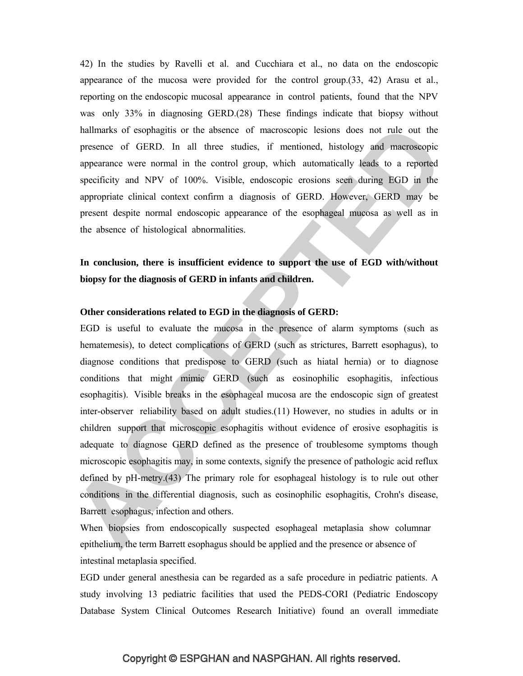42) In the studies by Ravelli et al. and Cucchiara et al., no data on the endoscopic appearance of the mucosa were provided for the control group.(33, 42) Arasu et al., reporting on the endoscopic mucosal appearance in control patients, found that the NPV was only 33% in diagnosing GERD.(28) These findings indicate that biopsy without hallmarks of esophagitis or the absence of macroscopic lesions does not rule out the presence of GERD. In all three studies, if mentioned, histology and macroscopic appearance were normal in the control group, which automatically leads to a reported specificity and NPV of 100%. Visible, endoscopic erosions seen during EGD in the appropriate clinical context confirm a diagnosis of GERD. However, GERD may be present despite normal endoscopic appearance of the esophageal mucosa as well as in the absence of histological abnormalities.

# **In conclusion, there is insufficient evidence to support the use of EGD with/without biopsy for the diagnosis of GERD in infants and children.**

#### **Other considerations related to EGD in the diagnosis of GERD:**

EGD is useful to evaluate the mucosa in the presence of alarm symptoms (such as hematemesis), to detect complications of GERD (such as strictures, Barrett esophagus), to diagnose conditions that predispose to GERD (such as hiatal hernia) or to diagnose conditions that might mimic GERD (such as eosinophilic esophagitis, infectious esophagitis). Visible breaks in the esophageal mucosa are the endoscopic sign of greatest inter-observer reliability based on adult studies.(11) However, no studies in adults or in children support that microscopic esophagitis without evidence of erosive esophagitis is adequate to diagnose GERD defined as the presence of troublesome symptoms though microscopic esophagitis may, in some contexts, signify the presence of pathologic acid reflux defined by pH-metry.(43) The primary role for esophageal histology is to rule out other conditions in the differential diagnosis, such as eosinophilic esophagitis, Crohn's disease, Barrett esophagus, infection and others.

When biopsies from endoscopically suspected esophageal metaplasia show columnar epithelium, the term Barrett esophagus should be applied and the presence or absence of intestinal metaplasia specified.

EGD under general anesthesia can be regarded as a safe procedure in pediatric patients. A study involving 13 pediatric facilities that used the PEDS-CORI (Pediatric Endoscopy Database System Clinical Outcomes Research Initiative) found an overall immediate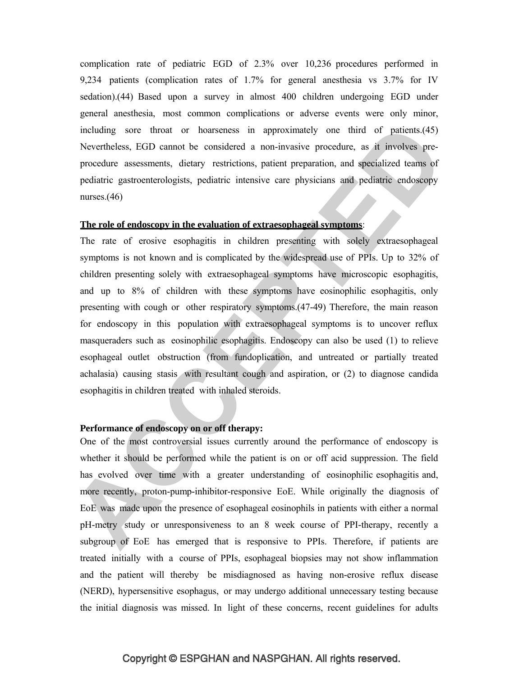complication rate of pediatric EGD of 2.3% over 10,236 procedures performed in 9,234 patients (complication rates of 1.7% for general anesthesia vs 3.7% for IV sedation).(44) Based upon a survey in almost 400 children undergoing EGD under general anesthesia, most common complications or adverse events were only minor, including sore throat or hoarseness in approximately one third of patients.(45) Nevertheless, EGD cannot be considered a non-invasive procedure, as it involves preprocedure assessments, dietary restrictions, patient preparation, and specialized teams of pediatric gastroenterologists, pediatric intensive care physicians and pediatric endoscopy nurses.(46)

#### **The role of endoscopy in the evaluation of extraesophageal symptoms**:

The rate of erosive esophagitis in children presenting with solely extraesophageal symptoms is not known and is complicated by the widespread use of PPIs. Up to 32% of children presenting solely with extraesophageal symptoms have microscopic esophagitis, and up to 8% of children with these symptoms have eosinophilic esophagitis, only presenting with cough or other respiratory symptoms.(47-49) Therefore, the main reason for endoscopy in this population with extraesophageal symptoms is to uncover reflux masqueraders such as eosinophilic esophagitis. Endoscopy can also be used (1) to relieve esophageal outlet obstruction (from fundoplication, and untreated or partially treated achalasia) causing stasis with resultant cough and aspiration, or (2) to diagnose candida esophagitis in children treated with inhaled steroids.

#### **Performance of endoscopy on or off therapy:**

One of the most controversial issues currently around the performance of endoscopy is whether it should be performed while the patient is on or off acid suppression. The field has evolved over time with a greater understanding of eosinophilic esophagitis and, more recently, proton-pump-inhibitor-responsive EoE. While originally the diagnosis of EoE was made upon the presence of esophageal eosinophils in patients with either a normal pH-metry study or unresponsiveness to an 8 week course of PPI-therapy, recently a subgroup of EoE has emerged that is responsive to PPIs. Therefore, if patients are treated initially with a course of PPIs, esophageal biopsies may not show inflammation and the patient will thereby be misdiagnosed as having non-erosive reflux disease (NERD), hypersensitive esophagus, or may undergo additional unnecessary testing because the initial diagnosis was missed. In light of these concerns, recent guidelines for adults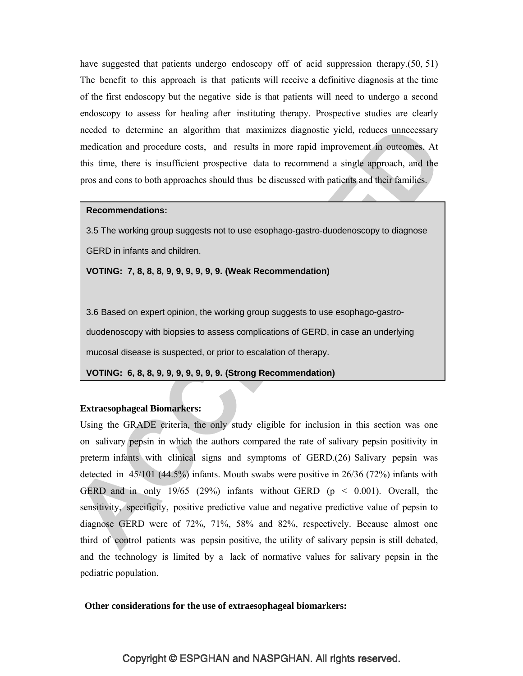have suggested that patients undergo endoscopy off of acid suppression therapy.(50, 51) The benefit to this approach is that patients will receive a definitive diagnosis at the time of the first endoscopy but the negative side is that patients will need to undergo a second endoscopy to assess for healing after instituting therapy. Prospective studies are clearly needed to determine an algorithm that maximizes diagnostic yield, reduces unnecessary medication and procedure costs, and results in more rapid improvement in outcomes. At this time, there is insufficient prospective data to recommend a single approach, and the pros and cons to both approaches should thus be discussed with patients and their families.

#### **Recommendations:**

3.5 The working group suggests not to use esophago-gastro-duodenoscopy to diagnose GERD in infants and children.

**VOTING: 7, 8, 8, 8, 9, 9, 9, 9, 9, 9. (Weak Recommendation)**

3.6 Based on expert opinion, the working group suggests to use esophago-gastroduodenoscopy with biopsies to assess complications of GERD, in case an underlying mucosal disease is suspected, or prior to escalation of therapy.

**VOTING: 6, 8, 8, 9, 9, 9, 9, 9, 9, 9. (Strong Recommendation)**

#### **Extraesophageal Biomarkers:**

Using the GRADE criteria, the only study eligible for inclusion in this section was one on salivary pepsin in which the authors compared the rate of salivary pepsin positivity in preterm infants with clinical signs and symptoms of GERD.(26) Salivary pepsin was detected in 45/101 (44.5%) infants. Mouth swabs were positive in 26/36 (72%) infants with GERD and in only 19/65 (29%) infants without GERD ( $p \le 0.001$ ). Overall, the sensitivity, specificity, positive predictive value and negative predictive value of pepsin to diagnose GERD were of 72%, 71%, 58% and 82%, respectively. Because almost one third of control patients was pepsin positive, the utility of salivary pepsin is still debated, and the technology is limited by a lack of normative values for salivary pepsin in the pediatric population.

#### **Other considerations for the use of extraesophageal biomarkers:**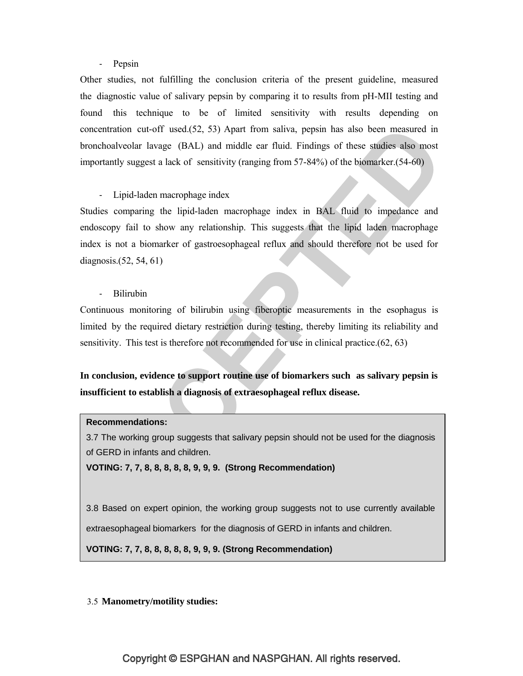### - Pepsin

Other studies, not fulfilling the conclusion criteria of the present guideline, measured the diagnostic value of salivary pepsin by comparing it to results from pH-MII testing and found this technique to be of limited sensitivity with results depending on concentration cut-off used.(52, 53) Apart from saliva, pepsin has also been measured in bronchoalveolar lavage (BAL) and middle ear fluid. Findings of these studies also most importantly suggest a lack of sensitivity (ranging from 57-84%) of the biomarker.(54-60)

#### - Lipid-laden macrophage index

Studies comparing the lipid-laden macrophage index in BAL fluid to impedance and endoscopy fail to show any relationship. This suggests that the lipid laden macrophage index is not a biomarker of gastroesophageal reflux and should therefore not be used for diagnosis.(52, 54, 61)

- Bilirubin

Continuous monitoring of bilirubin using fiberoptic measurements in the esophagus is limited by the required dietary restriction during testing, thereby limiting its reliability and sensitivity. This test is therefore not recommended for use in clinical practice.(62, 63)

# **In conclusion, evidence to support routine use of biomarkers such as salivary pepsin is insufficient to establish a diagnosis of extraesophageal reflux disease.**

### **Recommendations:**

3.7 The working group suggests that salivary pepsin should not be used for the diagnosis of GERD in infants and children.

**VOTING: 7, 7, 8, 8, 8, 8, 8, 9, 9, 9. (Strong Recommendation)**

3.8 Based on expert opinion, the working group suggests not to use currently available extraesophageal biomarkers for the diagnosis of GERD in infants and children.

**VOTING: 7, 7, 8, 8, 8, 8, 8, 9, 9, 9. (Strong Recommendation)**

#### 3.5 **Manometry/motility studies:**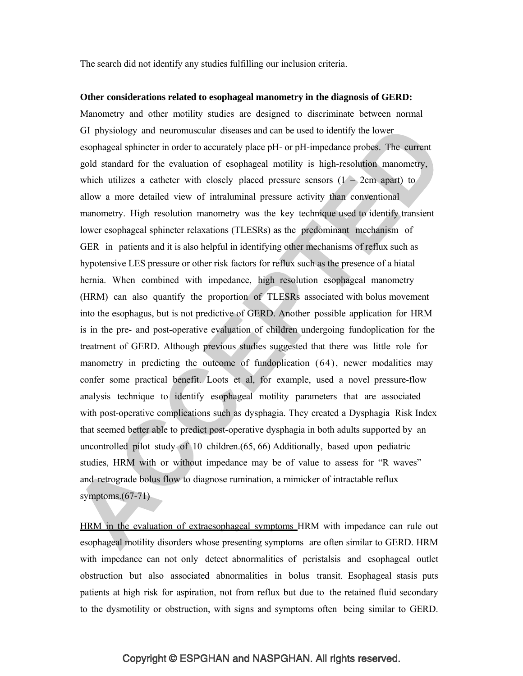The search did not identify any studies fulfilling our inclusion criteria.

#### **Other considerations related to esophageal manometry in the diagnosis of GERD:**

Manometry and other motility studies are designed to discriminate between normal GI physiology and neuromuscular diseases and can be used to identify the lower esophageal sphincter in order to accurately place pH- or pH-impedance probes. The current gold standard for the evaluation of esophageal motility is high-resolution manometry, which utilizes a catheter with closely placed pressure sensors  $(1 - 2cm$  apart) to allow a more detailed view of intraluminal pressure activity than conventional manometry. High resolution manometry was the key technique used to identify transient lower esophageal sphincter relaxations (TLESRs) as the predominant mechanism of GER in patients and it is also helpful in identifying other mechanisms of reflux such as hypotensive LES pressure or other risk factors for reflux such as the presence of a hiatal hernia. When combined with impedance, high resolution esophageal manometry (HRM) can also quantify the proportion of TLESRs associated with bolus movement into the esophagus, but is not predictive of GERD. Another possible application for HRM is in the pre- and post-operative evaluation of children undergoing fundoplication for the treatment of GERD. Although previous studies suggested that there was little role for manometry in predicting the outcome of fundoplication (64), newer modalities may confer some practical benefit. Loots et al, for example, used a novel pressure-flow analysis technique to identify esophageal motility parameters that are associated with post-operative complications such as dysphagia. They created a Dysphagia Risk Index that seemed better able to predict post-operative dysphagia in both adults supported by an uncontrolled pilot study of 10 children.(65, 66) Additionally, based upon pediatric studies, HRM with or without impedance may be of value to assess for "R waves" and retrograde bolus flow to diagnose rumination, a mimicker of intractable reflux symptoms. $(67-71)$ 

HRM in the evaluation of extraesophageal symptoms HRM with impedance can rule out esophageal motility disorders whose presenting symptoms are often similar to GERD. HRM with impedance can not only detect abnormalities of peristalsis and esophageal outlet obstruction but also associated abnormalities in bolus transit. Esophageal stasis puts patients at high risk for aspiration, not from reflux but due to the retained fluid secondary to the dysmotility or obstruction, with signs and symptoms often being similar to GERD.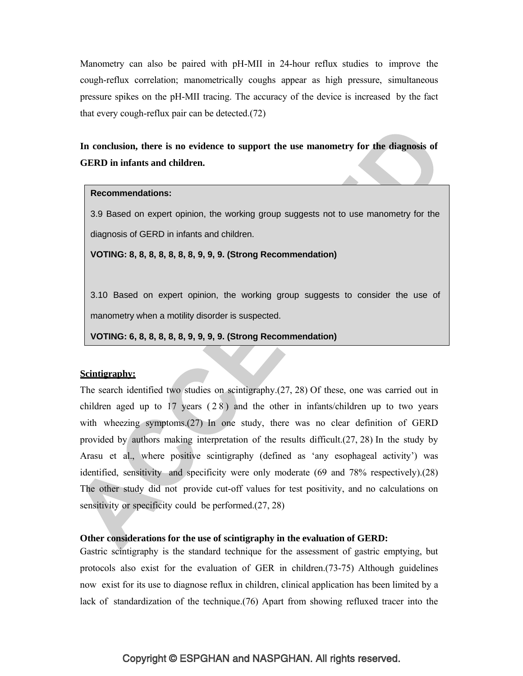Manometry can also be paired with pH-MII in 24-hour reflux studies to improve the cough-reflux correlation; manometrically coughs appear as high pressure, simultaneous pressure spikes on the pH-MII tracing. The accuracy of the device is increased by the fact that every cough-reflux pair can be detected.(72)

# **In conclusion, there is no evidence to support the use manometry for the diagnosis of GERD in infants and children.**

#### **Recommendations:**

3.9 Based on expert opinion, the working group suggests not to use manometry for the diagnosis of GERD in infants and children.

**VOTING: 8, 8, 8, 8, 8, 8, 8, 9, 9, 9. (Strong Recommendation)**

3.10 Based on expert opinion, the working group suggests to consider the use of manometry when a motility disorder is suspected.

**VOTING: 6, 8, 8, 8, 8, 8, 9, 9, 9, 9. (Strong Recommendation)**

#### **Scintigraphy:**

The search identified two studies on scintigraphy.(27, 28) Of these, one was carried out in children aged up to  $17$  years  $(28)$  and the other in infants/children up to two years with wheezing symptoms.(27) In one study, there was no clear definition of GERD provided by authors making interpretation of the results difficult.(27, 28) In the study by Arasu et al., where positive scintigraphy (defined as 'any esophageal activity') was identified, sensitivity and specificity were only moderate (69 and 78% respectively).(28) The other study did not provide cut-off values for test positivity, and no calculations on sensitivity or specificity could be performed.(27, 28)

#### **Other considerations for the use of scintigraphy in the evaluation of GERD:**

Gastric scintigraphy is the standard technique for the assessment of gastric emptying, but protocols also exist for the evaluation of GER in children.(73-75) Although guidelines now exist for its use to diagnose reflux in children, clinical application has been limited by a lack of standardization of the technique.(76) Apart from showing refluxed tracer into the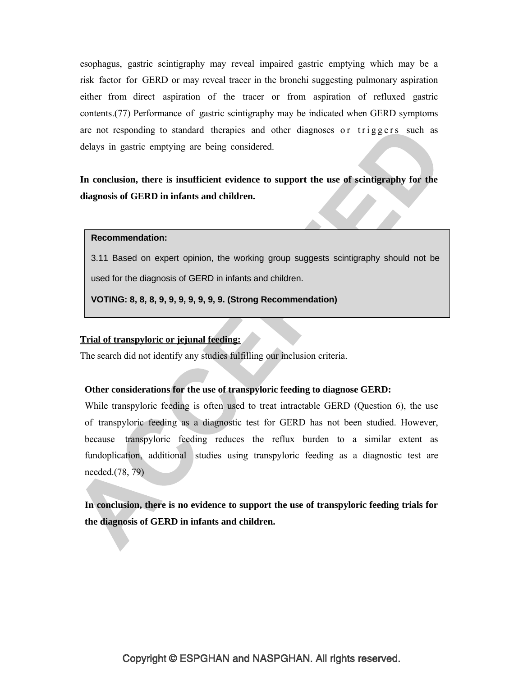esophagus, gastric scintigraphy may reveal impaired gastric emptying which may be a risk factor for GERD or may reveal tracer in the bronchi suggesting pulmonary aspiration either from direct aspiration of the tracer or from aspiration of refluxed gastric contents.(77) Performance of gastric scintigraphy may be indicated when GERD symptoms are not responding to standard therapies and other diagnoses or triggers such as delays in gastric emptying are being considered.

**In conclusion, there is insufficient evidence to support the use of scintigraphy for the diagnosis of GERD in infants and children.**

#### **Recommendation:**

3.11 Based on expert opinion, the working group suggests scintigraphy should not be used for the diagnosis of GERD in infants and children.

**VOTING: 8, 8, 8, 9, 9, 9, 9, 9, 9, 9. (Strong Recommendation)**

## **Trial of transpyloric or jejunal feeding:**

The search did not identify any studies fulfilling our inclusion criteria.

#### **Other considerations for the use of transpyloric feeding to diagnose GERD:**

While transpyloric feeding is often used to treat intractable GERD (Question 6), the use of transpyloric feeding as a diagnostic test for GERD has not been studied. However, because transpyloric feeding reduces the reflux burden to a similar extent as fundoplication, additional studies using transpyloric feeding as a diagnostic test are needed.(78, 79)

**In conclusion, there is no evidence to support the use of transpyloric feeding trials for the diagnosis of GERD in infants and children.**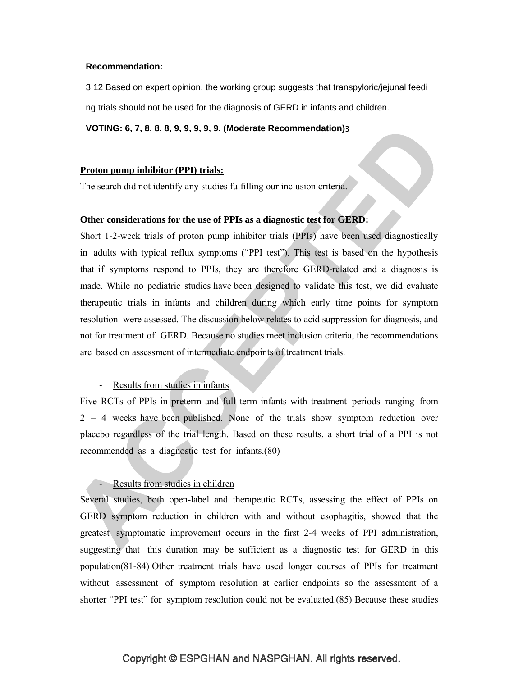#### **Recommendation:**

3.12 Based on expert opinion, the working group suggests that transpyloric/jejunal feedi ng trials should not be used for the diagnosis of GERD in infants and children.

**VOTING: 6, 7, 8, 8, 8, 9, 9, 9, 9, 9. (Moderate Recommendation)**3

#### **Proton pump inhibitor (PPI) trials:**

The search did not identify any studies fulfilling our inclusion criteria.

#### **Other considerations for the use of PPIs as a diagnostic test for GERD:**

Short 1-2-week trials of proton pump inhibitor trials (PPIs) have been used diagnostically in adults with typical reflux symptoms ("PPI test"). This test is based on the hypothesis that if symptoms respond to PPIs, they are therefore GERD-related and a diagnosis is made. While no pediatric studies have been designed to validate this test, we did evaluate therapeutic trials in infants and children during which early time points for symptom resolution were assessed. The discussion below relates to acid suppression for diagnosis, and not for treatment of GERD. Because no studies meet inclusion criteria, the recommendations are based on assessment of intermediate endpoints of treatment trials.

#### - Results from studies in infants

Five RCTs of PPIs in preterm and full term infants with treatment periods ranging from 2 – 4 weeks have been published. None of the trials show symptom reduction over placebo regardless of the trial length. Based on these results, a short trial of a PPI is not recommended as a diagnostic test for infants.(80)

# - Results from studies in children

Several studies, both open-label and therapeutic RCTs, assessing the effect of PPIs on GERD symptom reduction in children with and without esophagitis, showed that the greatest symptomatic improvement occurs in the first 2-4 weeks of PPI administration, suggesting that this duration may be sufficient as a diagnostic test for GERD in this population(81-84) Other treatment trials have used longer courses of PPIs for treatment without assessment of symptom resolution at earlier endpoints so the assessment of a shorter "PPI test" for symptom resolution could not be evaluated.(85) Because these studies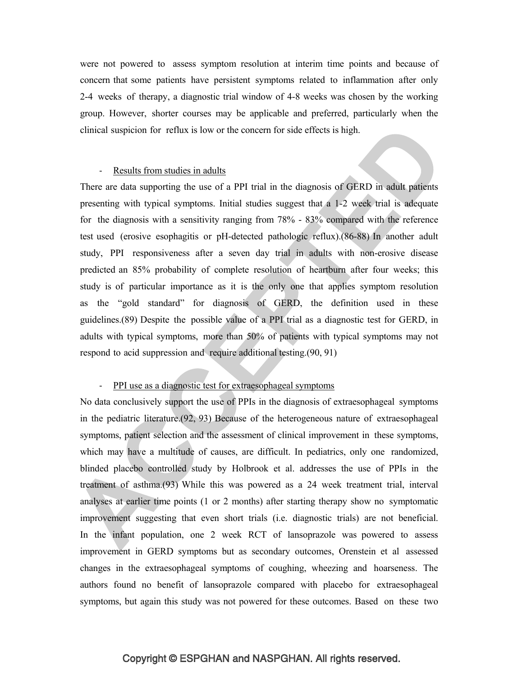were not powered to assess symptom resolution at interim time points and because of concern that some patients have persistent symptoms related to inflammation after only 2-4 weeks of therapy, a diagnostic trial window of 4-8 weeks was chosen by the working group. However, shorter courses may be applicable and preferred, particularly when the clinical suspicion for reflux is low or the concern for side effects is high.

### - Results from studies in adults

There are data supporting the use of a PPI trial in the diagnosis of GERD in adult patients presenting with typical symptoms. Initial studies suggest that a 1-2 week trial is adequate for the diagnosis with a sensitivity ranging from 78% - 83% compared with the reference test used (erosive esophagitis or pH-detected pathologic reflux).(86-88) In another adult study, PPI responsiveness after a seven day trial in adults with non-erosive disease predicted an 85% probability of complete resolution of heartburn after four weeks; this study is of particular importance as it is the only one that applies symptom resolution as the "gold standard" for diagnosis of GERD, the definition used in these guidelines.(89) Despite the possible value of a PPI trial as a diagnostic test for GERD, in adults with typical symptoms, more than 50% of patients with typical symptoms may not respond to acid suppression and require additional testing.(90, 91)

#### - PPI use as a diagnostic test for extraesophageal symptoms

No data conclusively support the use of PPIs in the diagnosis of extraesophageal symptoms in the pediatric literature.(92, 93) Because of the heterogeneous nature of extraesophageal symptoms, patient selection and the assessment of clinical improvement in these symptoms, which may have a multitude of causes, are difficult. In pediatrics, only one randomized, blinded placebo controlled study by Holbrook et al. addresses the use of PPIs in the treatment of asthma.(93) While this was powered as a 24 week treatment trial, interval analyses at earlier time points (1 or 2 months) after starting therapy show no symptomatic improvement suggesting that even short trials (i.e. diagnostic trials) are not beneficial. In the infant population, one 2 week RCT of lansoprazole was powered to assess improvement in GERD symptoms but as secondary outcomes, Orenstein et al assessed changes in the extraesophageal symptoms of coughing, wheezing and hoarseness. The authors found no benefit of lansoprazole compared with placebo for extraesophageal symptoms, but again this study was not powered for these outcomes. Based on these two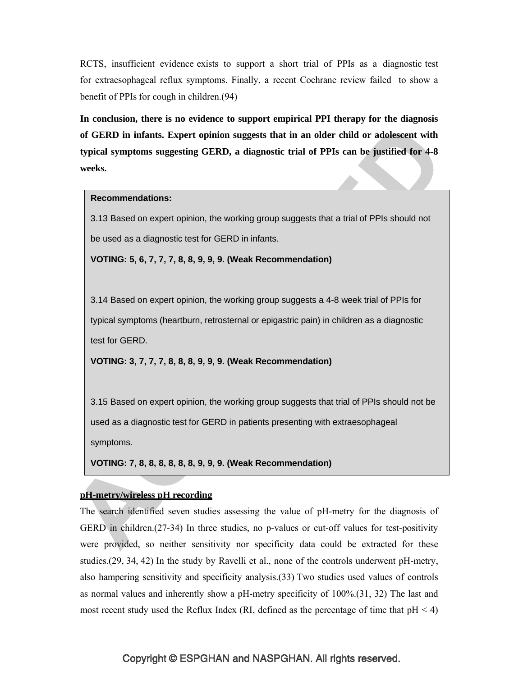RCTS, insufficient evidence exists to support a short trial of PPIs as a diagnostic test for extraesophageal reflux symptoms. Finally, a recent Cochrane review failed to show a benefit of PPIs for cough in children.(94)

**In conclusion, there is no evidence to support empirical PPI therapy for the diagnosis of GERD in infants. Expert opinion suggests that in an older child or adolescent with typical symptoms suggesting GERD, a diagnostic trial of PPIs can be justified for 4-8 weeks.**

#### **Recommendations:**

3.13 Based on expert opinion, the working group suggests that a trial of PPIs should not be used as a diagnostic test for GERD in infants.

**VOTING: 5, 6, 7, 7, 7, 8, 8, 9, 9, 9. (Weak Recommendation)**

3.14 Based on expert opinion, the working group suggests a 4-8 week trial of PPIs for typical symptoms (heartburn, retrosternal or epigastric pain) in children as a diagnostic test for GERD.

**VOTING: 3, 7, 7, 7, 8, 8, 8, 9, 9, 9. (Weak Recommendation)**

3.15 Based on expert opinion, the working group suggests that trial of PPIs should not be used as a diagnostic test for GERD in patients presenting with extraesophageal symptoms.

**VOTING: 7, 8, 8, 8, 8, 8, 8, 9, 9, 9. (Weak Recommendation)**

## **pH-metry/wireless pH recording**

The search identified seven studies assessing the value of pH-metry for the diagnosis of GERD in children.(27-34) In three studies, no p-values or cut-off values for test-positivity were provided, so neither sensitivity nor specificity data could be extracted for these studies.(29, 34, 42) In the study by Ravelli et al., none of the controls underwent pH-metry, also hampering sensitivity and specificity analysis.(33) Two studies used values of controls as normal values and inherently show a pH-metry specificity of 100%.(31, 32) The last and most recent study used the Reflux Index (RI, defined as the percentage of time that  $pH < 4$ )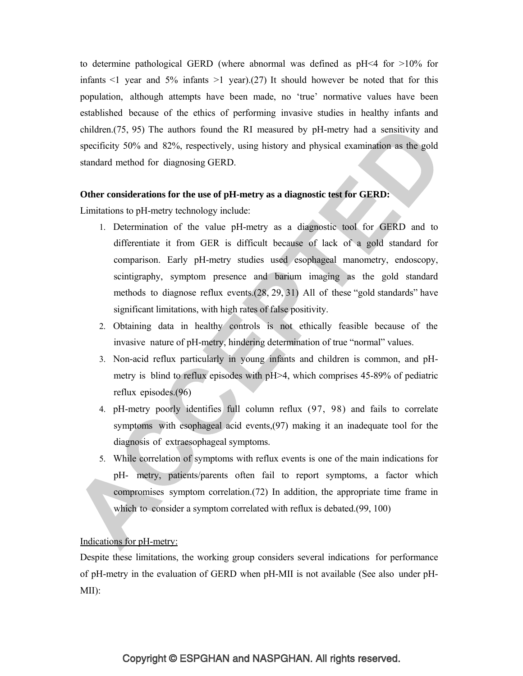to determine pathological GERD (where abnormal was defined as  $pH \le 4$  for  $>10\%$  for infants  $\leq 1$  year and 5% infants  $\geq 1$  year).(27) It should however be noted that for this population, although attempts have been made, no 'true' normative values have been established because of the ethics of performing invasive studies in healthy infants and children.(75, 95) The authors found the RI measured by pH-metry had a sensitivity and specificity 50% and 82%, respectively, using history and physical examination as the gold standard method for diagnosing GERD.

## **Other considerations for the use of pH-metry as a diagnostic test for GERD:**

Limitations to pH-metry technology include:

- 1. Determination of the value pH-metry as a diagnostic tool for GERD and to differentiate it from GER is difficult because of lack of a gold standard for comparison. Early pH-metry studies used esophageal manometry, endoscopy, scintigraphy, symptom presence and barium imaging as the gold standard methods to diagnose reflux events.(28, 29, 31) All of these "gold standards" have significant limitations, with high rates of false positivity.
- 2. Obtaining data in healthy controls is not ethically feasible because of the invasive nature of pH-metry, hindering determination of true "normal" values.
- 3. Non-acid reflux particularly in young infants and children is common, and pHmetry is blind to reflux episodes with pH>4, which comprises 45-89% of pediatric reflux episodes.(96)
- 4. pH-metry poorly identifies full column reflux (97, 98) and fails to correlate symptoms with esophageal acid events,(97) making it an inadequate tool for the diagnosis of extraesophageal symptoms.
- 5. While correlation of symptoms with reflux events is one of the main indications for pH- metry, patients/parents often fail to report symptoms, a factor which compromises symptom correlation.(72) In addition, the appropriate time frame in which to consider a symptom correlated with reflux is debated.(99, 100)

# Indications for pH-metry:

Despite these limitations, the working group considers several indications for performance of pH-metry in the evaluation of GERD when pH-MII is not available (See also under pH-MII):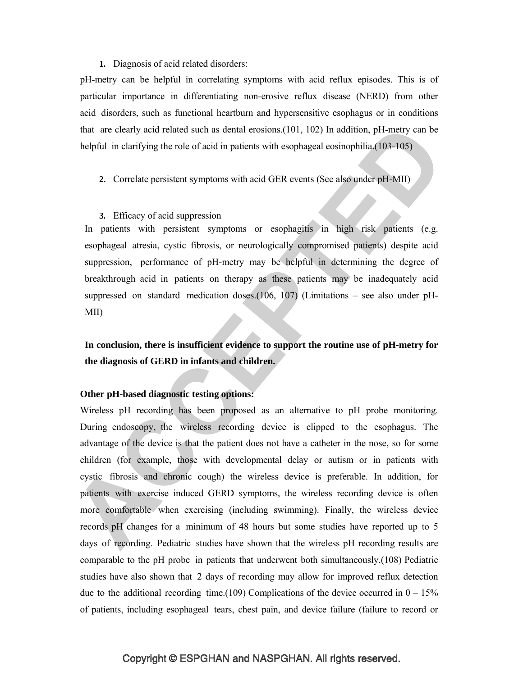#### **1.** Diagnosis of acid related disorders:

pH-metry can be helpful in correlating symptoms with acid reflux episodes. This is of particular importance in differentiating non-erosive reflux disease (NERD) from other acid disorders, such as functional heartburn and hypersensitive esophagus or in conditions that are clearly acid related such as dental erosions.(101, 102) In addition, pH-metry can be helpful in clarifying the role of acid in patients with esophageal eosinophilia.(103-105)

## **2.** Correlate persistent symptoms with acid GER events (See also under pH-MII)

#### **3.** Efficacy of acid suppression

In patients with persistent symptoms or esophagitis in high risk patients (e.g. esophageal atresia, cystic fibrosis, or neurologically compromised patients) despite acid suppression, performance of pH-metry may be helpful in determining the degree of breakthrough acid in patients on therapy as these patients may be inadequately acid suppressed on standard medication doses.(106, 107) (Limitations – see also under pH-MII)

# **In conclusion, there is insufficient evidence to support the routine use of pH-metry for the diagnosis of GERD in infants and children.**

## **Other pH-based diagnostic testing options:**

Wireless pH recording has been proposed as an alternative to pH probe monitoring. During endoscopy, the wireless recording device is clipped to the esophagus. The advantage of the device is that the patient does not have a catheter in the nose, so for some children (for example, those with developmental delay or autism or in patients with cystic fibrosis and chronic cough) the wireless device is preferable. In addition, for patients with exercise induced GERD symptoms, the wireless recording device is often more comfortable when exercising (including swimming). Finally, the wireless device records pH changes for a minimum of 48 hours but some studies have reported up to 5 days of recording. Pediatric studies have shown that the wireless pH recording results are comparable to the pH probe in patients that underwent both simultaneously.(108) Pediatric studies have also shown that 2 days of recording may allow for improved reflux detection due to the additional recording time.(109) Complications of the device occurred in  $0-15%$ of patients, including esophageal tears, chest pain, and device failure (failure to record or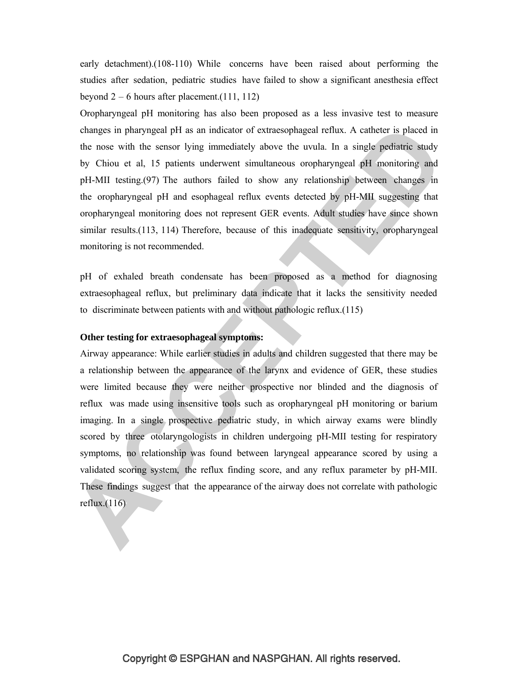early detachment).(108-110) While concerns have been raised about performing the studies after sedation, pediatric studies have failed to show a significant anesthesia effect beyond  $2 - 6$  hours after placement. (111, 112)

Oropharyngeal pH monitoring has also been proposed as a less invasive test to measure changes in pharyngeal pH as an indicator of extraesophageal reflux. A catheter is placed in the nose with the sensor lying immediately above the uvula. In a single pediatric study by Chiou et al, 15 patients underwent simultaneous oropharyngeal pH monitoring and pH-MII testing.(97) The authors failed to show any relationship between changes in the oropharyngeal pH and esophageal reflux events detected by pH-MII suggesting that oropharyngeal monitoring does not represent GER events. Adult studies have since shown similar results.(113, 114) Therefore, because of this inadequate sensitivity, oropharyngeal monitoring is not recommended.

pH of exhaled breath condensate has been proposed as a method for diagnosing extraesophageal reflux, but preliminary data indicate that it lacks the sensitivity needed to discriminate between patients with and without pathologic reflux.(115)

## **Other testing for extraesophageal symptoms:**

Airway appearance: While earlier studies in adults and children suggested that there may be a relationship between the appearance of the larynx and evidence of GER, these studies were limited because they were neither prospective nor blinded and the diagnosis of reflux was made using insensitive tools such as oropharyngeal pH monitoring or barium imaging. In a single prospective pediatric study, in which airway exams were blindly scored by three otolaryngologists in children undergoing pH-MII testing for respiratory symptoms, no relationship was found between laryngeal appearance scored by using a validated scoring system, the reflux finding score, and any reflux parameter by pH-MII. These findings suggest that the appearance of the airway does not correlate with pathologic reflux.(116)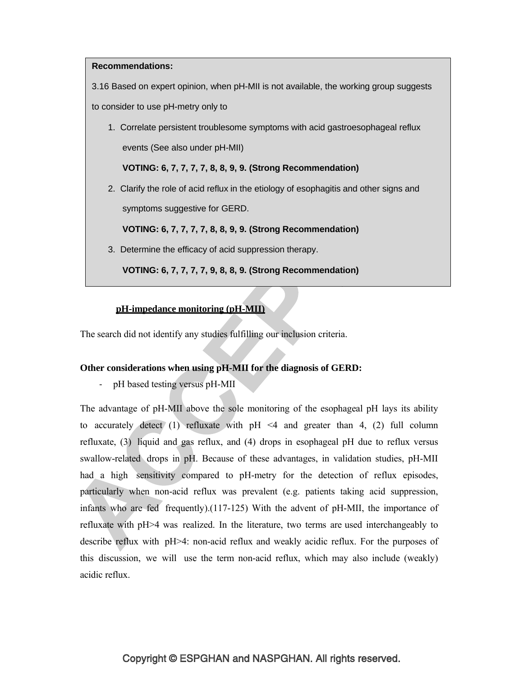# **Recommendations:**

3.16 Based on expert opinion, when pH-MII is not available, the working group suggests to consider to use pH-metry only to

1. Correlate persistent troublesome symptoms with acid gastroesophageal reflux events (See also under pH-MII)

**VOTING: 6, 7, 7, 7, 7, 8, 8, 9, 9. (Strong Recommendation)**

2. Clarify the role of acid reflux in the etiology of esophagitis and other signs and symptoms suggestive for GERD.

**VOTING: 6, 7, 7, 7, 7, 8, 8, 9, 9. (Strong Recommendation)**

3. Determine the efficacy of acid suppression therapy.

**VOTING: 6, 7, 7, 7, 7, 9, 8, 8, 9. (Strong Recommendation)**

# **pH-impedance monitoring (pH-MII)**

The search did not identify any studies fulfilling our inclusion criteria.

## **Other considerations when using pH-MII for the diagnosis of GERD:**

- pH based testing versus pH-MII

The advantage of pH-MII above the sole monitoring of the esophageal pH lays its ability to accurately detect (1) refluxate with  $pH \leq 4$  and greater than 4, (2) full column refluxate, (3) liquid and gas reflux, and (4) drops in esophageal pH due to reflux versus swallow-related drops in pH. Because of these advantages, in validation studies, pH-MII had a high sensitivity compared to pH-metry for the detection of reflux episodes, particularly when non-acid reflux was prevalent (e.g. patients taking acid suppression, infants who are fed frequently).(117-125) With the advent of pH-MII, the importance of refluxate with pH>4 was realized. In the literature, two terms are used interchangeably to describe reflux with pH>4: non-acid reflux and weakly acidic reflux. For the purposes of this discussion, we will use the term non-acid reflux, which may also include (weakly) acidic reflux.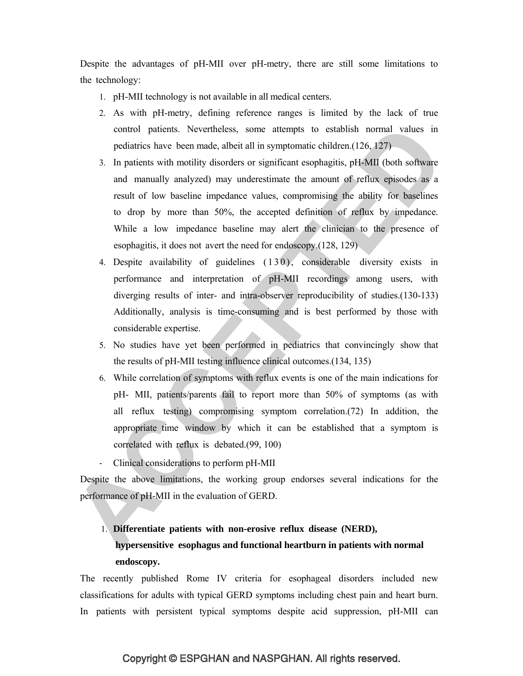Despite the advantages of pH-MII over pH-metry, there are still some limitations to the technology:

- 1. pH-MII technology is not available in all medical centers.
- 2. As with pH-metry, defining reference ranges is limited by the lack of true control patients. Nevertheless, some attempts to establish normal values in pediatrics have been made, albeit all in symptomatic children.(126, 127)
- 3. In patients with motility disorders or significant esophagitis, pH-MII (both software and manually analyzed) may underestimate the amount of reflux episodes as a result of low baseline impedance values, compromising the ability for baselines to drop by more than 50%, the accepted definition of reflux by impedance. While a low impedance baseline may alert the clinician to the presence of esophagitis, it does not avert the need for endoscopy.(128, 129)
- 4. Despite availability of guidelines  $(130)$ , considerable diversity exists in performance and interpretation of pH-MII recordings among users, with diverging results of inter- and intra-observer reproducibility of studies.(130-133) Additionally, analysis is time-consuming and is best performed by those with considerable expertise.
- 5. No studies have yet been performed in pediatrics that convincingly show that the results of pH-MII testing influence clinical outcomes.(134, 135)
- 6. While correlation of symptoms with reflux events is one of the main indications for pH- MII, patients/parents fail to report more than 50% of symptoms (as with all reflux testing) compromising symptom correlation.(72) In addition, the appropriate time window by which it can be established that a symptom is correlated with reflux is debated.(99, 100)
- Clinical considerations to perform pH-MII

Despite the above limitations, the working group endorses several indications for the performance of pH-MII in the evaluation of GERD.

# 1. **Differentiate patients with non-erosive reflux disease (NERD), hypersensitive esophagus and functional heartburn in patients with normal endoscopy.**

The recently published Rome IV criteria for esophageal disorders included new classifications for adults with typical GERD symptoms including chest pain and heart burn. In patients with persistent typical symptoms despite acid suppression, pH-MII can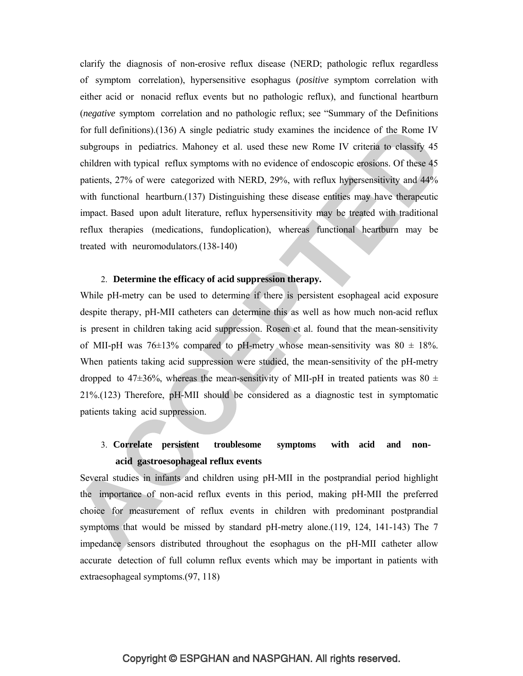clarify the diagnosis of non-erosive reflux disease (NERD; pathologic reflux regardless of symptom correlation), hypersensitive esophagus (*positive* symptom correlation with either acid or nonacid reflux events but no pathologic reflux), and functional heartburn (*negative* symptom correlation and no pathologic reflux; see "Summary of the Definitions for full definitions).(136) A single pediatric study examines the incidence of the Rome IV subgroups in pediatrics. Mahoney et al. used these new Rome IV criteria to classify 45 children with typical reflux symptoms with no evidence of endoscopic erosions. Of these 45 patients, 27% of were categorized with NERD, 29%, with reflux hypersensitivity and 44% with functional heartburn.(137) Distinguishing these disease entities may have therapeutic impact. Based upon adult literature, reflux hypersensitivity may be treated with traditional reflux therapies (medications, fundoplication), whereas functional heartburn may be treated with neuromodulators.(138-140)

## 2. **Determine the efficacy of acid suppression therapy.**

While pH-metry can be used to determine if there is persistent esophageal acid exposure despite therapy, pH-MII catheters can determine this as well as how much non-acid reflux is present in children taking acid suppression. Rosen et al. found that the mean-sensitivity of MII-pH was  $76\pm13\%$  compared to pH-metry whose mean-sensitivity was  $80 \pm 18\%$ . When patients taking acid suppression were studied, the mean-sensitivity of the pH-metry dropped to 47 $\pm$ 36%, whereas the mean-sensitivity of MII-pH in treated patients was 80  $\pm$ 21%.(123) Therefore, pH-MII should be considered as a diagnostic test in symptomatic patients taking acid suppression.

# 3. **Correlate persistent troublesome symptoms with acid and nonacid gastroesophageal reflux events**

Several studies in infants and children using pH-MII in the postprandial period highlight the importance of non-acid reflux events in this period, making pH-MII the preferred choice for measurement of reflux events in children with predominant postprandial symptoms that would be missed by standard pH-metry alone.(119, 124, 141-143) The 7 impedance sensors distributed throughout the esophagus on the pH-MII catheter allow accurate detection of full column reflux events which may be important in patients with extraesophageal symptoms.(97, 118)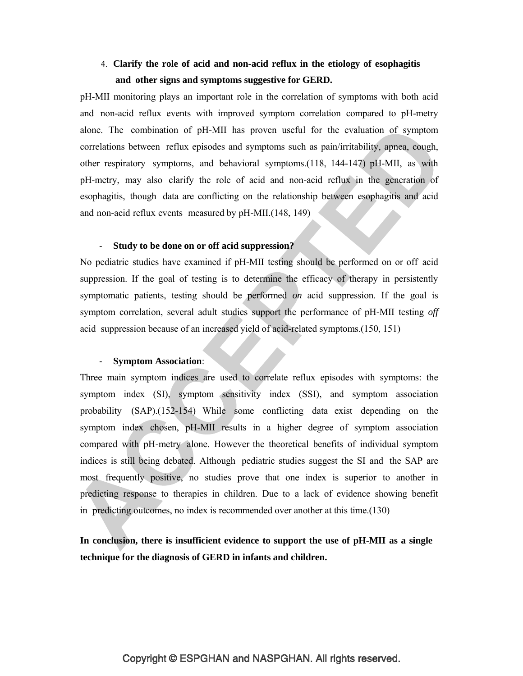# 4. **Clarify the role of acid and non-acid reflux in the etiology of esophagitis and other signs and symptoms suggestive for GERD.**

pH-MII monitoring plays an important role in the correlation of symptoms with both acid and non-acid reflux events with improved symptom correlation compared to pH-metry alone. The combination of pH-MII has proven useful for the evaluation of symptom correlations between reflux episodes and symptoms such as pain/irritability, apnea, cough, other respiratory symptoms, and behavioral symptoms.(118, 144-147) pH-MII, as with pH-metry, may also clarify the role of acid and non-acid reflux in the generation of esophagitis, though data are conflicting on the relationship between esophagitis and acid and non-acid reflux events measured by pH-MII.(148, 149)

# - **Study to be done on or off acid suppression?**

No pediatric studies have examined if pH-MII testing should be performed on or off acid suppression. If the goal of testing is to determine the efficacy of therapy in persistently symptomatic patients, testing should be performed *on* acid suppression. If the goal is symptom correlation, several adult studies support the performance of pH-MII testing *off*  acid suppression because of an increased yield of acid-related symptoms.(150, 151)

### - **Symptom Association**:

Three main symptom indices are used to correlate reflux episodes with symptoms: the symptom index (SI), symptom sensitivity index (SSI), and symptom association probability (SAP).(152-154) While some conflicting data exist depending on the symptom index chosen, pH-MII results in a higher degree of symptom association compared with pH-metry alone. However the theoretical benefits of individual symptom indices is still being debated. Although pediatric studies suggest the SI and the SAP are most frequently positive, no studies prove that one index is superior to another in predicting response to therapies in children. Due to a lack of evidence showing benefit in predicting outcomes, no index is recommended over another at this time.(130)

**In conclusion, there is insufficient evidence to support the use of pH-MII as a single technique for the diagnosis of GERD in infants and children.**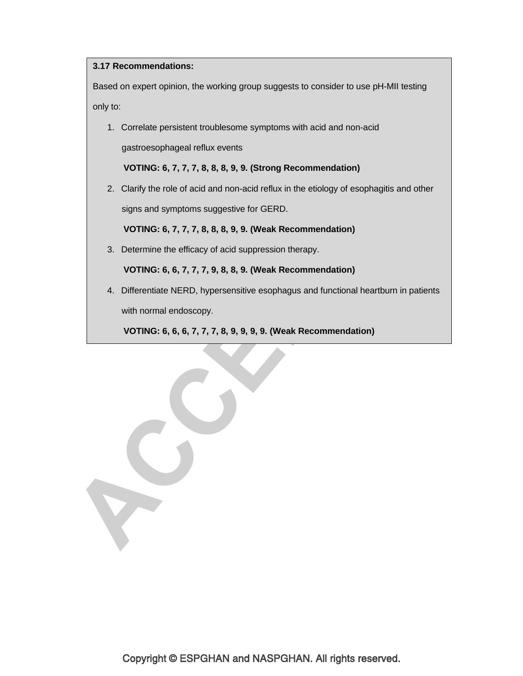### **3.17 Recommendations:**

T

Based on expert opinion, the working group suggests to consider to use pH-MII testing only to:

1. Correlate persistent troublesome symptoms with acid and non-acid gastroesophageal reflux events

**VOTING: 6, 7, 7, 7, 8, 8, 8, 9, 9. (Strong Recommendation)**

2. Clarify the role of acid and non-acid reflux in the etiology of esophagitis and other signs and symptoms suggestive for GERD.

**VOTING: 6, 7, 7, 7, 8, 8, 8, 9, 9. (Weak Recommendation)**

3. Determine the efficacy of acid suppression therapy.

**VOTING: 6, 6, 7, 7, 7, 9, 8, 8, 9. (Weak Recommendation)**

4. Differentiate NERD, hypersensitive esophagus and functional heartburn in patients with normal endoscopy.

**VOTING: 6, 6, 6, 7, 7, 7, 8, 9, 9, 9, 9. (Weak Recommendation)**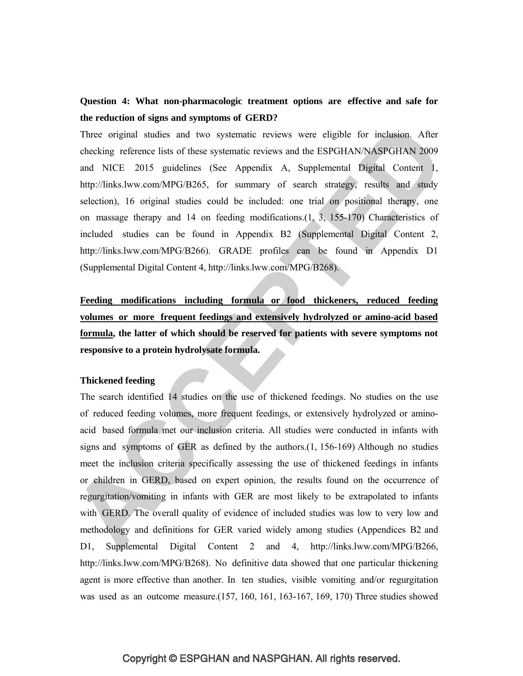# **Question 4: What non-pharmacologic treatment options are effective and safe for the reduction of signs and symptoms of GERD?**

Three original studies and two systematic reviews were eligible for inclusion. After checking reference lists of these systematic reviews and the ESPGHAN/NASPGHAN 2009 and NICE 2015 guidelines (See Appendix A, Supplemental Digital Content 1, http://links.lww.com/MPG/B265, for summary of search strategy, results and study selection), 16 original studies could be included: one trial on positional therapy, one on massage therapy and 14 on feeding modifications.(1, 3, 155-170) Characteristics of included studies can be found in Appendix B2 (Supplemental Digital Content 2, http://links.lww.com/MPG/B266). GRADE profiles can be found in Appendix D1 (Supplemental Digital Content 4, http://links.lww.com/MPG/B268).

**Feeding modifications including formula or food thickeners, reduced feeding volumes or more frequent feedings and extensively hydrolyzed or amino-acid based formula, the latter of which should be reserved for patients with severe symptoms not responsive to a protein hydrolysate formula.** 

#### **Thickened feeding**

The search identified 14 studies on the use of thickened feedings. No studies on the use of reduced feeding volumes, more frequent feedings, or extensively hydrolyzed or aminoacid based formula met our inclusion criteria. All studies were conducted in infants with signs and symptoms of GER as defined by the authors. $(1, 156-169)$  Although no studies meet the inclusion criteria specifically assessing the use of thickened feedings in infants or children in GERD, based on expert opinion, the results found on the occurrence of regurgitation/vomiting in infants with GER are most likely to be extrapolated to infants with GERD. The overall quality of evidence of included studies was low to very low and methodology and definitions for GER varied widely among studies (Appendices B2 and D1, Supplemental Digital Content 2 and 4, http://links.lww.com/MPG/B266, http://links.lww.com/MPG/B268). No definitive data showed that one particular thickening agent is more effective than another. In ten studies, visible vomiting and/or regurgitation was used as an outcome measure.(157, 160, 161, 163-167, 169, 170) Three studies showed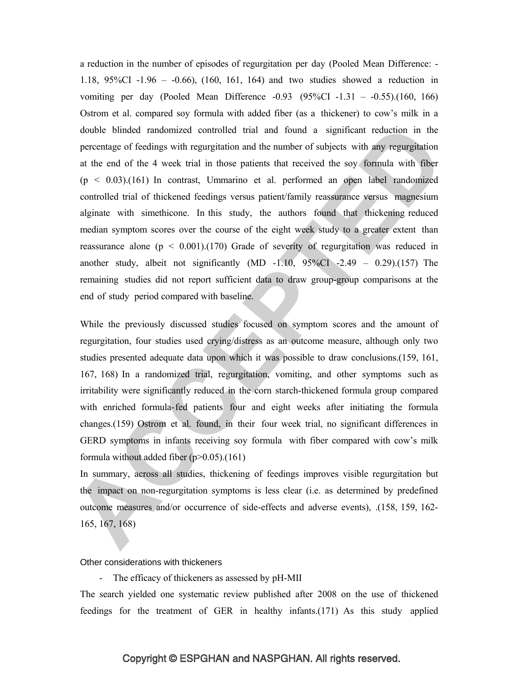a reduction in the number of episodes of regurgitation per day (Pooled Mean Difference: - 1.18, 95%CI -1.96 – -0.66), (160, 161, 164) and two studies showed a reduction in vomiting per day (Pooled Mean Difference -0.93 (95%CI -1.31 – -0.55).(160, 166) Ostrom et al. compared soy formula with added fiber (as a thickener) to cow's milk in a double blinded randomized controlled trial and found a significant reduction in the percentage of feedings with regurgitation and the number of subjects with any regurgitation at the end of the 4 week trial in those patients that received the soy formula with fiber  $(p < 0.03)$ .(161) In contrast, Ummarino et al. performed an open label randomized controlled trial of thickened feedings versus patient/family reassurance versus magnesium alginate with simethicone. In this study, the authors found that thickening reduced median symptom scores over the course of the eight week study to a greater extent than reassurance alone  $(p < 0.001)$ .(170) Grade of severity of regurgitation was reduced in another study, albeit not significantly  $(MD -1.10, 95\% CI -2.49 - 0.29)$ .(157) The remaining studies did not report sufficient data to draw group-group comparisons at the end of study period compared with baseline.

While the previously discussed studies focused on symptom scores and the amount of regurgitation, four studies used crying/distress as an outcome measure, although only two studies presented adequate data upon which it was possible to draw conclusions.(159, 161, 167, 168) In a randomized trial, regurgitation, vomiting, and other symptoms such as irritability were significantly reduced in the corn starch-thickened formula group compared with enriched formula-fed patients four and eight weeks after initiating the formula changes.(159) Ostrom et al. found, in their four week trial, no significant differences in GERD symptoms in infants receiving soy formula with fiber compared with cow's milk formula without added fiber  $(p>0.05)$ .(161)

In summary, across all studies, thickening of feedings improves visible regurgitation but the impact on non-regurgitation symptoms is less clear (i.e. as determined by predefined outcome measures and/or occurrence of side-effects and adverse events), .(158, 159, 162- 165, 167, 168)

#### Other considerations with thickeners

- The efficacy of thickeners as assessed by pH-MII

The search yielded one systematic review published after 2008 on the use of thickened feedings for the treatment of GER in healthy infants.(171) As this study applied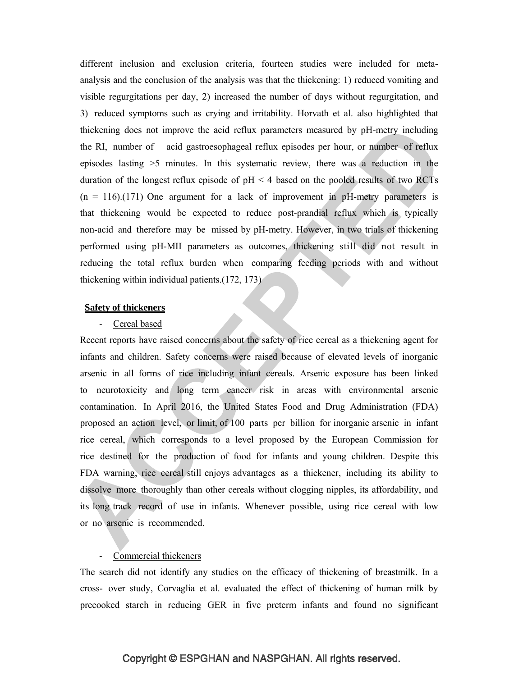different inclusion and exclusion criteria, fourteen studies were included for metaanalysis and the conclusion of the analysis was that the thickening: 1) reduced vomiting and visible regurgitations per day, 2) increased the number of days without regurgitation, and 3) reduced symptoms such as crying and irritability. Horvath et al. also highlighted that thickening does not improve the acid reflux parameters measured by pH-metry including the RI, number of acid gastroesophageal reflux episodes per hour, or number of reflux episodes lasting >5 minutes. In this systematic review, there was a reduction in the duration of the longest reflux episode of  $pH < 4$  based on the pooled results of two RCTs  $(n = 116)$ .(171) One argument for a lack of improvement in pH-metry parameters is that thickening would be expected to reduce post-prandial reflux which is typically non-acid and therefore may be missed by pH-metry. However, in two trials of thickening performed using pH-MII parameters as outcomes, thickening still did not result in reducing the total reflux burden when comparing feeding periods with and without thickening within individual patients.(172, 173)

#### **Safety of thickeners**

#### - Cereal based

Recent reports have raised concerns about the safety of rice cereal as a thickening agent for infants and children. Safety concerns were raised because of elevated levels of inorganic arsenic in all forms of rice including infant cereals. Arsenic exposure has been linked to neurotoxicity and long term cancer risk in areas with environmental arsenic contamination. In April 2016, the United States Food and Drug Administration (FDA) proposed an action level, or limit, of 100 parts per billion for inorganic arsenic in infant rice cereal, which corresponds to a level proposed by the European Commission for rice destined for the production of food for infants and young children. Despite this FDA warning, rice cereal still enjoys advantages as a thickener, including its ability to dissolve more thoroughly than other cereals without clogging nipples, its affordability, and its long track record of use in infants. Whenever possible, using rice cereal with low or no arsenic is recommended.

### - Commercial thickeners

The search did not identify any studies on the efficacy of thickening of breastmilk. In a cross- over study, Corvaglia et al. evaluated the effect of thickening of human milk by precooked starch in reducing GER in five preterm infants and found no significant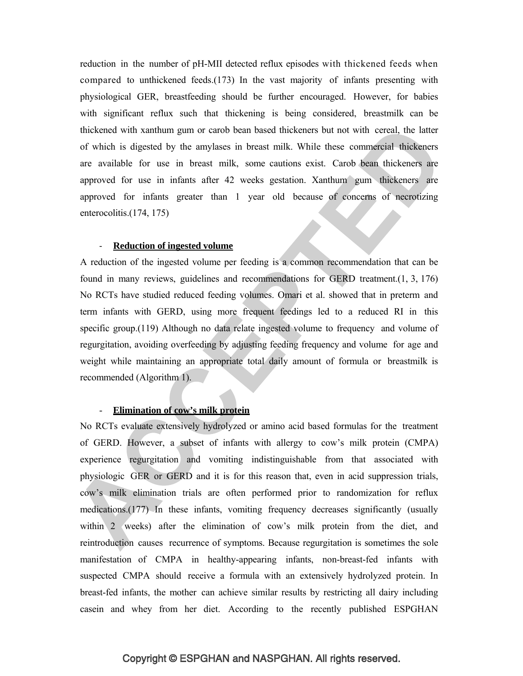reduction in the number of pH-MII detected reflux episodes with thickened feeds when compared to unthickened feeds.(173) In the vast majority of infants presenting with physiological GER, breastfeeding should be further encouraged. However, for babies with significant reflux such that thickening is being considered, breastmilk can be thickened with xanthum gum or carob bean based thickeners but not with cereal, the latter of which is digested by the amylases in breast milk. While these commercial thickeners are available for use in breast milk, some cautions exist. Carob bean thickeners are approved for use in infants after 42 weeks gestation. Xanthum gum thickeners are approved for infants greater than 1 year old because of concerns of necrotizing enterocolitis.(174, 175)

#### - **Reduction of ingested volume**

A reduction of the ingested volume per feeding is a common recommendation that can be found in many reviews, guidelines and recommendations for GERD treatment.(1, 3, 176) No RCTs have studied reduced feeding volumes. Omari et al. showed that in preterm and term infants with GERD, using more frequent feedings led to a reduced RI in this specific group.(119) Although no data relate ingested volume to frequency and volume of regurgitation, avoiding overfeeding by adjusting feeding frequency and volume for age and weight while maintaining an appropriate total daily amount of formula or breastmilk is recommended (Algorithm 1).

### - **Elimination of cow 's milk protein**

No RCTs evaluate extensively hydrolyzed or amino acid based formulas for the treatment of GERD. However, a subset of infants with allergy to cow's milk protein (CMPA) experience regurgitation and vomiting indistinguishable from that associated with physiologic GER or GERD and it is for this reason that, even in acid suppression trials, cow's milk elimination trials are often performed prior to randomization for reflux medications.(177) In these infants, vomiting frequency decreases significantly (usually within 2 weeks) after the elimination of cow's milk protein from the diet, and reintroduction causes recurrence of symptoms. Because regurgitation is sometimes the sole manifestation of CMPA in healthy-appearing infants, non-breast-fed infants with suspected CMPA should receive a formula with an extensively hydrolyzed protein. In breast-fed infants, the mother can achieve similar results by restricting all dairy including casein and whey from her diet. According to the recently published ESPGHAN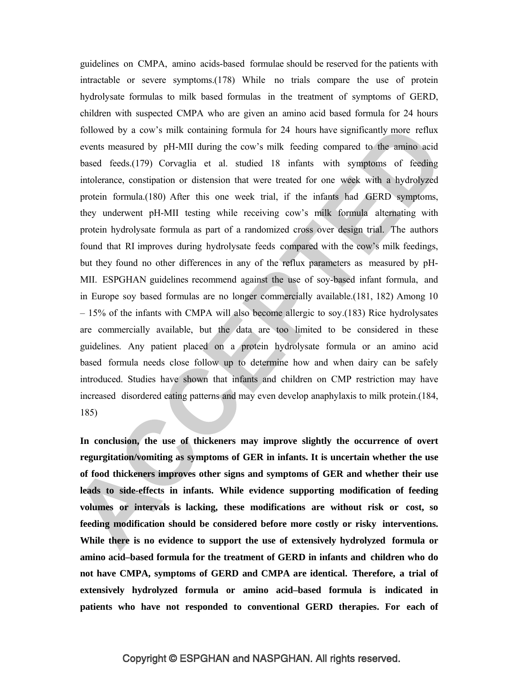guidelines on CMPA, amino acids-based formulae should be reserved for the patients with intractable or severe symptoms.(178) While no trials compare the use of protein hydrolysate formulas to milk based formulas in the treatment of symptoms of GERD, children with suspected CMPA who are given an amino acid based formula for 24 hours followed by a cow's milk containing formula for 24 hours have significantly more reflux events measured by pH-MII during the cow's milk feeding compared to the amino acid based feeds.(179) Corvaglia et al. studied 18 infants with symptoms of feeding intolerance, constipation or distension that were treated for one week with a hydrolyzed protein formula.(180) After this one week trial, if the infants had GERD symptoms, they underwent pH-MII testing while receiving cow's milk formula alternating with protein hydrolysate formula as part of a randomized cross over design trial. The authors found that RI improves during hydrolysate feeds compared with the cow's milk feedings, but they found no other differences in any of the reflux parameters as measured by pH-MII. ESPGHAN guidelines recommend against the use of soy-based infant formula, and in Europe soy based formulas are no longer commercially available.(181, 182) Among 10 – 15% of the infants with CMPA will also become allergic to soy.(183) Rice hydrolysates are commercially available, but the data are too limited to be considered in these guidelines. Any patient placed on a protein hydrolysate formula or an amino acid based formula needs close follow up to determine how and when dairy can be safely introduced. Studies have shown that infants and children on CMP restriction may have increased disordered eating patterns and may even develop anaphylaxis to milk protein.(184, 185)

**In conclusion, the use of thickeners may improve slightly the occurrence of overt regurgitation/vomiting as symptoms of GER in infants. It is uncertain whether the use of food thickeners improves other signs and symptoms of GER and whether their use leads to side-effects in infants. While evidence supporting modification of feeding volumes or intervals is lacking, these modifications are without risk or cost, so feeding modification should be considered before more costly or risky interventions. While there is no evidence to support the use of extensively hydrolyzed formula or amino acid–based formula for the treatment of GERD in infants and children who do not have CMPA, symptoms of GERD and CMPA are identical. Therefore, a trial of extensively hydrolyzed formula or amino acid–based formula is indicated in patients who have not responded to conventional GERD therapies. For each of**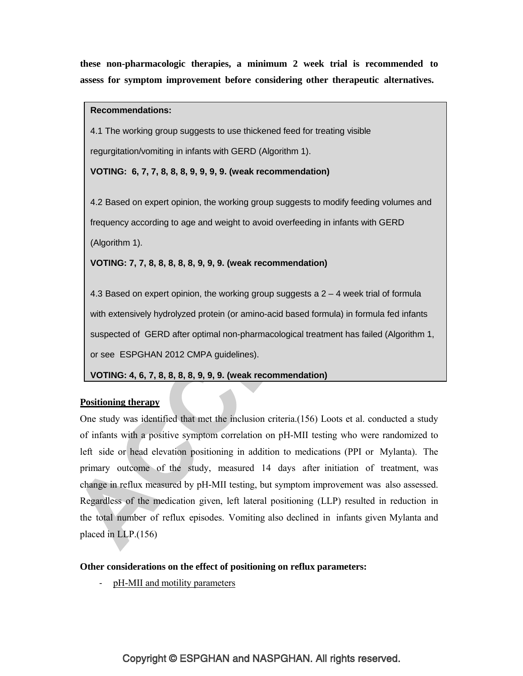**these non-pharmacologic therapies, a minimum 2 week trial is recommended to assess for symptom improvement before considering other therapeutic alternatives.**

### **Recommendations:**

4.1 The working group suggests to use thickened feed for treating visible regurgitation/vomiting in infants with GERD (Algorithm 1).

**VOTING: 6, 7, 7, 8, 8, 8, 9, 9, 9, 9. (weak recommendation)**

4.2 Based on expert opinion, the working group suggests to modify feeding volumes and frequency according to age and weight to avoid overfeeding in infants with GERD (Algorithm 1).

**VOTING: 7, 7, 8, 8, 8, 8, 8, 9, 9, 9. (weak recommendation)**

4.3 Based on expert opinion, the working group suggests a  $2 - 4$  week trial of formula with extensively hydrolyzed protein (or amino-acid based formula) in formula fed infants suspected of GERD after optimal non-pharmacological treatment has failed (Algorithm 1, or see ESPGHAN 2012 CMPA guidelines).

**VOTING: 4, 6, 7, 8, 8, 8, 8, 9, 9, 9. (weak recommendation)**

# **Positioning therapy**

One study was identified that met the inclusion criteria.(156) Loots et al. conducted a study of infants with a positive symptom correlation on pH-MII testing who were randomized to left side or head elevation positioning in addition to medications (PPI or Mylanta). The primary outcome of the study, measured 14 days after initiation of treatment, was change in reflux measured by pH-MII testing, but symptom improvement was also assessed. Regardless of the medication given, left lateral positioning (LLP) resulted in reduction in the total number of reflux episodes. Vomiting also declined in infants given Mylanta and placed in LLP.(156)

# **Other considerations on the effect of positioning on reflux parameters:**

pH-MII and motility parameters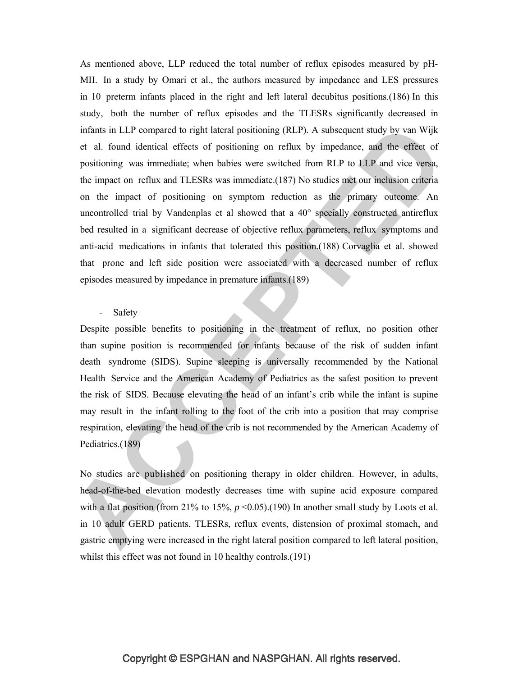As mentioned above, LLP reduced the total number of reflux episodes measured by pH-MII. In a study by Omari et al., the authors measured by impedance and LES pressures in 10 preterm infants placed in the right and left lateral decubitus positions.(186) In this study, both the number of reflux episodes and the TLESRs significantly decreased in infants in LLP compared to right lateral positioning (RLP). A subsequent study by van Wijk et al. found identical effects of positioning on reflux by impedance, and the effect of positioning was immediate; when babies were switched from RLP to LLP and vice versa, the impact on reflux and TLESRs was immediate.(187) No studies met our inclusion criteria on the impact of positioning on symptom reduction as the primary outcome. An uncontrolled trial by Vandenplas et al showed that a 40° specially constructed antireflux bed resulted in a significant decrease of objective reflux parameters, reflux symptoms and anti-acid medications in infants that tolerated this position.(188) Corvaglia et al. showed that prone and left side position were associated with a decreased number of reflux episodes measured by impedance in premature infants.(189)

### - Safety

Despite possible benefits to positioning in the treatment of reflux, no position other than supine position is recommended for infants because of the risk of sudden infant death syndrome (SIDS). Supine sleeping is universally recommended by the National Health Service and the American Academy of Pediatrics as the safest position to prevent the risk of SIDS. Because elevating the head of an infant's crib while the infant is supine may result in the infant rolling to the foot of the crib into a position that may comprise respiration, elevating the head of the crib is not recommended by the American Academy of Pediatrics.(189)

No studies are published on positioning therapy in older children. However, in adults, head-of-the-bed elevation modestly decreases time with supine acid exposure compared with a flat position (from 21% to 15%,  $p \le 0.05$ ).(190) In another small study by Loots et al. in 10 adult GERD patients, TLESRs, reflux events, distension of proximal stomach, and gastric emptying were increased in the right lateral position compared to left lateral position, whilst this effect was not found in 10 healthy controls.(191)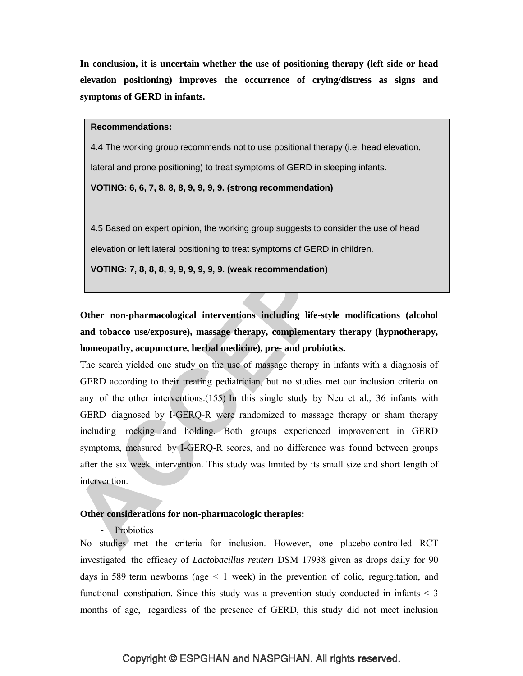**In conclusion, it is uncertain whether the use of positioning therapy (left side or head elevation positioning) improves the occurrence of crying/distress as signs and symptoms of GERD in infants.**

**Recommendations:**

4.4 The working group recommends not to use positional therapy (i.e. head elevation, lateral and prone positioning) to treat symptoms of GERD in sleeping infants.

**VOTING: 6, 6, 7, 8, 8, 8, 9, 9, 9, 9. (strong recommendation)**

4.5 Based on expert opinion, the working group suggests to consider the use of head

elevation or left lateral positioning to treat symptoms of GERD in children.

**VOTING: 7, 8, 8, 8, 9, 9, 9, 9, 9, 9. (weak recommendation)**

**Other non-pharmacological interventions including life-style modifications (alcohol and tobacco use/exposure), massage therapy, complementary therapy (hypnotherapy, homeopathy, acupuncture, herbal medicine), pre- and probiotics.**

The search yielded one study on the use of massage therapy in infants with a diagnosis of GERD according to their treating pediatrician, but no studies met our inclusion criteria on any of the other interventions.(155) In this single study by Neu et al., 36 infants with GERD diagnosed by I-GERQ-R were randomized to massage therapy or sham therapy including rocking and holding. Both groups experienced improvement in GERD symptoms, measured by I-GERQ-R scores, and no difference was found between groups after the six week intervention. This study was limited by its small size and short length of intervention.

### **Other considerations for non-pharmacologic therapies:**

**Probiotics** 

No studies met the criteria for inclusion. However, one placebo-controlled RCT investigated the efficacy of *Lactobacillus reuteri* DSM 17938 given as drops daily for 90 days in 589 term newborns (age  $\leq 1$  week) in the prevention of colic, regurgitation, and functional constipation. Since this study was a prevention study conducted in infants  $\leq$  3 months of age, regardless of the presence of GERD, this study did not meet inclusion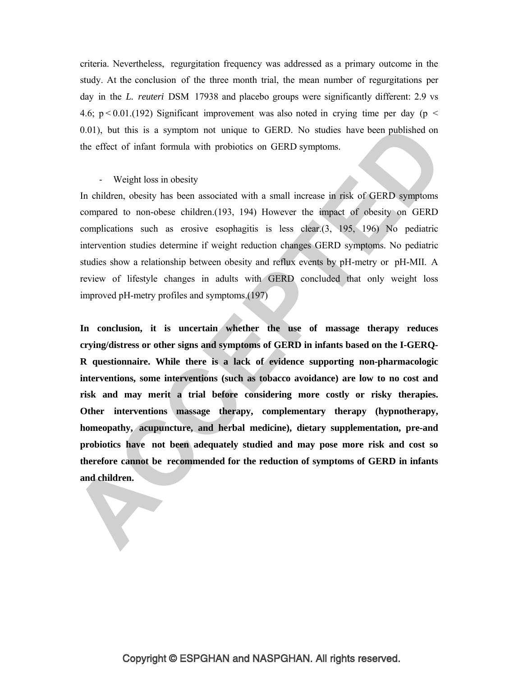criteria. Nevertheless, regurgitation frequency was addressed as a primary outcome in the study. At the conclusion of the three month trial, the mean number of regurgitations per day in the *L. reuteri* DSM 17938 and placebo groups were significantly different: 2.9 vs 4.6;  $p < 0.01$ .(192) Significant improvement was also noted in crying time per day (p  $\le$ 0.01), but this is a symptom not unique to GERD. No studies have been published on the effect of infant formula with probiotics on GERD symptoms.

#### - Weight loss in obesity

In children, obesity has been associated with a small increase in risk of GERD symptoms compared to non-obese children.(193, 194) However the impact of obesity on GERD complications such as erosive esophagitis is less clear.(3, 195, 196) No pediatric intervention studies determine if weight reduction changes GERD symptoms. No pediatric studies show a relationship between obesity and reflux events by pH-metry or pH-MII. A review of lifestyle changes in adults with GERD concluded that only weight loss improved pH-metry profiles and symptoms.(197)

**In conclusion, it is uncertain whether the use of massage therapy reduces crying/distress or other signs and symptoms of GERD in infants based on the I-GERQ-R questionnaire. While there is a lack of evidence supporting non-pharmacologic interventions, some interventions (such as tobacco avoidance) are low to no cost and risk and may merit a trial before considering more costly or risky therapies. Other interventions massage therapy, complementary therapy (hypnotherapy, homeopathy, acupuncture, and herbal medicine), dietary supplementation, pre-and probiotics have not been adequately studied and may pose more risk and cost so therefore cannot be recommended for the reduction of symptoms of GERD in infants and children.**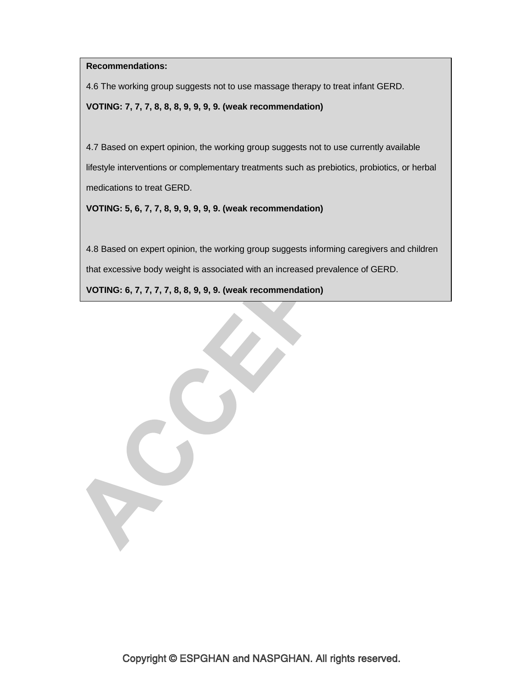**Recommendations:**

4.6 The working group suggests not to use massage therapy to treat infant GERD.

**VOTING: 7, 7, 7, 8, 8, 8, 9, 9, 9, 9. (weak recommendation)**

4.7 Based on expert opinion, the working group suggests not to use currently available lifestyle interventions or complementary treatments such as prebiotics, probiotics, or herbal medications to treat GERD.

**VOTING: 5, 6, 7, 7, 8, 9, 9, 9, 9, 9. (weak recommendation)**

4.8 Based on expert opinion, the working group suggests informing caregivers and children that excessive body weight is associated with an increased prevalence of GERD.

**VOTING: 6, 7, 7, 7, 7, 8, 8, 9, 9, 9. (weak recommendation)**

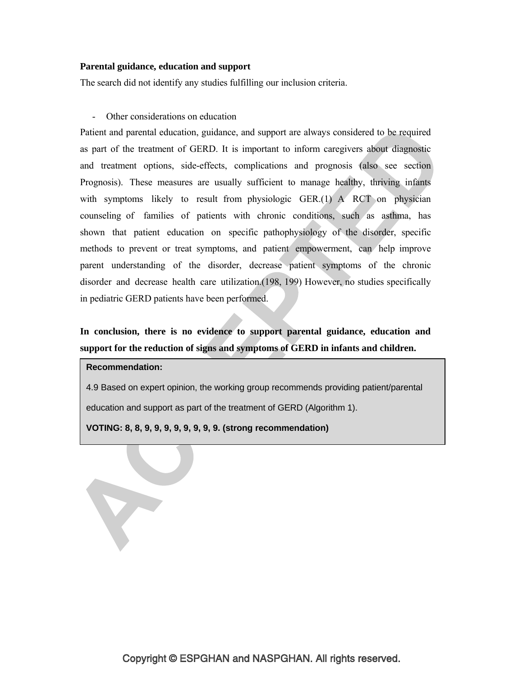#### **Parental guidance, education and support**

The search did not identify any studies fulfilling our inclusion criteria.

### - Other considerations on education

Patient and parental education, guidance, and support are always considered to be required as part of the treatment of GERD. It is important to inform caregivers about diagnostic and treatment options, side-effects, complications and prognosis (also see section Prognosis). These measures are usually sufficient to manage healthy, thriving infants with symptoms likely to result from physiologic GER.(1) A RCT on physician counseling of families of patients with chronic conditions, such as asthma, has shown that patient education on specific pathophysiology of the disorder, specific methods to prevent or treat symptoms, and patient empowerment, can help improve parent understanding of the disorder, decrease patient symptoms of the chronic disorder and decrease health care utilization.(198, 199) However, no studies specifically in pediatric GERD patients have been performed.

# **In conclusion, there is no evidence to support parental guidance, education and support for the reduction of signs and symptoms of GERD in infants and children.**

### **Recommendation:**

Y

4.9 Based on expert opinion, the working group recommends providing patient/parental

education and support as part of the treatment of GERD (Algorithm 1).

**VOTING: 8, 8, 9, 9, 9, 9, 9, 9, 9, 9. (strong recommendation)**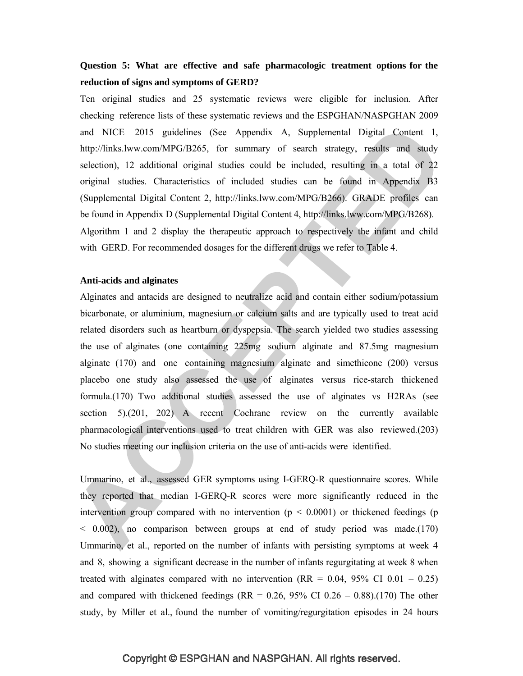# **Question 5: What are effective and safe pharmacologic treatment options for the reduction of signs and symptoms of GERD?**

Ten original studies and 25 systematic reviews were eligible for inclusion. After checking reference lists of these systematic reviews and the ESPGHAN/NASPGHAN 2009 and NICE 2015 guidelines (See Appendix A, Supplemental Digital Content 1, http://links.lww.com/MPG/B265, for summary of search strategy, results and study selection), 12 additional original studies could be included, resulting in a total of 22 original studies. Characteristics of included studies can be found in Appendix B3 (Supplemental Digital Content 2, http://links.lww.com/MPG/B266). GRADE profiles can be found in Appendix D (Supplemental Digital Content 4, http://links.lww.com/MPG/B268). Algorithm 1 and 2 display the therapeutic approach to respectively the infant and child with GERD. For recommended dosages for the different drugs we refer to Table 4.

#### **Anti-acids and alginates**

Alginates and antacids are designed to neutralize acid and contain either sodium/potassium bicarbonate, or aluminium, magnesium or calcium salts and are typically used to treat acid related disorders such as heartburn or dyspepsia. The search yielded two studies assessing the use of alginates (one containing 225mg sodium alginate and 87.5mg magnesium alginate (170) and one containing magnesium alginate and simethicone (200) versus placebo one study also assessed the use of alginates versus rice-starch thickened formula.(170) Two additional studies assessed the use of alginates vs H2RAs (see section 5).(201, 202) A recent Cochrane review on the currently available pharmacological interventions used to treat children with GER was also reviewed.(203) No studies meeting our inclusion criteria on the use of anti-acids were identified.

Ummarino, et al., assessed GER symptoms using I-GERQ-R questionnaire scores. While they reported that median I-GERQ-R scores were more significantly reduced in the intervention group compared with no intervention  $(p < 0.0001)$  or thickened feedings (p < 0.002), no comparison between groups at end of study period was made.(170) Ummarino, et al., reported on the number of infants with persisting symptoms at week 4 and 8, showing a significant decrease in the number of infants regurgitating at week 8 when treated with alginates compared with no intervention  $(RR = 0.04, 95\% \text{ CI } 0.01 - 0.25)$ and compared with thickened feedings (RR =  $0.26$ , 95% CI  $0.26 - 0.88$ ).(170) The other study, by Miller et al., found the number of vomiting/regurgitation episodes in 24 hours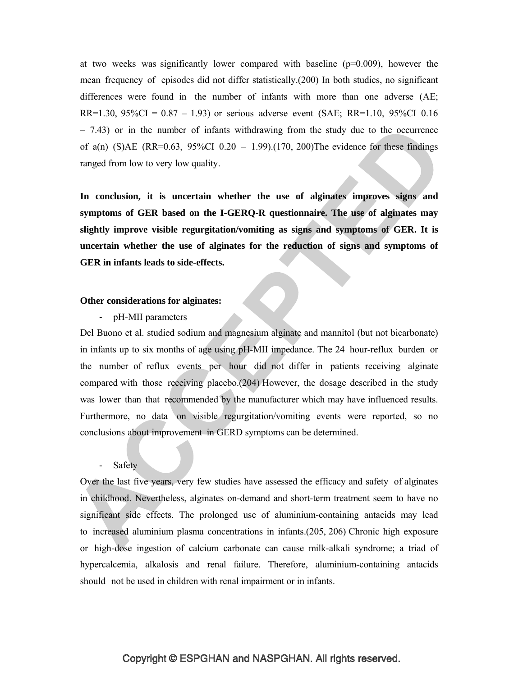at two weeks was significantly lower compared with baseline  $(p=0.009)$ , however the mean frequency of episodes did not differ statistically.(200) In both studies, no significant differences were found in the number of infants with more than one adverse (AE; RR=1.30, 95%CI =  $0.87 - 1.93$ ) or serious adverse event (SAE; RR=1.10, 95%CI 0.16  $-7.43$ ) or in the number of infants withdrawing from the study due to the occurrence of a(n) (S)AE (RR=0.63, 95%CI 0.20 – 1.99).(170, 200)The evidence for these findings ranged from low to very low quality.

**In conclusion, it is uncertain whether the use of alginates improves signs and symptoms of GER based on the I-GERQ-R questionnaire. The use of alginates may slightly improve visible regurgitation/vomiting as signs and symptoms of GER. It is uncertain whether the use of alginates for the reduction of signs and symptoms of GER in infants leads to side-effects.**

### **Other considerations for alginates:**

- pH-MII parameters

Del Buono et al. studied sodium and magnesium alginate and mannitol (but not bicarbonate) in infants up to six months of age using pH-MII impedance. The 24 hour-reflux burden or the number of reflux events per hour did not differ in patients receiving alginate compared with those receiving placebo.(204) However, the dosage described in the study was lower than that recommended by the manufacturer which may have influenced results. Furthermore, no data on visible regurgitation/vomiting events were reported, so no conclusions about improvement in GERD symptoms can be determined.

#### - Safety

Over the last five years, very few studies have assessed the efficacy and safety of alginates in childhood. Nevertheless, alginates on-demand and short-term treatment seem to have no significant side effects. The prolonged use of aluminium-containing antacids may lead to increased aluminium plasma concentrations in infants.(205, 206) Chronic high exposure or high-dose ingestion of calcium carbonate can cause milk-alkali syndrome; a triad of hypercalcemia, alkalosis and renal failure. Therefore, aluminium-containing antacids should not be used in children with renal impairment or in infants.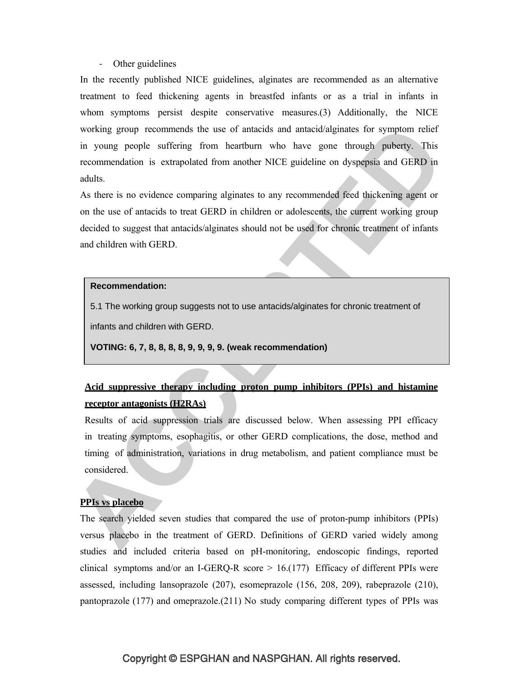#### - Other guidelines

In the recently published NICE guidelines, alginates are recommended as an alternative treatment to feed thickening agents in breastfed infants or as a trial in infants in whom symptoms persist despite conservative measures.(3) Additionally, the NICE working group recommends the use of antacids and antacid/alginates for symptom relief in young people suffering from heartburn who have gone through puberty. This recommendation is extrapolated from another NICE guideline on dyspepsia and GERD in adults.

As there is no evidence comparing alginates to any recommended feed thickening agent or on the use of antacids to treat GERD in children or adolescents, the current working group decided to suggest that antacids/alginates should not be used for chronic treatment of infants and children with GERD.

#### **Recommendation:**

5.1 The working group suggests not to use antacids/alginates for chronic treatment of

infants and children with GERD.

**VOTING: 6, 7, 8, 8, 8, 8, 9, 9, 9, 9. (weak recommendation)**

# **Acid suppressive therapy including proton pump inhibitors (PPIs) and histamine receptor antagonists (H2RAs)**

Results of acid suppression trials are discussed below. When assessing PPI efficacy in treating symptoms, esophagitis, or other GERD complications, the dose, method and timing of administration, variations in drug metabolism, and patient compliance must be considered.

#### **PPIs vs placebo**

The search yielded seven studies that compared the use of proton-pump inhibitors (PPIs) versus placebo in the treatment of GERD. Definitions of GERD varied widely among studies and included criteria based on pH-monitoring, endoscopic findings, reported clinical symptoms and/or an I-GERQ-R score  $> 16.177$ ) Efficacy of different PPIs were assessed, including lansoprazole (207), esomeprazole (156, 208, 209), rabeprazole (210), pantoprazole (177) and omeprazole.(211) No study comparing different types of PPIs was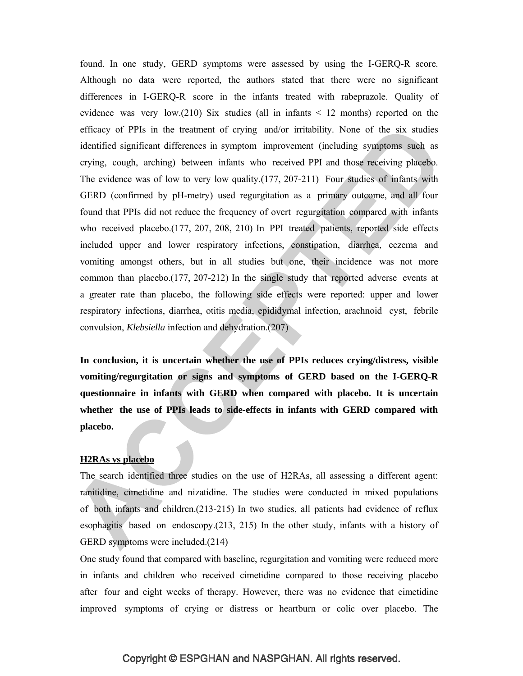found. In one study, GERD symptoms were assessed by using the I-GERQ-R score. Although no data were reported, the authors stated that there were no significant differences in I-GERQ-R score in the infants treated with rabeprazole. Quality of evidence was very low.(210) Six studies (all in infants  $\leq$  12 months) reported on the efficacy of PPIs in the treatment of crying and/or irritability. None of the six studies identified significant differences in symptom improvement (including symptoms such as crying, cough, arching) between infants who received PPI and those receiving placebo. The evidence was of low to very low quality.(177, 207-211) Four studies of infants with GERD (confirmed by pH-metry) used regurgitation as a primary outcome, and all four found that PPIs did not reduce the frequency of overt regurgitation compared with infants who received placebo.(177, 207, 208, 210) In PPI treated patients, reported side effects included upper and lower respiratory infections, constipation, diarrhea, eczema and vomiting amongst others, but in all studies but one, their incidence was not more common than placebo.(177, 207-212) In the single study that reported adverse events at a greater rate than placebo, the following side effects were reported: upper and lower respiratory infections, diarrhea, otitis media, epididymal infection, arachnoid cyst, febrile convulsion, *Klebsiella* infection and dehydration.(207)

**In conclusion, it is uncertain whether the use of PPIs reduces crying/distress, visible vomiting/regurgitation or signs and symptoms of GERD based on the I-GERQ-R questionnaire in infants with GERD when compared with placebo. It is uncertain whether the use of PPIs leads to side-effects in infants with GERD compared with placebo.**

#### **H2RAs vs placebo**

The search identified three studies on the use of H2RAs, all assessing a different agent: ranitidine, cimetidine and nizatidine. The studies were conducted in mixed populations of both infants and children.(213-215) In two studies, all patients had evidence of reflux esophagitis based on endoscopy.(213, 215) In the other study, infants with a history of GERD symptoms were included.(214)

One study found that compared with baseline, regurgitation and vomiting were reduced more in infants and children who received cimetidine compared to those receiving placebo after four and eight weeks of therapy. However, there was no evidence that cimetidine improved symptoms of crying or distress or heartburn or colic over placebo. The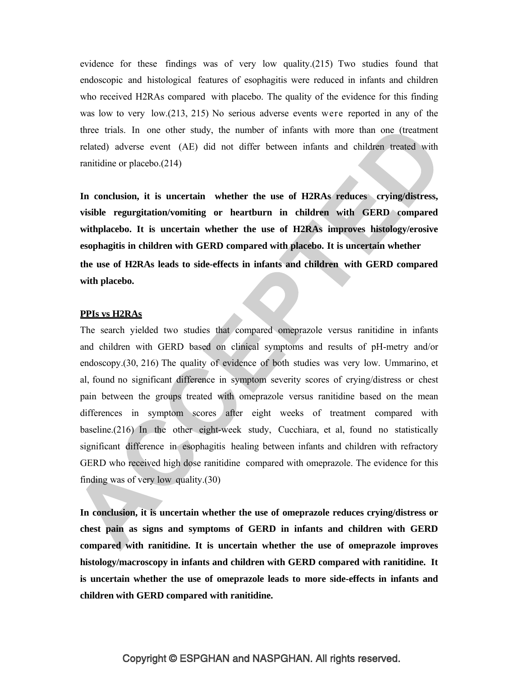evidence for these findings was of very low quality.(215) Two studies found that endoscopic and histological features of esophagitis were reduced in infants and children who received H2RAs compared with placebo. The quality of the evidence for this finding was low to very low.(213, 215) No serious adverse events were reported in any of the three trials. In one other study, the number of infants with more than one (treatment related) adverse event (AE) did not differ between infants and children treated with ranitidine or placebo.(214)

**In conclusion, it is uncertain whether the use of H2RAs reduces crying/distress, visible regurgitation/vomiting or heartburn in children with GERD compared withplacebo. It is uncertain whether the use of H2RAs improves histology/erosive esophagitis in children with GERD compared with placebo. It is uncertain whether the use of H2RAs leads to side-effects in infants and children with GERD compared with placebo.**

### **PPIs vs H2RAs**

The search yielded two studies that compared omeprazole versus ranitidine in infants and children with GERD based on clinical symptoms and results of pH-metry and/or endoscopy.(30, 216) The quality of evidence of both studies was very low. Ummarino, et al, found no significant difference in symptom severity scores of crying/distress or chest pain between the groups treated with omeprazole versus ranitidine based on the mean differences in symptom scores after eight weeks of treatment compared with baseline.(216) In the other eight-week study, Cucchiara, et al, found no statistically significant difference in esophagitis healing between infants and children with refractory GERD who received high dose ranitidine compared with omeprazole. The evidence for this finding was of very low quality.(30)

**In conclusion, it is uncertain whether the use of omeprazole reduces crying/distress or chest pain as signs and symptoms of GERD in infants and children with GERD compared with ranitidine. It is uncertain whether the use of omeprazole improves histology/macroscopy in infants and children with GERD compared with ranitidine. It is uncertain whether the use of omeprazole leads to more side-effects in infants and children with GERD compared with ranitidine.**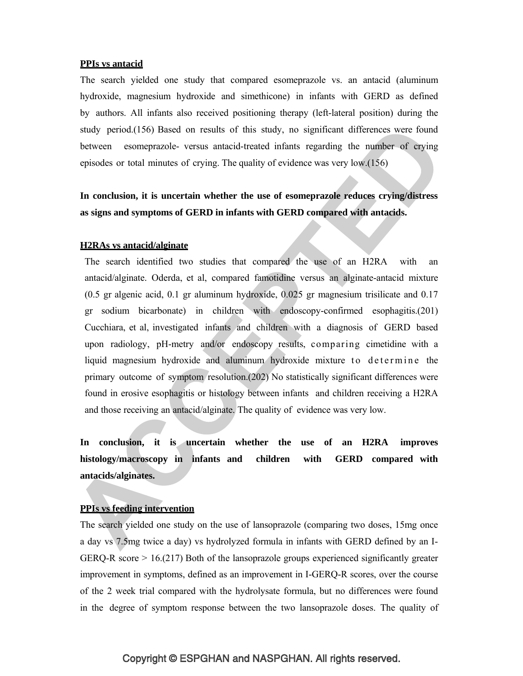#### **PPIs vs antacid**

The search yielded one study that compared esomeprazole vs. an antacid (aluminum hydroxide, magnesium hydroxide and simethicone) in infants with GERD as defined by authors. All infants also received positioning therapy (left-lateral position) during the study period.(156) Based on results of this study, no significant differences were found between esomeprazole- versus antacid-treated infants regarding the number of crying episodes or total minutes of crying. The quality of evidence was very low.(156)

**In conclusion, it is uncertain whether the use of esomeprazole reduces crying/distress as signs and symptoms of GERD in infants with GERD compared with antacids.**

#### **H2RAs vs antacid/alginate**

The search identified two studies that compared the use of an H2RA with an antacid/alginate. Oderda, et al, compared famotidine versus an alginate-antacid mixture (0.5 gr algenic acid, 0.1 gr aluminum hydroxide, 0.025 gr magnesium trisilicate and 0.17 gr sodium bicarbonate) in children with endoscopy-confirmed esophagitis.(201) Cucchiara, et al, investigated infants and children with a diagnosis of GERD based upon radiology, pH-metry and/or endoscopy results, comparing cimetidine with a liquid magnesium hydroxide and aluminum hydroxide mixture to determine the primary outcome of symptom resolution.(202) No statistically significant differences were found in erosive esophagitis or histology between infants and children receiving a H2RA and those receiving an antacid/alginate. The quality of evidence was very low.

**In conclusion, it is uncertain whether the use of an H2RA improves histology/macroscopy in infants and children with GERD compared with antacids/alginates.**

### **PPIs vs feeding intervention**

The search yielded one study on the use of lansoprazole (comparing two doses, 15mg once a day vs 7.5mg twice a day) vs hydrolyzed formula in infants with GERD defined by an I-GERQ-R score  $> 16.217$ ) Both of the lansoprazole groups experienced significantly greater improvement in symptoms, defined as an improvement in I-GERQ-R scores, over the course of the 2 week trial compared with the hydrolysate formula, but no differences were found in the degree of symptom response between the two lansoprazole doses. The quality of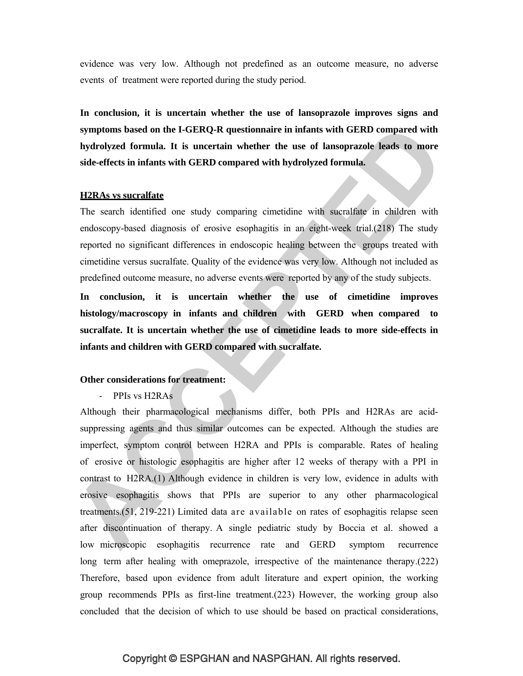evidence was very low. Although not predefined as an outcome measure, no adverse events of treatment were reported during the study period.

**In conclusion, it is uncertain whether the use of lansoprazole improves signs and symptoms based on the I-GERQ-R questionnaire in infants with GERD compared with hydrolyzed formula. It is uncertain whether the use of lansoprazole leads to more side-effects in infants with GERD compared with hydrolyzed formula.**

#### **H2RAs vs sucralfate**

The search identified one study comparing cimetidine with sucralfate in children with endoscopy-based diagnosis of erosive esophagitis in an eight-week trial.(218) The study reported no significant differences in endoscopic healing between the groups treated with cimetidine versus sucralfate. Quality of the evidence was very low. Although not included as predefined outcome measure, no adverse events were reported by any of the study subjects.

**In conclusion, it is uncertain whether the use of cimetidine improves histology/macroscopy in infants and children with GERD when compared to sucralfate. It is uncertain whether the use of cimetidine leads to more side-effects in infants and children with GERD compared with sucralfate.**

### **Other considerations for treatment:**

- PPIs vs H2RAs

Although their pharmacological mechanisms differ, both PPIs and H2RAs are acidsuppressing agents and thus similar outcomes can be expected. Although the studies are imperfect, symptom control between H2RA and PPIs is comparable. Rates of healing of erosive or histologic esophagitis are higher after 12 weeks of therapy with a PPI in contrast to H2RA.(1) Although evidence in children is very low, evidence in adults with erosive esophagitis shows that PPIs are superior to any other pharmacological treatments.(51, 219-221) Limited data are available on rates of esophagitis relapse seen after discontinuation of therapy. A single pediatric study by Boccia et al. showed a low microscopic esophagitis recurrence rate and GERD symptom recurrence long term after healing with omeprazole, irrespective of the maintenance therapy.(222) Therefore, based upon evidence from adult literature and expert opinion, the working group recommends PPIs as first-line treatment.(223) However, the working group also concluded that the decision of which to use should be based on practical considerations,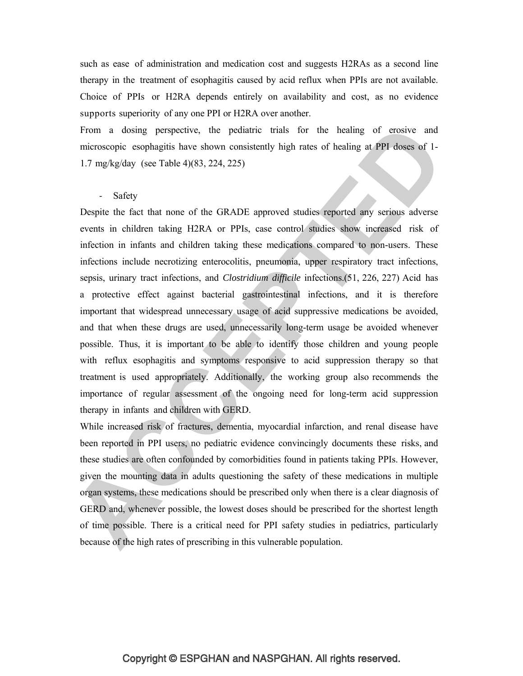such as ease of administration and medication cost and suggests H2RAs as a second line therapy in the treatment of esophagitis caused by acid reflux when PPIs are not available. Choice of PPIs or H2RA depends entirely on availability and cost, as no evidence supports superiority of any one PPI or H2RA over another.

From a dosing perspective, the pediatric trials for the healing of erosive and microscopic esophagitis have shown consistently high rates of healing at PPI doses of 1- 1.7 mg/kg/day (see Table 4)(83, 224, 225)

#### - Safety

Despite the fact that none of the GRADE approved studies reported any serious adverse events in children taking H2RA or PPIs, case control studies show increased risk of infection in infants and children taking these medications compared to non-users. These infections include necrotizing enterocolitis, pneumonia, upper respiratory tract infections, sepsis, urinary tract infections, and *Clostridium difficile* infections.(51, 226, 227) Acid has a protective effect against bacterial gastrointestinal infections, and it is therefore important that widespread unnecessary usage of acid suppressive medications be avoided, and that when these drugs are used, unnecessarily long-term usage be avoided whenever possible. Thus, it is important to be able to identify those children and young people with reflux esophagitis and symptoms responsive to acid suppression therapy so that treatment is used appropriately. Additionally, the working group also recommends the importance of regular assessment of the ongoing need for long-term acid suppression therapy in infants and children with GERD.

While increased risk of fractures, dementia, myocardial infarction, and renal disease have been reported in PPI users, no pediatric evidence convincingly documents these risks, and these studies are often confounded by comorbidities found in patients taking PPIs. However, given the mounting data in adults questioning the safety of these medications in multiple organ systems, these medications should be prescribed only when there is a clear diagnosis of GERD and, whenever possible, the lowest doses should be prescribed for the shortest length of time possible. There is a critical need for PPI safety studies in pediatrics, particularly because of the high rates of prescribing in this vulnerable population.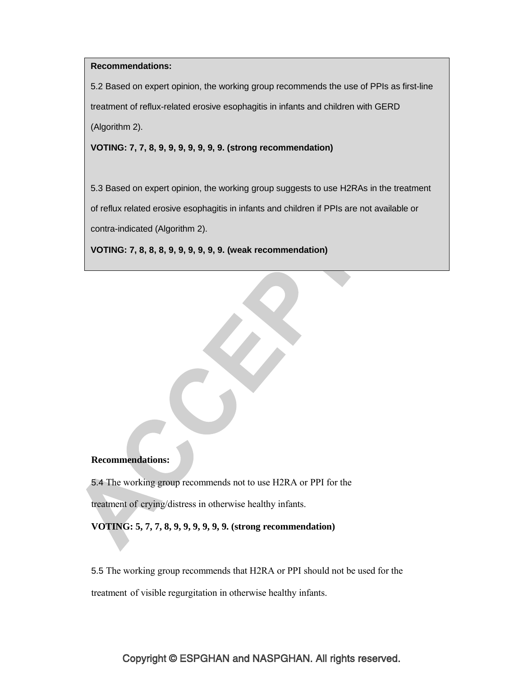### **Recommendations:**

5.2 Based on expert opinion, the working group recommends the use of PPIs as first-line treatment of reflux-related erosive esophagitis in infants and children with GERD (Algorithm 2).

**VOTING: 7, 7, 8, 9, 9, 9, 9, 9, 9, 9. (strong recommendation)**

5.3 Based on expert opinion, the working group suggests to use H2RAs in the treatment of reflux related erosive esophagitis in infants and children if PPIs are not available or contra-indicated (Algorithm 2).

**VOTING: 7, 8, 8, 8, 9, 9, 9, 9, 9, 9. (weak recommendation)**

#### **Recommendations:**

5.4 The working group recommends not to use H2RA or PPI for the

treatment of crying/distress in otherwise healthy infants.

**VOTING: 5, 7, 7, 8, 9, 9, 9, 9, 9, 9. (strong recommendation)**

5.5 The working group recommends that H2RA or PPI should not be used for the treatment of visible regurgitation in otherwise healthy infants.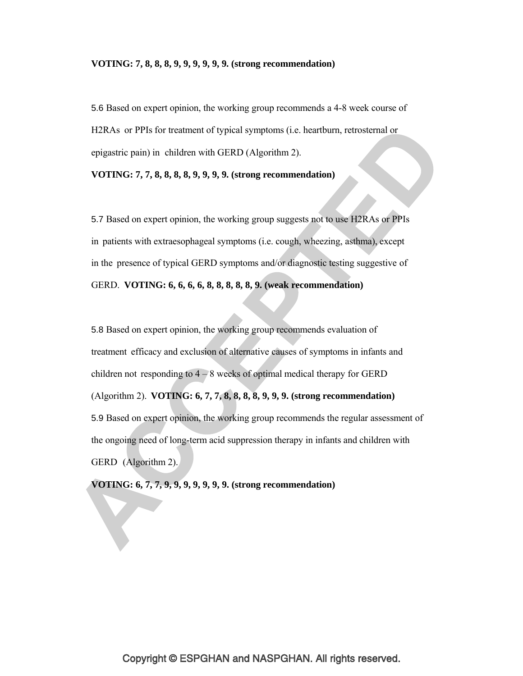#### **VOTING: 7, 8, 8, 8, 9, 9, 9, 9, 9, 9. (strong recommendation)**

5.6 Based on expert opinion, the working group recommends a 4-8 week course of H2RAs or PPIs for treatment of typical symptoms (i.e. heartburn, retrosternal or epigastric pain) in children with GERD (Algorithm 2).

**VOTING: 7, 7, 8, 8, 8, 8, 9, 9, 9, 9. (strong recommendation)**

5.7 Based on expert opinion, the working group suggests not to use H2RAs or PPIs in patients with extraesophageal symptoms (i.e. cough, wheezing, asthma), except in the presence of typical GERD symptoms and/or diagnostic testing suggestive of GERD. **VOTING: 6, 6, 6, 6, 8, 8, 8, 8, 8, 9. (weak recommendation)**

5.8 Based on expert opinion, the working group recommends evaluation of treatment efficacy and exclusion of alternative causes of symptoms in infants and children not responding to  $4 - 8$  weeks of optimal medical therapy for GERD (Algorithm 2). **VOTING: 6, 7, 7, 8, 8, 8, 8, 9, 9, 9. (strong recommendation)** 5.9 Based on expert opinion, the working group recommends the regular assessment of the ongoing need of long-term acid suppression therapy in infants and children with GERD (Algorithm 2).

**VOTING: 6, 7, 7, 9, 9, 9, 9, 9, 9, 9. (strong recommendation)**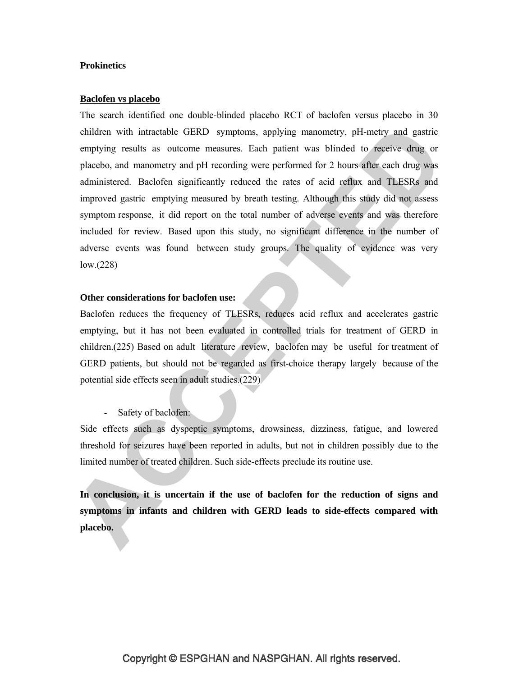### **Prokinetics**

#### **Baclofen vs placebo**

The search identified one double-blinded placebo RCT of baclofen versus placebo in 30 children with intractable GERD symptoms, applying manometry, pH-metry and gastric emptying results as outcome measures. Each patient was blinded to receive drug or placebo, and manometry and pH recording were performed for 2 hours after each drug was administered. Baclofen significantly reduced the rates of acid reflux and TLESRs and improved gastric emptying measured by breath testing. Although this study did not assess symptom response, it did report on the total number of adverse events and was therefore included for review. Based upon this study, no significant difference in the number of adverse events was found between study groups. The quality of evidence was very low.(228)

### **Other considerations for baclofen use:**

Baclofen reduces the frequency of TLESRs, reduces acid reflux and accelerates gastric emptying, but it has not been evaluated in controlled trials for treatment of GERD in children.(225) Based on adult literature review, baclofen may be useful for treatment of GERD patients, but should not be regarded as first-choice therapy largely because of the potential side effects seen in adult studies.(229)

Safety of baclofen:

Side effects such as dyspeptic symptoms, drowsiness, dizziness, fatigue, and lowered threshold for seizures have been reported in adults, but not in children possibly due to the limited number of treated children. Such side-effects preclude its routine use.

**In conclusion, it is uncertain if the use of baclofen for the reduction of signs and symptoms in infants and children with GERD leads to side-effects compared with placebo.**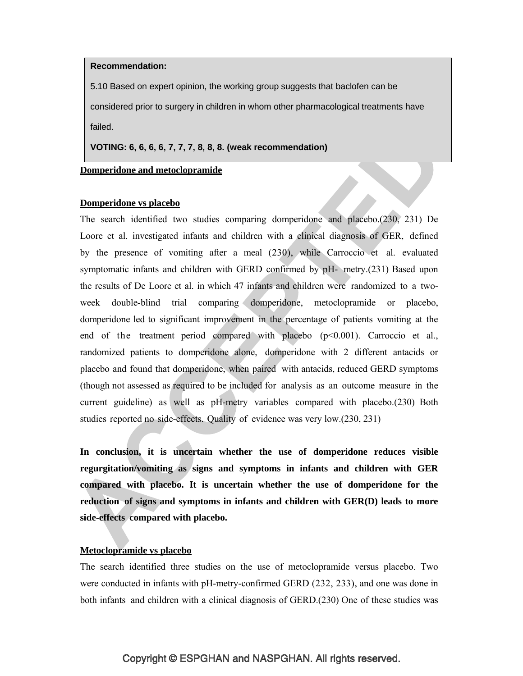#### **Recommendation:**

5.10 Based on expert opinion, the working group suggests that baclofen can be considered prior to surgery in children in whom other pharmacological treatments have failed.

**VOTING: 6, 6, 6, 6, 7, 7, 7, 8, 8, 8. (weak recommendation)**

### **Domperidone and metoclopramide**

#### **Domperidone vs placebo**

The search identified two studies comparing domperidone and placebo.(230, 231) De Loore et al. investigated infants and children with a clinical diagnosis of GER, defined by the presence of vomiting after a meal (230), while Carroccio et al. evaluated symptomatic infants and children with GERD confirmed by pH- metry.(231) Based upon the results of De Loore et al. in which 47 infants and children were randomized to a twoweek double-blind trial comparing domperidone, metoclopramide or placebo, domperidone led to significant improvement in the percentage of patients vomiting at the end of the treatment period compared with placebo (p<0.001). Carroccio et al., randomized patients to domperidone alone, domperidone with 2 different antacids or placebo and found that domperidone, when paired with antacids, reduced GERD symptoms (though not assessed as required to be included for analysis as an outcome measure in the current guideline) as well as pH-metry variables compared with placebo.(230) Both studies reported no side-effects. Quality of evidence was very low.(230, 231)

**In conclusion, it is uncertain whether the use of domperidone reduces visible regurgitation/vomiting as signs and symptoms in infants and children with GER compared with placebo. It is uncertain whether the use of domperidone for the reduction of signs and symptoms in infants and children with GER(D) leads to more side-effects compared with placebo.**

### **Metoclopramide vs placebo**

The search identified three studies on the use of metoclopramide versus placebo. Two were conducted in infants with pH-metry-confirmed GERD (232, 233), and one was done in both infants and children with a clinical diagnosis of GERD.(230) One of these studies was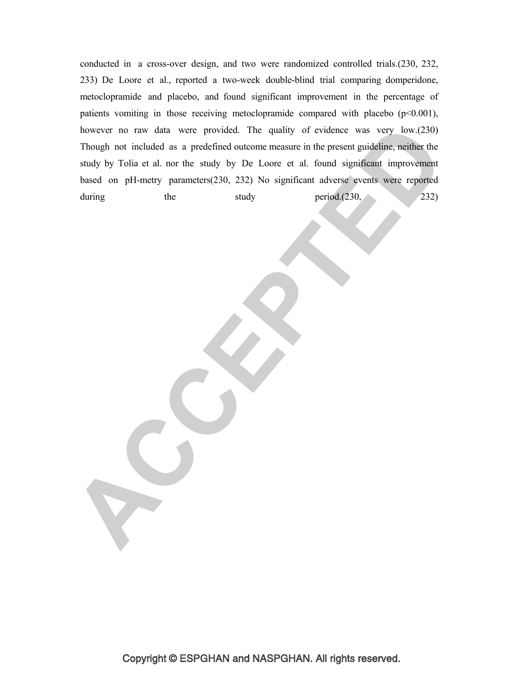conducted in a cross-over design, and two were randomized controlled trials.(230, 232, 233) De Loore et al., reported a two-week double-blind trial comparing domperidone, metoclopramide and placebo, and found significant improvement in the percentage of patients vomiting in those receiving metoclopramide compared with placebo  $(p<0.001)$ , however no raw data were provided. The quality of evidence was very low.(230) Though not included as a predefined outcome measure in the present guideline, neither the study by Tolia et al. nor the study by De Loore et al. found significant improvement based on pH-metry parameters(230, 232) No significant adverse events were reported during the study period.(230, 232)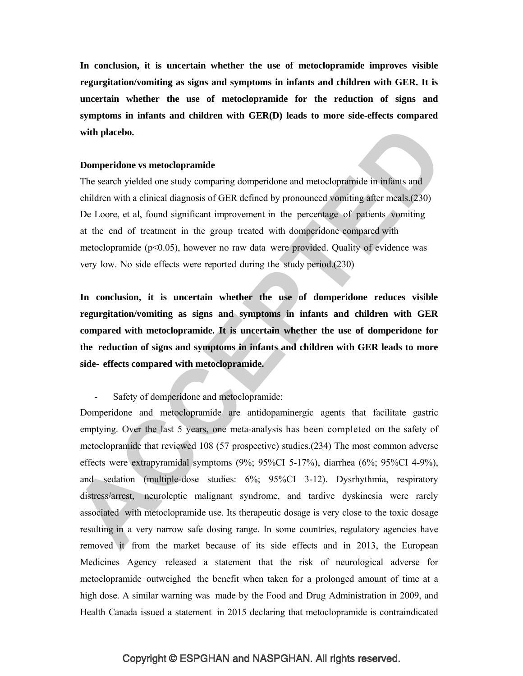**In conclusion, it is uncertain whether the use of metoclopramide improves visible regurgitation/vomiting as signs and symptoms in infants and children with GER. It is uncertain whether the use of metoclopramide for the reduction of signs and symptoms in infants and children with GER(D) leads to more side-effects compared with placebo.**

### **Domperidone vs metoclopramide**

The search yielded one study comparing domperidone and metoclopramide in infants and children with a clinical diagnosis of GER defined by pronounced vomiting after meals.(230) De Loore, et al, found significant improvement in the percentage of patients vomiting at the end of treatment in the group treated with domperidone compared with metoclopramide ( $p<0.05$ ), however no raw data were provided. Quality of evidence was very low. No side effects were reported during the study period.(230)

**In conclusion, it is uncertain whether the use of domperidone reduces visible regurgitation/vomiting as signs and symptoms in infants and children with GER compared with metoclopramide. It is uncertain whether the use of domperidone for the reduction of signs and symptoms in infants and children with GER leads to more side- effects compared with metoclopramide.**

Safety of domperidone and metoclopramide:

Domperidone and metoclopramide are antidopaminergic agents that facilitate gastric emptying. Over the last 5 years, one meta-analysis has been completed on the safety of metoclopramide that reviewed 108 (57 prospective) studies.(234) The most common adverse effects were extrapyramidal symptoms (9%; 95%CI 5-17%), diarrhea (6%; 95%CI 4-9%), and sedation (multiple-dose studies: 6%; 95%CI 3-12). Dysrhythmia, respiratory distress/arrest, neuroleptic malignant syndrome, and tardive dyskinesia were rarely associated with metoclopramide use. Its therapeutic dosage is very close to the toxic dosage resulting in a very narrow safe dosing range. In some countries, regulatory agencies have removed it from the market because of its side effects and in 2013, the European Medicines Agency released a statement that the risk of neurological adverse for metoclopramide outweighed the benefit when taken for a prolonged amount of time at a high dose. A similar warning was made by the Food and Drug Administration in 2009, and Health Canada issued a statement in 2015 declaring that metoclopramide is contraindicated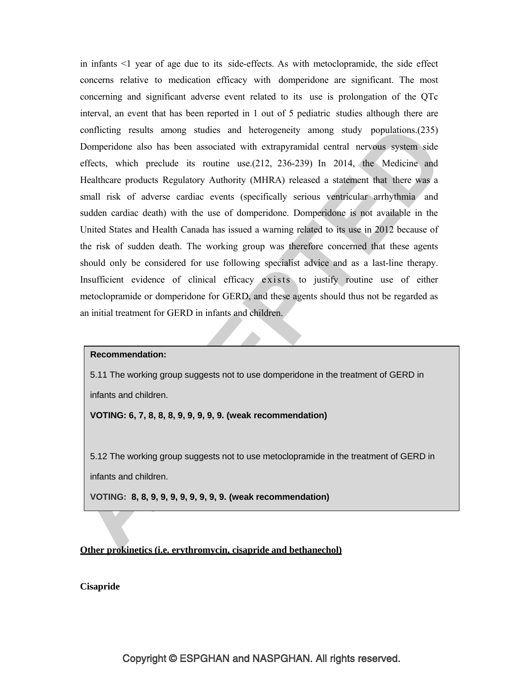in infants <1 year of age due to its side-effects. As with metoclopramide, the side effect concerns relative to medication efficacy with domperidone are significant. The most concerning and significant adverse event related to its use is prolongation of the QTc interval, an event that has been reported in 1 out of 5 pediatric studies although there are conflicting results among studies and heterogeneity among study populations.(235) Domperidone also has been associated with extrapyramidal central nervous system side effects, which preclude its routine use.(212, 236-239) In 2014, the Medicine and Healthcare products Regulatory Authority (MHRA) released a statement that there was a small risk of adverse cardiac events (specifically serious ventricular arrhythmia and sudden cardiac death) with the use of domperidone. Domperidone is not available in the United States and Health Canada has issued a warning related to its use in 2012 because of the risk of sudden death. The working group was therefore concerned that these agents should only be considered for use following specialist advice and as a last-line therapy. Insufficient evidence of clinical efficacy exists to justify routine use of either metoclopramide or domperidone for GERD, and these agents should thus not be regarded as an initial treatment for GERD in infants and children.

#### **Recommendation:**

5.11 The working group suggests not to use domperidone in the treatment of GERD in infants and children.

**VOTING: 6, 7, 8, 8, 8, 9, 9, 9, 9, 9. (weak recommendation)**

5.12 The working group suggests not to use metoclopramide in the treatment of GERD in infants and children.

**VOTING: 8, 8, 9, 9, 9, 9, 9, 9, 9, 9. (weak recommendation)**

### **Other prokinetics (i.e. erythromycin, cisapride and bethanechol)**

**Cisapride**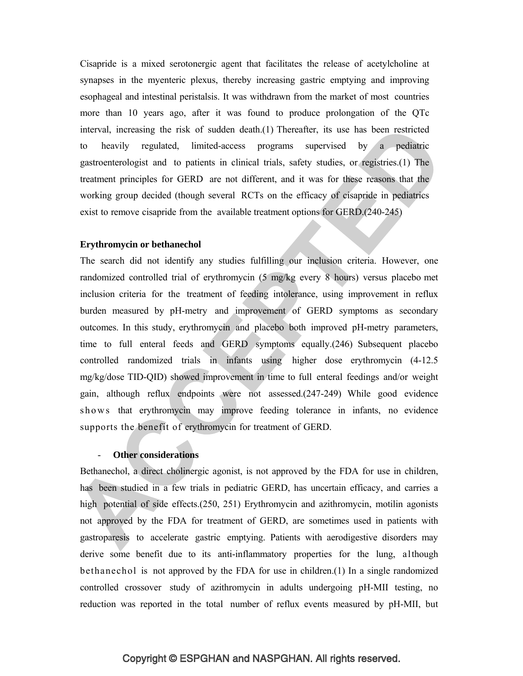Cisapride is a mixed serotonergic agent that facilitates the release of acetylcholine at synapses in the myenteric plexus, thereby increasing gastric emptying and improving esophageal and intestinal peristalsis. It was withdrawn from the market of most countries more than 10 years ago, after it was found to produce prolongation of the QTc interval, increasing the risk of sudden death.(1) Thereafter, its use has been restricted to heavily regulated, limited-access programs supervised by a pediatric gastroenterologist and to patients in clinical trials, safety studies, or registries.(1) The treatment principles for GERD are not different, and it was for these reasons that the working group decided (though several RCTs on the efficacy of cisapride in pediatrics exist to remove cisapride from the available treatment options for GERD.(240-245)

### **Erythromycin or bethanechol**

The search did not identify any studies fulfilling our inclusion criteria. However, one randomized controlled trial of erythromycin (5 mg/kg every 8 hours) versus placebo met inclusion criteria for the treatment of feeding intolerance, using improvement in reflux burden measured by pH-metry and improvement of GERD symptoms as secondary outcomes. In this study, erythromycin and placebo both improved pH-metry parameters, time to full enteral feeds and GERD symptoms equally.(246) Subsequent placebo controlled randomized trials in infants using higher dose erythromycin (4-12.5 mg/kg/dose TID-QID) showed improvement in time to full enteral feedings and/or weight gain, although reflux endpoints were not assessed.(247-249) While good evidence shows that erythromycin may improve feeding tolerance in infants, no evidence supports the benefit of erythromycin for treatment of GERD.

#### **Other considerations**

Bethanechol, a direct cholinergic agonist, is not approved by the FDA for use in children, has been studied in a few trials in pediatric GERD, has uncertain efficacy, and carries a high potential of side effects. (250, 251) Erythromycin and azithromycin, motilin agonists not approved by the FDA for treatment of GERD, are sometimes used in patients with gastroparesis to accelerate gastric emptying. Patients with aerodigestive disorders may derive some benefit due to its anti-inflammatory properties for the lung, although bethanechol is not approved by the FDA for use in children.(1) In a single randomized controlled crossover study of azithromycin in adults undergoing pH-MII testing, no reduction was reported in the total number of reflux events measured by pH-MII, but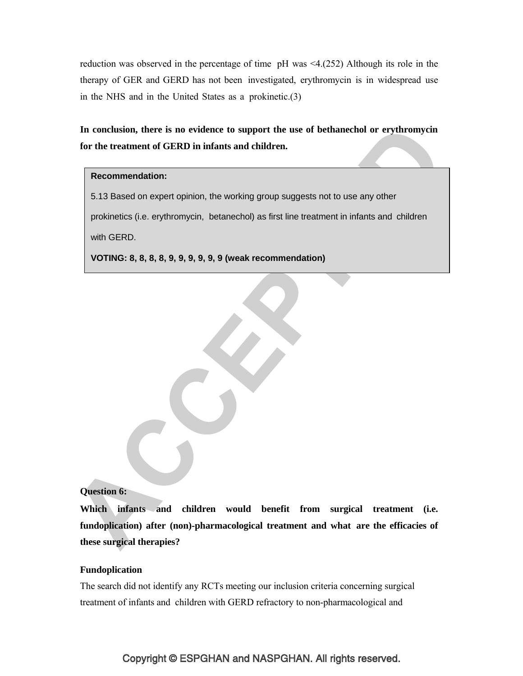reduction was observed in the percentage of time pH was <4.(252) Although its role in the therapy of GER and GERD has not been investigated, erythromycin is in widespread use in the NHS and in the United States as a prokinetic.(3)

**In conclusion, there is no evidence to support the use of bethanechol or erythromycin for the treatment of GERD in infants and children.**

#### **Recommendation:**

5.13 Based on expert opinion, the working group suggests not to use any other prokinetics (i.e. erythromycin, betanechol) as first line treatment in infants and children with GERD.

**VOTING: 8, 8, 8, 8, 9, 9, 9, 9, 9, 9 (weak recommendation)**

#### **Question 6:**

**Which infants and children would benefit from surgical treatment (i.e. fundoplication) after (non)-pharmacological treatment and what are the efficacies of these surgical therapies?**

### **Fundoplication**

The search did not identify any RCTs meeting our inclusion criteria concerning surgical treatment of infants and children with GERD refractory to non-pharmacological and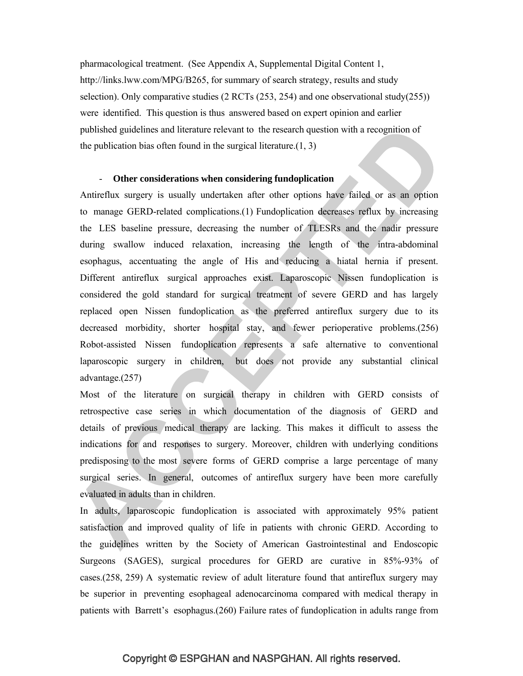pharmacological treatment. (See Appendix A, Supplemental Digital Content 1, http://links.lww.com/MPG/B265, for summary of search strategy, results and study selection). Only comparative studies  $(2 RCTs (253, 254)$  and one observational study $(255)$ ) were identified. This question is thus answered based on expert opinion and earlier published guidelines and literature relevant to the research question with a recognition of the publication bias often found in the surgical literature. $(1, 3)$ 

### - **Other considerations when considering fundoplication**

Antireflux surgery is usually undertaken after other options have failed or as an option to manage GERD-related complications.(1) Fundoplication decreases reflux by increasing the LES baseline pressure, decreasing the number of TLESRs and the nadir pressure during swallow induced relaxation, increasing the length of the intra-abdominal esophagus, accentuating the angle of His and reducing a hiatal hernia if present. Different antireflux surgical approaches exist. Laparoscopic Nissen fundoplication is considered the gold standard for surgical treatment of severe GERD and has largely replaced open Nissen fundoplication as the preferred antireflux surgery due to its decreased morbidity, shorter hospital stay, and fewer perioperative problems.(256) Robot-assisted Nissen fundoplication represents a safe alternative to conventional laparoscopic surgery in children, but does not provide any substantial clinical advantage.(257)

Most of the literature on surgical therapy in children with GERD consists of retrospective case series in which documentation of the diagnosis of GERD and details of previous medical therapy are lacking. This makes it difficult to assess the indications for and responses to surgery. Moreover, children with underlying conditions predisposing to the most severe forms of GERD comprise a large percentage of many surgical series. In general, outcomes of antireflux surgery have been more carefully evaluated in adults than in children.

In adults, laparoscopic fundoplication is associated with approximately 95% patient satisfaction and improved quality of life in patients with chronic GERD. According to the guidelines written by the Society of American Gastrointestinal and Endoscopic Surgeons (SAGES), surgical procedures for GERD are curative in 85%-93% of cases.(258, 259) A systematic review of adult literature found that antireflux surgery may be superior in preventing esophageal adenocarcinoma compared with medical therapy in patients with Barrett's esophagus.(260) Failure rates of fundoplication in adults range from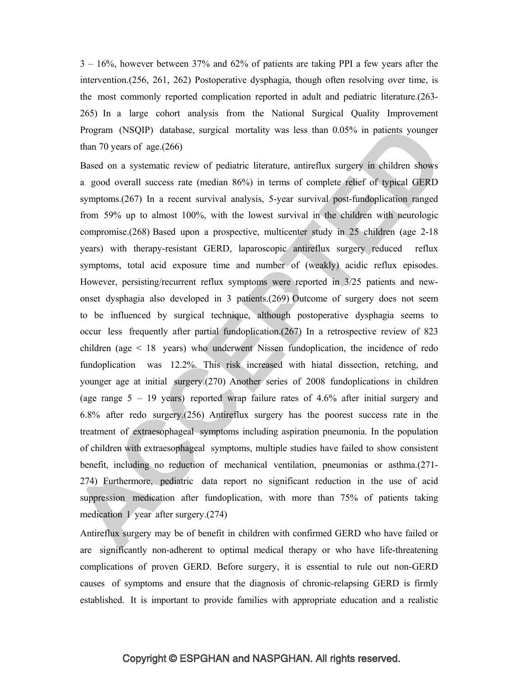3 – 16%, however between 37% and 62% of patients are taking PPI a few years after the intervention.(256, 261, 262) Postoperative dysphagia, though often resolving over time, is the most commonly reported complication reported in adult and pediatric literature.(263- 265) In a large cohort analysis from the National Surgical Quality Improvement Program (NSQIP) database, surgical mortality was less than 0.05% in patients younger than 70 years of age. $(266)$ 

Based on a systematic review of pediatric literature, antireflux surgery in children shows a good overall success rate (median 86%) in terms of complete relief of typical GERD symptoms.(267) In a recent survival analysis, 5-year survival post-fundoplication ranged from 59% up to almost 100%, with the lowest survival in the children with neurologic compromise.(268) Based upon a prospective, multicenter study in 25 children (age 2-18 years) with therapy-resistant GERD, laparoscopic antireflux surgery reduced reflux symptoms, total acid exposure time and number of (weakly) acidic reflux episodes. However, persisting/recurrent reflux symptoms were reported in 3/25 patients and newonset dysphagia also developed in 3 patients.(269) Outcome of surgery does not seem to be influenced by surgical technique, although postoperative dysphagia seems to occur less frequently after partial fundoplication.(267) In a retrospective review of 823 children (age < 18 years) who underwent Nissen fundoplication, the incidence of redo fundoplication was 12.2%. This risk increased with hiatal dissection, retching, and younger age at initial surgery.(270) Another series of 2008 fundoplications in children (age range 5 – 19 years) reported wrap failure rates of 4.6% after initial surgery and 6.8% after redo surgery.(256) Antireflux surgery has the poorest success rate in the treatment of extraesophageal symptoms including aspiration pneumonia. In the population of children with extraesophageal symptoms, multiple studies have failed to show consistent benefit, including no reduction of mechanical ventilation, pneumonias or asthma.(271- 274) Furthermore, pediatric data report no significant reduction in the use of acid suppression medication after fundoplication, with more than 75% of patients taking medication 1 year after surgery.(274)

Antireflux surgery may be of benefit in children with confirmed GERD who have failed or are significantly non-adherent to optimal medical therapy or who have life-threatening complications of proven GERD. Before surgery, it is essential to rule out non-GERD causes of symptoms and ensure that the diagnosis of chronic-relapsing GERD is firmly established. It is important to provide families with appropriate education and a realistic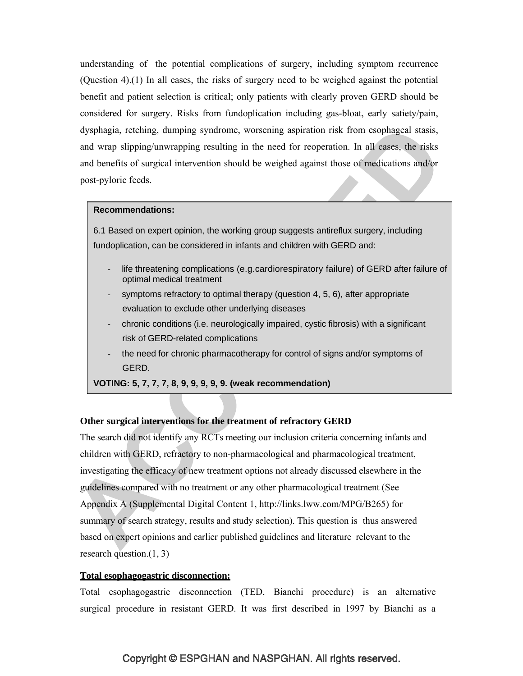understanding of the potential complications of surgery, including symptom recurrence (Question 4).(1) In all cases, the risks of surgery need to be weighed against the potential benefit and patient selection is critical; only patients with clearly proven GERD should be considered for surgery. Risks from fundoplication including gas-bloat, early satiety/pain, dysphagia, retching, dumping syndrome, worsening aspiration risk from esophageal stasis, and wrap slipping/unwrapping resulting in the need for reoperation. In all cases, the risks and benefits of surgical intervention should be weighed against those of medications and/or post-pyloric feeds.

#### **Recommendations:**

6.1 Based on expert opinion, the working group suggests antireflux surgery, including fundoplication, can be considered in infants and children with GERD and:

- life threatening complications (e.g.cardiorespiratory failure) of GERD after failure of optimal medical treatment
- symptoms refractory to optimal therapy (question 4, 5, 6), after appropriate evaluation to exclude other underlying diseases
- ‐ chronic conditions (i.e. neurologically impaired, cystic fibrosis) with a significant risk of GERD-related complications
- the need for chronic pharmacotherapy for control of signs and/or symptoms of GERD.

**VOTING: 5, 7, 7, 7, 8, 9, 9, 9, 9, 9. (weak recommendation)**

#### **Other surgical interventions for the treatment of refractory GERD**

The search did not identify any RCTs meeting our inclusion criteria concerning infants and children with GERD, refractory to non-pharmacological and pharmacological treatment, investigating the efficacy of new treatment options not already discussed elsewhere in the guidelines compared with no treatment or any other pharmacological treatment (See Appendix A (Supplemental Digital Content 1, http://links.lww.com/MPG/B265) for summary of search strategy, results and study selection). This question is thus answered based on expert opinions and earlier published guidelines and literature relevant to the research question. $(1, 3)$ 

#### **Total esophagogastric disconnection:**

Total esophagogastric disconnection (TED, Bianchi procedure) is an alternative surgical procedure in resistant GERD. It was first described in 1997 by Bianchi as a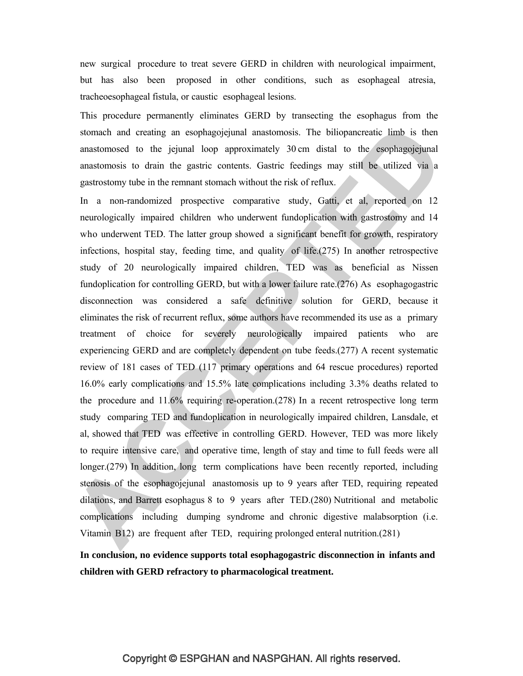new surgical procedure to treat severe GERD in children with neurological impairment, but has also been proposed in other conditions, such as esophageal atresia, tracheoesophageal fistula, or caustic esophageal lesions.

This procedure permanently eliminates GERD by transecting the esophagus from the stomach and creating an esophagojejunal anastomosis. The biliopancreatic limb is then anastomosed to the jejunal loop approximately 30 cm distal to the esophagojejunal anastomosis to drain the gastric contents. Gastric feedings may still be utilized via a gastrostomy tube in the remnant stomach without the risk of reflux.

In a non-randomized prospective comparative study, Gatti, et al, reported on 12 neurologically impaired children who underwent fundoplication with gastrostomy and 14 who underwent TED. The latter group showed a significant benefit for growth, respiratory infections, hospital stay, feeding time, and quality of life.(275) In another retrospective study of 20 neurologically impaired children, TED was as beneficial as Nissen fundoplication for controlling GERD, but with a lower failure rate.(276) As esophagogastric disconnection was considered a safe definitive solution for GERD, because it eliminates the risk of recurrent reflux, some authors have recommended its use as a primary treatment of choice for severely neurologically impaired patients who are experiencing GERD and are completely dependent on tube feeds.(277) A recent systematic review of 181 cases of TED (117 primary operations and 64 rescue procedures) reported 16.0% early complications and 15.5% late complications including 3.3% deaths related to the procedure and  $11.6\%$  requiring re-operation.(278) In a recent retrospective long term study comparing TED and fundoplication in neurologically impaired children, Lansdale, et al, showed that TED was effective in controlling GERD. However, TED was more likely to require intensive care, and operative time, length of stay and time to full feeds were all longer.(279) In addition, long term complications have been recently reported, including stenosis of the esophagojejunal anastomosis up to 9 years after TED, requiring repeated dilations, and Barrett esophagus 8 to 9 years after TED.(280) Nutritional and metabolic complications including dumping syndrome and chronic digestive malabsorption (i.e. Vitamin B12) are frequent after TED, requiring prolonged enteral nutrition.(281)

**In conclusion, no evidence supports total esophagogastric disconnection in infants and children with GERD refractory to pharmacological treatment.**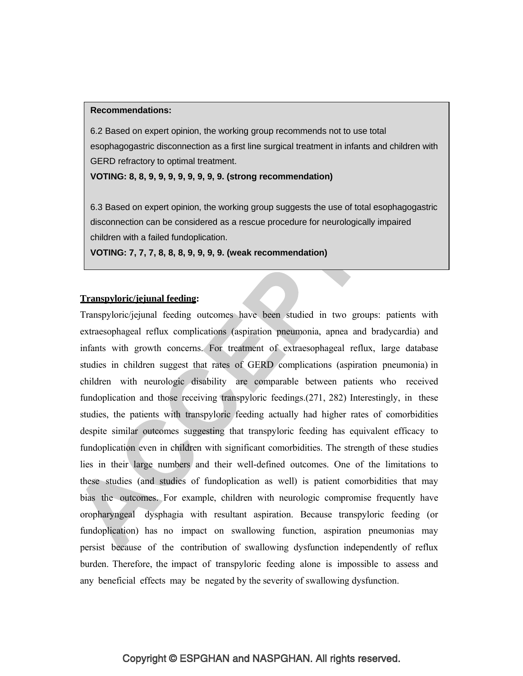#### **Recommendations:**

6.2 Based on expert opinion, the working group recommends not to use total esophagogastric disconnection as a first line surgical treatment in infants and children with GERD refractory to optimal treatment.

**VOTING: 8, 8, 9, 9, 9, 9, 9, 9, 9, 9. (strong recommendation)**

6.3 Based on expert opinion, the working group suggests the use of total esophagogastric disconnection can be considered as a rescue procedure for neurologically impaired children with a failed fundoplication.

**VOTING: 7, 7, 7, 8, 8, 8, 9, 9, 9, 9. (weak recommendation)**

### **Transpyloric/jejunal feeding:**

Transpyloric/jejunal feeding outcomes have been studied in two groups: patients with extraesophageal reflux complications (aspiration pneumonia, apnea and bradycardia) and infants with growth concerns. For treatment of extraesophageal reflux, large database studies in children suggest that rates of GERD complications (aspiration pneumonia) in children with neurologic disability are comparable between patients who received fundoplication and those receiving transpyloric feedings.(271, 282) Interestingly, in these studies, the patients with transpyloric feeding actually had higher rates of comorbidities despite similar outcomes suggesting that transpyloric feeding has equivalent efficacy to fundoplication even in children with significant comorbidities. The strength of these studies lies in their large numbers and their well-defined outcomes. One of the limitations to these studies (and studies of fundoplication as well) is patient comorbidities that may bias the outcomes. For example, children with neurologic compromise frequently have oropharyngeal dysphagia with resultant aspiration. Because transpyloric feeding (or fundoplication) has no impact on swallowing function, aspiration pneumonias may persist because of the contribution of swallowing dysfunction independently of reflux burden. Therefore, the impact of transpyloric feeding alone is impossible to assess and any beneficial effects may be negated by the severity of swallowing dysfunction.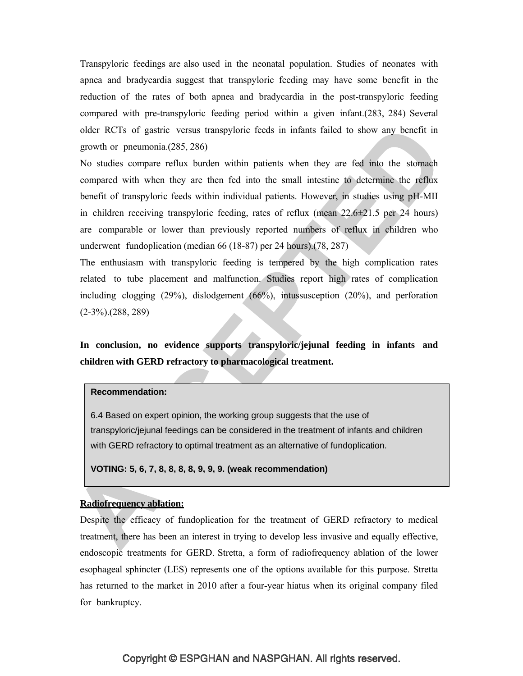Transpyloric feedings are also used in the neonatal population. Studies of neonates with apnea and bradycardia suggest that transpyloric feeding may have some benefit in the reduction of the rates of both apnea and bradycardia in the post-transpyloric feeding compared with pre-transpyloric feeding period within a given infant.(283, 284) Several older RCTs of gastric versus transpyloric feeds in infants failed to show any benefit in growth or pneumonia.(285, 286)

No studies compare reflux burden within patients when they are fed into the stomach compared with when they are then fed into the small intestine to determine the reflux benefit of transpyloric feeds within individual patients. However, in studies using pH-MII in children receiving transpyloric feeding, rates of reflux (mean  $22.6\pm21.5$  per 24 hours) are comparable or lower than previously reported numbers of reflux in children who underwent fundoplication (median 66 (18-87) per 24 hours).(78, 287)

The enthusiasm with transpyloric feeding is tempered by the high complication rates related to tube placement and malfunction. Studies report high rates of complication including clogging (29%), dislodgement (66%), intussusception (20%), and perforation (2-3%).(288, 289)

**In conclusion, no evidence supports transpyloric/jejunal feeding in infants and children with GERD refractory to pharmacological treatment.**

#### **Recommendation:**

6.4 Based on expert opinion, the working group suggests that the use of transpyloric/jejunal feedings can be considered in the treatment of infants and children with GERD refractory to optimal treatment as an alternative of fundoplication.

**VOTING: 5, 6, 7, 8, 8, 8, 8, 9, 9, 9. (weak recommendation)**

### **Radiofrequency ablation:**

Despite the efficacy of fundoplication for the treatment of GERD refractory to medical treatment, there has been an interest in trying to develop less invasive and equally effective, endoscopic treatments for GERD. Stretta, a form of radiofrequency ablation of the lower esophageal sphincter (LES) represents one of the options available for this purpose. Stretta has returned to the market in 2010 after a four-year hiatus when its original company filed for bankruptcy.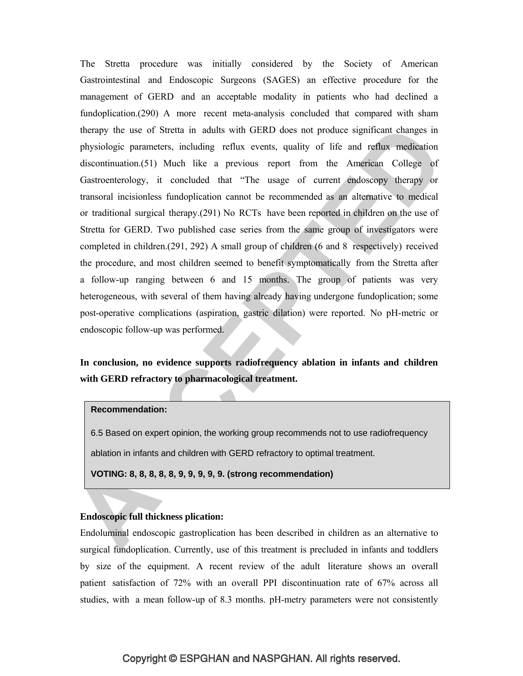The Stretta procedure was initially considered by the Society of American Gastrointestinal and Endoscopic Surgeons (SAGES) an effective procedure for the management of GERD and an acceptable modality in patients who had declined a fundoplication.(290) A more recent meta-analysis concluded that compared with sham therapy the use of Stretta in adults with GERD does not produce significant changes in physiologic parameters, including reflux events, quality of life and reflux medication discontinuation.(51) Much like a previous report from the American College of Gastroenterology, it concluded that "The usage of current endoscopy therapy or transoral incisionless fundoplication cannot be recommended as an alternative to medical or traditional surgical therapy.(291) No RCTs have been reported in children on the use of Stretta for GERD. Two published case series from the same group of investigators were completed in children.(291, 292) A small group of children (6 and 8 respectively) received the procedure, and most children seemed to benefit symptomatically from the Stretta after a follow-up ranging between 6 and 15 months. The group of patients was very heterogeneous, with several of them having already having undergone fundoplication; some post-operative complications (aspiration, gastric dilation) were reported. No pH-metric or endoscopic follow-up was performed.

## **In conclusion, no evidence supports radiofrequency ablation in infants and children with GERD refractory to pharmacological treatment.**

#### **Recommendation:**

6.5 Based on expert opinion, the working group recommends not to use radiofrequency ablation in infants and children with GERD refractory to optimal treatment.

**VOTING: 8, 8, 8, 8, 8, 9, 9, 9, 9, 9. (strong recommendation)**

### **Endoscopic full thickness plication:**

Endoluminal endoscopic gastroplication has been described in children as an alternative to surgical fundoplication. Currently, use of this treatment is precluded in infants and toddlers by size of the equipment. A recent review of the adult literature shows an overall patient satisfaction of 72% with an overall PPI discontinuation rate of 67% across all studies, with a mean follow-up of 8.3 months. pH-metry parameters were not consistently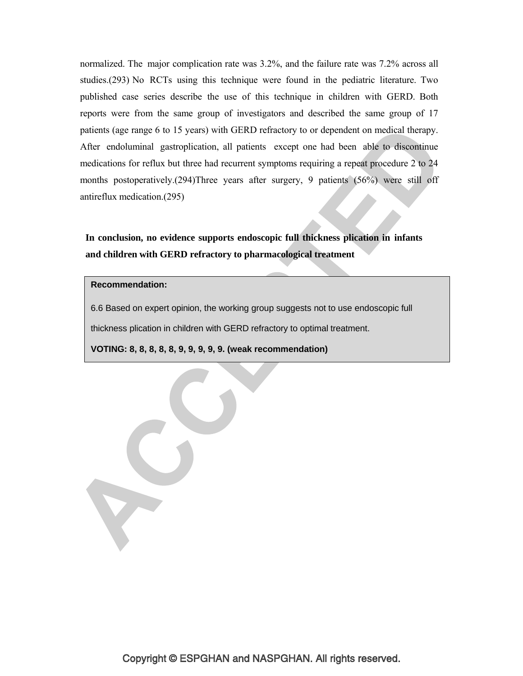normalized. The major complication rate was 3.2%, and the failure rate was 7.2% across all studies.(293) No RCTs using this technique were found in the pediatric literature. Two published case series describe the use of this technique in children with GERD. Both reports were from the same group of investigators and described the same group of 17 patients (age range 6 to 15 years) with GERD refractory to or dependent on medical therapy. After endoluminal gastroplication, all patients except one had been able to discontinue medications for reflux but three had recurrent symptoms requiring a repeat procedure 2 to 24 months postoperatively.(294)Three years after surgery, 9 patients (56%) were still off antireflux medication.(295)

**In conclusion, no evidence supports endoscopic full thickness plication in infants and children with GERD refractory to pharmacological treatment**

#### **Recommendation:**

Y

6.6 Based on expert opinion, the working group suggests not to use endoscopic full

thickness plication in children with GERD refractory to optimal treatment.

**VOTING: 8, 8, 8, 8, 8, 9, 9, 9, 9, 9. (weak recommendation)**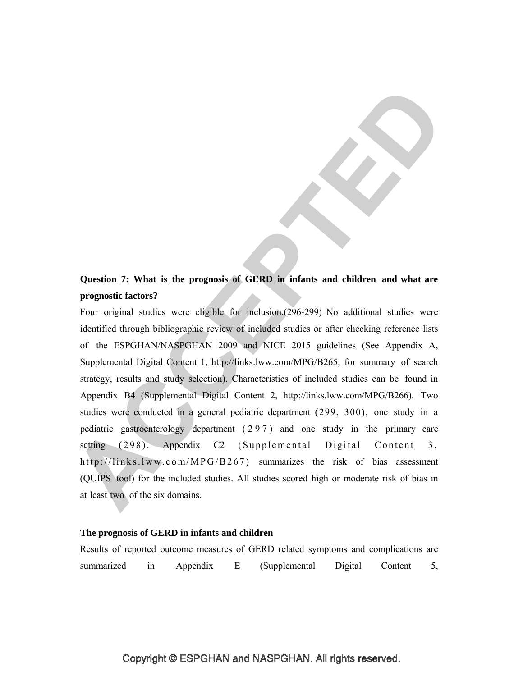## **Question 7: What is the prognosis of GERD in infants and children and what are prognostic factors?**

Four original studies were eligible for inclusion.(296-299) No additional studies were identified through bibliographic review of included studies or after checking reference lists of the ESPGHAN/NASPGHAN 2009 and NICE 2015 guidelines (See Appendix A, Supplemental Digital Content 1, http://links.lww.com/MPG/B265, for summary of search strategy, results and study selection). Characteristics of included studies can be found in Appendix B4 (Supplemental Digital Content 2, http://links.lww.com/MPG/B266). Two studies were conducted in a general pediatric department (299, 300), one study in a pediatric gastroenterology department ( 2 9 7 ) and one study in the primary care setting  $(298)$ . Appendix C2 (Supplemental Digital Content 3, http://links.lww.com/MPG/B267) summarizes the risk of bias assessment (QUIPS tool) for the included studies. All studies scored high or moderate risk of bias in at least two of the six domains.

#### **The prognosis of GERD in infants and children**

|  |                          | Results of reported outcome measures of GERD related symptoms and complications are |                               |    |
|--|--------------------------|-------------------------------------------------------------------------------------|-------------------------------|----|
|  | summarized in Appendix E |                                                                                     | (Supplemental Digital Content | 5. |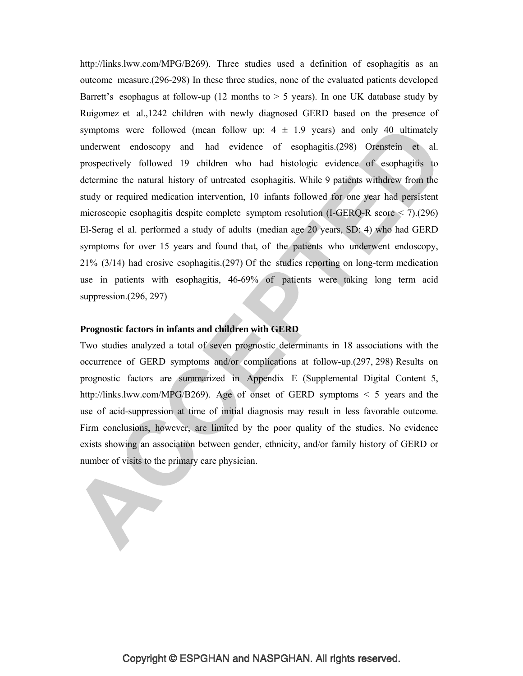http://links.lww.com/MPG/B269). Three studies used a definition of esophagitis as an outcome measure.(296-298) In these three studies, none of the evaluated patients developed Barrett's esophagus at follow-up (12 months to  $> 5$  years). In one UK database study by Ruigomez et al.,1242 children with newly diagnosed GERD based on the presence of symptoms were followed (mean follow up:  $4 \pm 1.9$  years) and only 40 ultimately underwent endoscopy and had evidence of esophagitis.(298) Orenstein et al. prospectively followed 19 children who had histologic evidence of esophagitis to determine the natural history of untreated esophagitis. While 9 patients withdrew from the study or required medication intervention, 10 infants followed for one year had persistent microscopic esophagitis despite complete symptom resolution (I-GERQ-R score < 7).(296) El-Serag el al. performed a study of adults (median age 20 years, SD: 4) who had GERD symptoms for over 15 years and found that, of the patients who underwent endoscopy, 21% (3/14) had erosive esophagitis.(297) Of the studies reporting on long-term medication use in patients with esophagitis, 46-69% of patients were taking long term acid suppression.(296, 297)

### **Prognostic factors in infants and children with GERD**

Y

Two studies analyzed a total of seven prognostic determinants in 18 associations with the occurrence of GERD symptoms and/or complications at follow-up.(297, 298) Results on prognostic factors are summarized in Appendix E (Supplemental Digital Content 5, http://links.lww.com/MPG/B269). Age of onset of GERD symptoms < 5 years and the use of acid-suppression at time of initial diagnosis may result in less favorable outcome. Firm conclusions, however, are limited by the poor quality of the studies. No evidence exists showing an association between gender, ethnicity, and/or family history of GERD or number of visits to the primary care physician.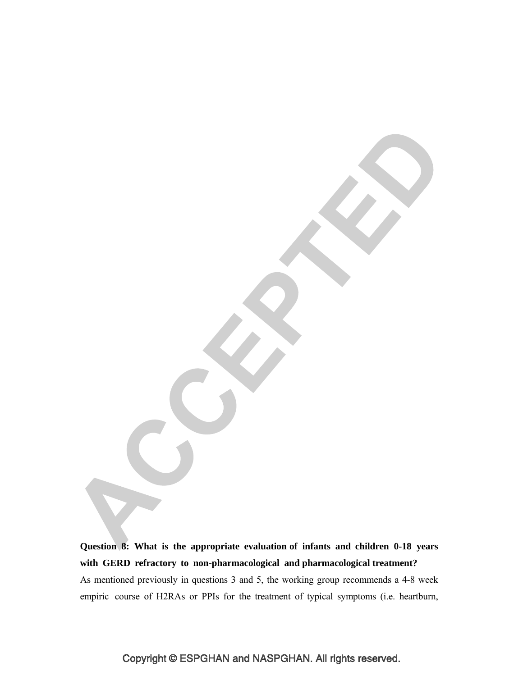**Question 8: What is the appropriate evaluation of infants and children 0-18 years with GERD refractory to non-pharmacological and pharmacological treatment?** As mentioned previously in questions 3 and 5, the working group recommends a 4-8 week empiric course of H2RAs or PPIs for the treatment of typical symptoms (i.e. heartburn,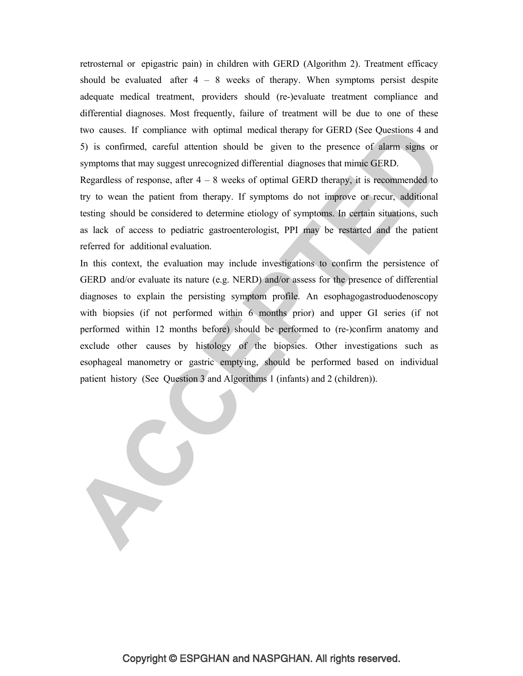retrosternal or epigastric pain) in children with GERD (Algorithm 2). Treatment efficacy should be evaluated after  $4 - 8$  weeks of therapy. When symptoms persist despite adequate medical treatment, providers should (re-)evaluate treatment compliance and differential diagnoses. Most frequently, failure of treatment will be due to one of these two causes. If compliance with optimal medical therapy for GERD (See Questions 4 and 5) is confirmed, careful attention should be given to the presence of alarm signs or symptoms that may suggest unrecognized differential diagnoses that mimic GERD.

Regardless of response, after  $4 - 8$  weeks of optimal GERD therapy, it is recommended to try to wean the patient from therapy. If symptoms do not improve or recur, additional testing should be considered to determine etiology of symptoms. In certain situations, such as lack of access to pediatric gastroenterologist, PPI may be restarted and the patient referred for additional evaluation.

In this context, the evaluation may include investigations to confirm the persistence of GERD and/or evaluate its nature (e.g. NERD) and/or assess for the presence of differential diagnoses to explain the persisting symptom profile. An esophagogastroduodenoscopy with biopsies (if not performed within 6 months prior) and upper GI series (if not performed within 12 months before) should be performed to (re-)confirm anatomy and exclude other causes by histology of the biopsies. Other investigations such as esophageal manometry or gastric emptying, should be performed based on individual patient history (See Question 3 and Algorithms 1 (infants) and 2 (children)).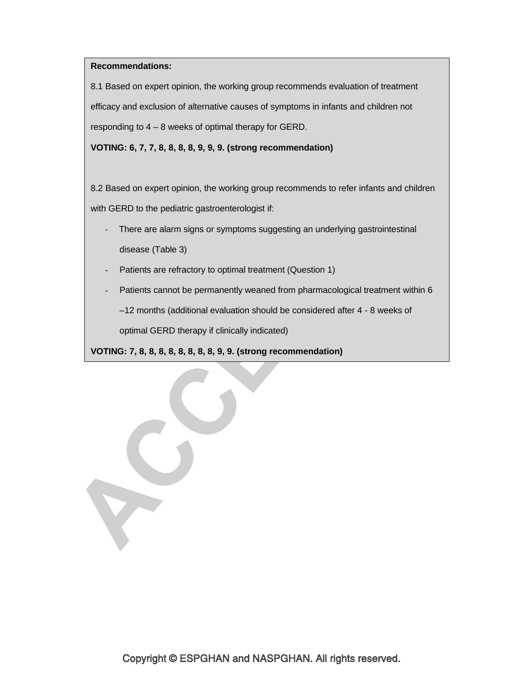### **Recommendations:**

8.1 Based on expert opinion, the working group recommends evaluation of treatment efficacy and exclusion of alternative causes of symptoms in infants and children not responding to 4 – 8 weeks of optimal therapy for GERD.

**VOTING: 6, 7, 7, 8, 8, 8, 8, 9, 9, 9. (strong recommendation)**

8.2 Based on expert opinion, the working group recommends to refer infants and children with GERD to the pediatric gastroenterologist if:

- There are alarm signs or symptoms suggesting an underlying gastrointestinal disease (Table 3)
- Patients are refractory to optimal treatment (Question 1)
- Patients cannot be permanently weaned from pharmacological treatment within 6

–12 months (additional evaluation should be considered after 4 - 8 weeks of

optimal GERD therapy if clinically indicated)

**VOTING: 7, 8, 8, 8, 8, 8, 8, 8, 8, 9, 9. (strong recommendation)**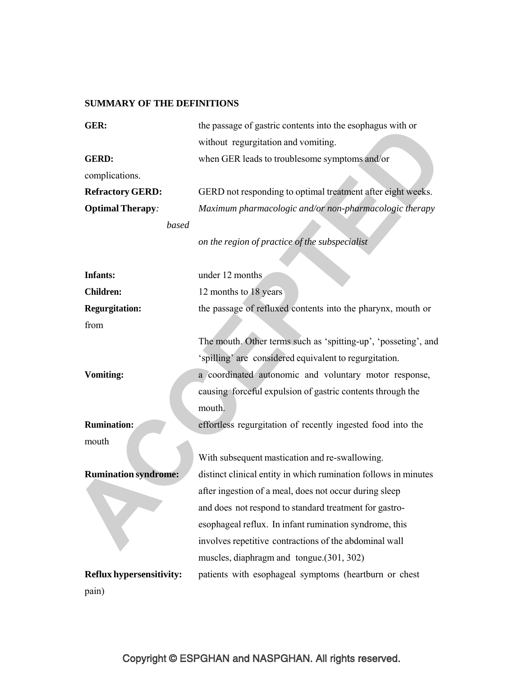### **SUMMARY OF THE DEFINITIONS**

| GER:                        | the passage of gastric contents into the esophagus with or      |
|-----------------------------|-----------------------------------------------------------------|
|                             | without regurgitation and vomiting.                             |
| <b>GERD:</b>                | when GER leads to troublesome symptoms and/or                   |
| complications.              |                                                                 |
| <b>Refractory GERD:</b>     | GERD not responding to optimal treatment after eight weeks.     |
| <b>Optimal Therapy:</b>     | Maximum pharmacologic and/or non-pharmacologic therapy          |
| based                       |                                                                 |
|                             | on the region of practice of the subspecialist                  |
|                             |                                                                 |
| <b>Infants:</b>             | under 12 months                                                 |
| <b>Children:</b>            | 12 months to 18 years                                           |
| <b>Regurgitation:</b>       | the passage of refluxed contents into the pharynx, mouth or     |
| from                        |                                                                 |
|                             | The mouth. Other terms such as 'spitting-up', 'posseting', and  |
|                             | 'spilling' are considered equivalent to regurgitation.          |
| <b>Vomiting:</b>            | a coordinated autonomic and voluntary motor response,           |
|                             | causing forceful expulsion of gastric contents through the      |
|                             | mouth.                                                          |
| <b>Rumination:</b>          | effortless regurgitation of recently ingested food into the     |
| mouth                       |                                                                 |
|                             | With subsequent mastication and re-swallowing.                  |
| <b>Rumination syndrome:</b> | distinct clinical entity in which rumination follows in minutes |
|                             | after ingestion of a meal, does not occur during sleep          |
|                             | and does not respond to standard treatment for gastro-          |
|                             | esophageal reflux. In infant rumination syndrome, this          |
|                             | involves repetitive contractions of the abdominal wall          |
|                             | muscles, diaphragm and tongue. (301, 302)                       |
| Reflux hypersensitivity:    | patients with esophageal symptoms (heartburn or chest           |
| pain)                       |                                                                 |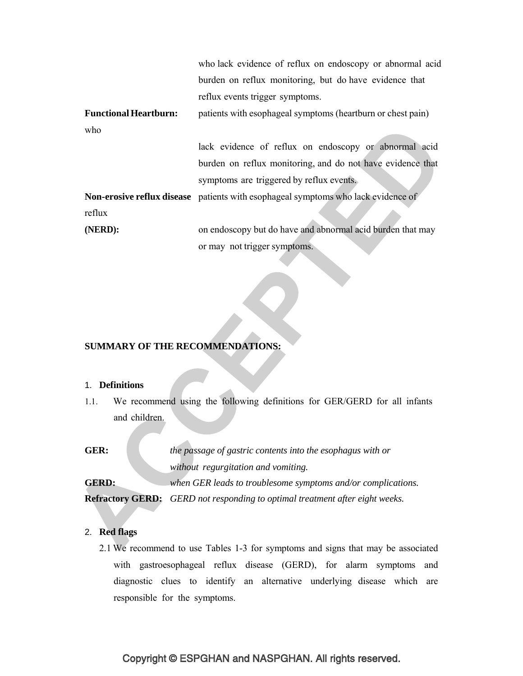|                              | who lack evidence of reflux on endoscopy or abnormal acid                                |
|------------------------------|------------------------------------------------------------------------------------------|
|                              | burden on reflux monitoring, but do have evidence that                                   |
|                              | reflux events trigger symptoms.                                                          |
| <b>Functional Heartburn:</b> | patients with esophageal symptoms (heartburn or chest pain)                              |
| who                          |                                                                                          |
|                              | lack evidence of reflux on endoscopy or abnormal acid                                    |
|                              | burden on reflux monitoring, and do not have evidence that                               |
|                              | symptoms are triggered by reflux events.                                                 |
|                              | <b>Non-erosive reflux disease</b> patients with esophageal symptoms who lack evidence of |
| reflux                       |                                                                                          |
| (NERD):                      | on endoscopy but do have and abnormal acid burden that may                               |
|                              | or may not trigger symptoms.                                                             |

### **SUMMARY OF THE RECOMMENDATIONS:**

#### 1. **Definitions**

1.1. We recommend using the following definitions for GER/GERD for all infants and children.

**GER:** *the passage of gastric contents into the esophagus with or without regurgitation and vomiting.*

**GERD:** *when GER leads to troublesome symptoms and/or complications.* **Refractory GERD:** *GERD not responding to optimal treatment after eight weeks.*

#### 2. **Red flags**

2.1 We recommend to use Tables 1-3 for symptoms and signs that may be associated with gastroesophageal reflux disease (GERD), for alarm symptoms and diagnostic clues to identify an alternative underlying disease which are responsible for the symptoms.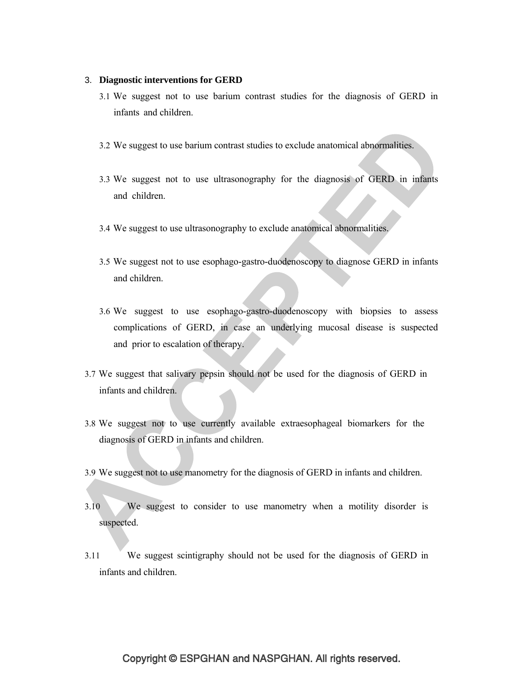#### 3. **Diagnostic interventions for GERD**

- 3.1 We suggest not to use barium contrast studies for the diagnosis of GERD in infants and children.
- 3.2 We suggest to use barium contrast studies to exclude anatomical abnormalities.
- 3.3 We suggest not to use ultrasonography for the diagnosis of GERD in infants and children.
- 3.4 We suggest to use ultrasonography to exclude anatomical abnormalities.
- 3.5 We suggest not to use esophago-gastro-duodenoscopy to diagnose GERD in infants and children.
- 3.6 We suggest to use esophago-gastro-duodenoscopy with biopsies to assess complications of GERD, in case an underlying mucosal disease is suspected and prior to escalation of therapy.
- 3.7 We suggest that salivary pepsin should not be used for the diagnosis of GERD in infants and children.
- 3.8 We suggest not to use currently available extraesophageal biomarkers for the diagnosis of GERD in infants and children.
- 3.9 We suggest not to use manometry for the diagnosis of GERD in infants and children.
- 3.10 We suggest to consider to use manometry when a motility disorder is suspected.
- 3.11 We suggest scintigraphy should not be used for the diagnosis of GERD in infants and children.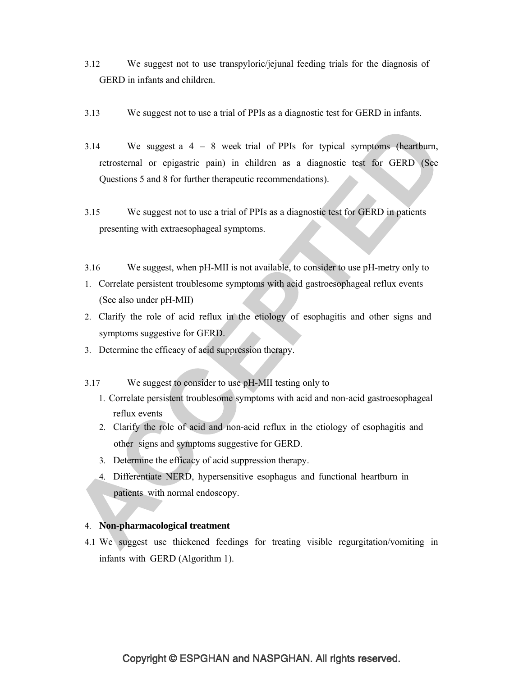- 3.12 We suggest not to use transpyloric/jejunal feeding trials for the diagnosis of GERD in infants and children.
- 3.13 We suggest not to use a trial of PPIs as a diagnostic test for GERD in infants.
- 3.14 We suggest a 4 8 week trial of PPIs for typical symptoms (heartburn, retrosternal or epigastric pain) in children as a diagnostic test for GERD (See Questions 5 and 8 for further therapeutic recommendations).
- 3.15 We suggest not to use a trial of PPIs as a diagnostic test for GERD in patients presenting with extraesophageal symptoms.
- 3.16 We suggest, when pH-MII is not available, to consider to use pH-metry only to
- 1. Correlate persistent troublesome symptoms with acid gastroesophageal reflux events (See also under pH-MII)
- 2. Clarify the role of acid reflux in the etiology of esophagitis and other signs and symptoms suggestive for GERD.
- 3. Determine the efficacy of acid suppression therapy.
- 3.17 We suggest to consider to use pH-MII testing only to
	- 1. Correlate persistent troublesome symptoms with acid and non-acid gastroesophageal reflux events
	- 2. Clarify the role of acid and non-acid reflux in the etiology of esophagitis and other signs and symptoms suggestive for GERD.
	- 3. Determine the efficacy of acid suppression therapy.
	- 4. Differentiate NERD, hypersensitive esophagus and functional heartburn in patients with normal endoscopy.

### 4. **Non-pharmacological treatment**

4.1 We suggest use thickened feedings for treating visible regurgitation/vomiting in infants with GERD (Algorithm 1).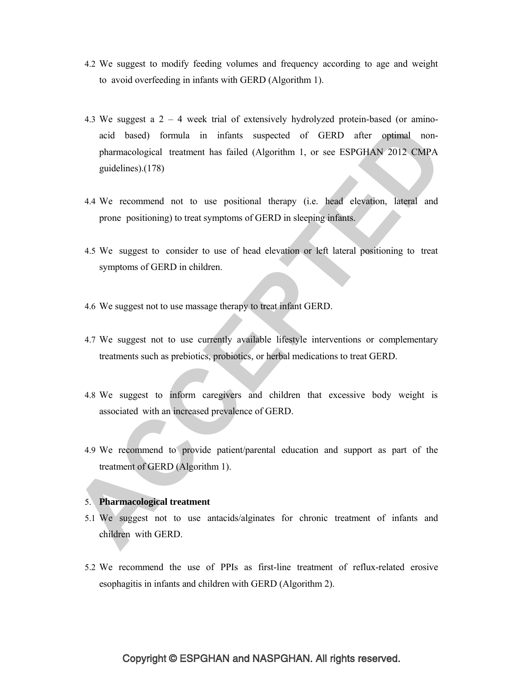- 4.2 We suggest to modify feeding volumes and frequency according to age and weight to avoid overfeeding in infants with GERD (Algorithm 1).
- 4.3 We suggest a 2 4 week trial of extensively hydrolyzed protein-based (or aminoacid based) formula in infants suspected of GERD after optimal nonpharmacological treatment has failed (Algorithm 1, or see ESPGHAN 2012 CMPA guidelines).(178)
- 4.4 We recommend not to use positional therapy (i.e. head elevation, lateral and prone positioning) to treat symptoms of GERD in sleeping infants.
- 4.5 We suggest to consider to use of head elevation or left lateral positioning to treat symptoms of GERD in children.
- 4.6 We suggest not to use massage therapy to treat infant GERD.
- 4.7 We suggest not to use currently available lifestyle interventions or complementary treatments such as prebiotics, probiotics, or herbal medications to treat GERD.
- 4.8 We suggest to inform caregivers and children that excessive body weight is associated with an increased prevalence of GERD.
- 4.9 We recommend to provide patient/parental education and support as part of the treatment of GERD (Algorithm 1).

#### 5. **Pharmacological treatment**

- 5.1 We suggest not to use antacids/alginates for chronic treatment of infants and children with GERD.
- 5.2 We recommend the use of PPIs as first-line treatment of reflux-related erosive esophagitis in infants and children with GERD (Algorithm 2).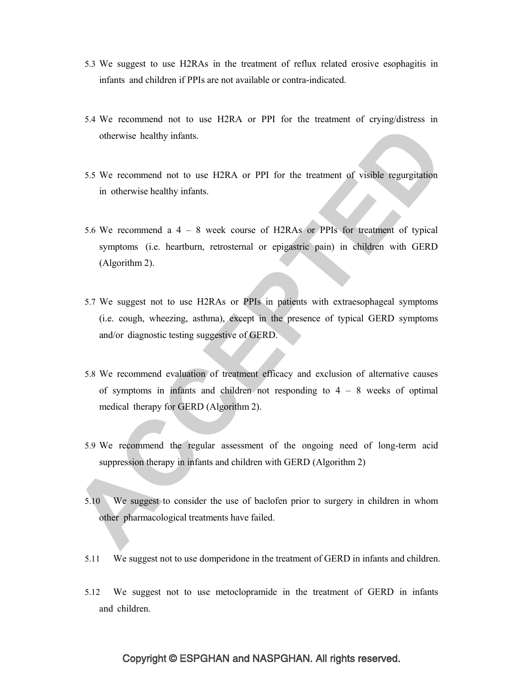- 5.3 We suggest to use H2RAs in the treatment of reflux related erosive esophagitis in infants and children if PPIs are not available or contra-indicated.
- 5.4 We recommend not to use H2RA or PPI for the treatment of crying/distress in otherwise healthy infants.
- 5.5 We recommend not to use H2RA or PPI for the treatment of visible regurgitation in otherwise healthy infants.
- 5.6 We recommend a 4 8 week course of H2RAs or PPIs for treatment of typical symptoms (i.e. heartburn, retrosternal or epigastric pain) in children with GERD (Algorithm 2).
- 5.7 We suggest not to use H2RAs or PPIs in patients with extraesophageal symptoms (i.e. cough, wheezing, asthma), except in the presence of typical GERD symptoms and/or diagnostic testing suggestive of GERD.
- 5.8 We recommend evaluation of treatment efficacy and exclusion of alternative causes of symptoms in infants and children not responding to  $4 - 8$  weeks of optimal medical therapy for GERD (Algorithm 2).
- 5.9 We recommend the regular assessment of the ongoing need of long-term acid suppression therapy in infants and children with GERD (Algorithm 2)
- 5.10 We suggest to consider the use of baclofen prior to surgery in children in whom other pharmacological treatments have failed.
- 5.11 We suggest not to use domperidone in the treatment of GERD in infants and children.
- 5.12 We suggest not to use metoclopramide in the treatment of GERD in infants and children.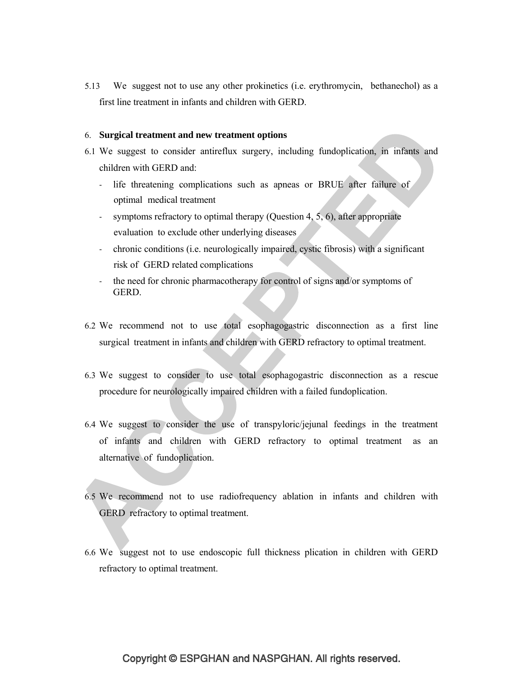5.13 We suggest not to use any other prokinetics (i.e. erythromycin, bethanechol) as a first line treatment in infants and children with GERD.

#### 6. **Surgical treatment and new treatment options**

- 6.1 We suggest to consider antireflux surgery, including fundoplication, in infants and children with GERD and:
	- ‐ life threatening complications such as apneas or BRUE after failure of optimal medical treatment
	- symptoms refractory to optimal therapy (Question 4, 5, 6), after appropriate evaluation to exclude other underlying diseases
	- ‐ chronic conditions (i.e. neurologically impaired, cystic fibrosis) with a significant risk of GERD related complications
	- the need for chronic pharmacotherapy for control of signs and/or symptoms of GERD.
- 6.2 We recommend not to use total esophagogastric disconnection as a first line surgical treatment in infants and children with GERD refractory to optimal treatment.
- 6.3 We suggest to consider to use total esophagogastric disconnection as a rescue procedure for neurologically impaired children with a failed fundoplication.
- 6.4 We suggest to consider the use of transpyloric/jejunal feedings in the treatment of infants and children with GERD refractory to optimal treatment as an alternative of fundoplication.
- 6.5 We recommend not to use radiofrequency ablation in infants and children with GERD refractory to optimal treatment.
- 6.6 We suggest not to use endoscopic full thickness plication in children with GERD refractory to optimal treatment.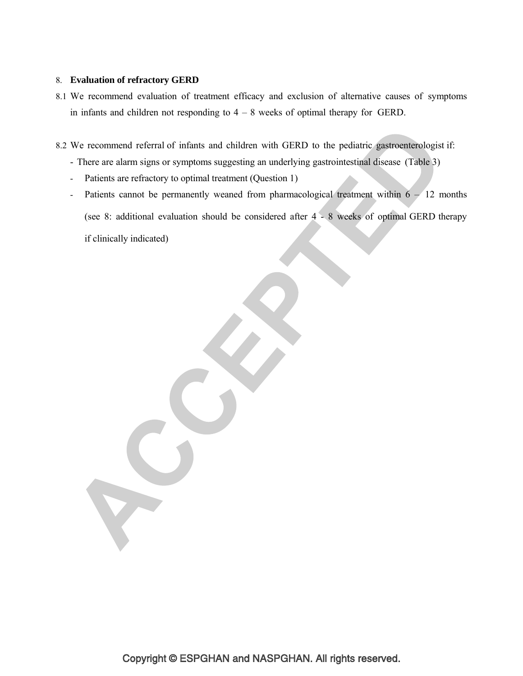### 8. **Evaluation of refractory GERD**

8.1 We recommend evaluation of treatment efficacy and exclusion of alternative causes of symptoms in infants and children not responding to  $4 - 8$  weeks of optimal therapy for GERD.

8.2 We recommend referral of infants and children with GERD to the pediatric gastroenterologist if:

- There are alarm signs or symptoms suggesting an underlying gastrointestinal disease (Table 3)

- Patients are refractory to optimal treatment (Question 1)

- Patients cannot be permanently weaned from pharmacological treatment within  $6 - 12$  months (see 8: additional evaluation should be considered after 4 - 8 weeks of optimal GERD therapy if clinically indicated)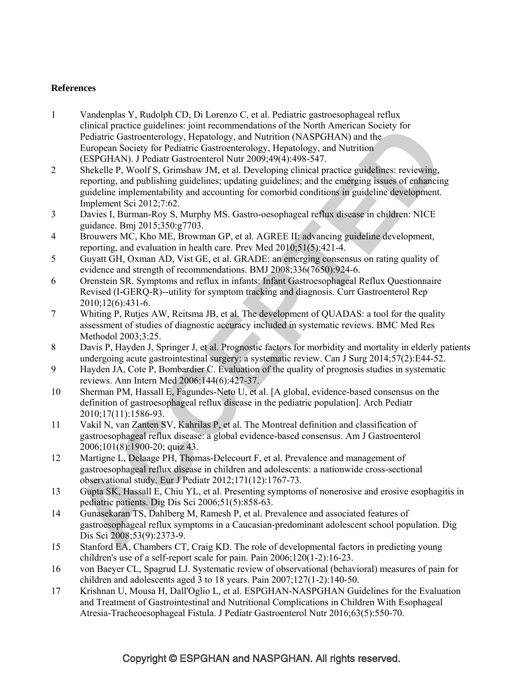### **References**

- 1 Vandenplas Y, Rudolph CD, Di Lorenzo C, et al. Pediatric gastroesophageal reflux clinical practice guidelines: joint recommendations of the North American Society for Pediatric Gastroenterology, Hepatology, and Nutrition (NASPGHAN) and the European Society for Pediatric Gastroenterology, Hepatology, and Nutrition (ESPGHAN). J Pediatr Gastroenterol Nutr 2009;49(4):498-547.
- 2 Shekelle P, Woolf S, Grimshaw JM, et al. Developing clinical practice guidelines: reviewing, reporting, and publishing guidelines; updating guidelines; and the emerging issues of enhancing guideline implementability and accounting for comorbid conditions in guideline development. Implement Sci 2012;7:62.
- 3 Davies I, Burman-Roy S, Murphy MS. Gastro-oesophageal reflux disease in children: NICE guidance. Bmj 2015;350:g7703.
- 4 Brouwers MC, Kho ME, Browman GP, et al. AGREE II: advancing guideline development, reporting, and evaluation in health care. Prev Med 2010;51(5):421-4.
- 5 Guyatt GH, Oxman AD, Vist GE, et al. GRADE: an emerging consensus on rating quality of evidence and strength of recommendations. BMJ 2008;336(7650):924-6.
- 6 Orenstein SR. Symptoms and reflux in infants: Infant Gastroesophageal Reflux Questionnaire Revised (I-GERQ-R)--utility for symptom tracking and diagnosis. Curr Gastroenterol Rep 2010;12(6):431-6.
- 7 Whiting P, Rutjes AW, Reitsma JB, et al. The development of QUADAS: a tool for the quality assessment of studies of diagnostic accuracy included in systematic reviews. BMC Med Res Methodol 2003;3:25.
- 8 Davis P, Hayden J, Springer J, et al. Prognostic factors for morbidity and mortality in elderly patients undergoing acute gastrointestinal surgery: a systematic review. Can J Surg 2014;57(2):E44-52.
- 9 Hayden JA, Cote P, Bombardier C. Evaluation of the quality of prognosis studies in systematic reviews. Ann Intern Med 2006;144(6):427-37.
- 10 Sherman PM, Hassall E, Fagundes-Neto U, et al. [A global, evidence-based consensus on the definition of gastroesophageal reflux disease in the pediatric population]. Arch Pediatr 2010;17(11):1586-93.
- 11 Vakil N, van Zanten SV, Kahrilas P, et al. The Montreal definition and classification of gastroesophageal reflux disease: a global evidence-based consensus. Am J Gastroenterol 2006;101(8):1900-20; quiz 43.
- 12 Martigne L, Delaage PH, Thomas-Delecourt F, et al. Prevalence and management of gastroesophageal reflux disease in children and adolescents: a nationwide cross-sectional observational study. Eur J Pediatr 2012;171(12):1767-73.
- 13 Gupta SK, Hassall E, Chiu YL, et al. Presenting symptoms of nonerosive and erosive esophagitis in pediatric patients. Dig Dis Sci 2006;51(5):858-63.
- 14 Gunasekaran TS, Dahlberg M, Ramesh P, et al. Prevalence and associated features of gastroesophageal reflux symptoms in a Caucasian-predominant adolescent school population. Dig Dis Sci 2008;53(9):2373-9.
- 15 Stanford EA, Chambers CT, Craig KD. The role of developmental factors in predicting young children's use of a self-report scale for pain. Pain 2006;120(1-2):16-23.
- 16 von Baeyer CL, Spagrud LJ. Systematic review of observational (behavioral) measures of pain for children and adolescents aged 3 to 18 years. Pain 2007;127(1-2):140-50.
- 17 Krishnan U, Mousa H, Dall'Oglio L, et al. ESPGHAN-NASPGHAN Guidelines for the Evaluation and Treatment of Gastrointestinal and Nutritional Complications in Children With Esophageal Atresia-Tracheoesophageal Fistula. J Pediatr Gastroenterol Nutr 2016;63(5):550-70.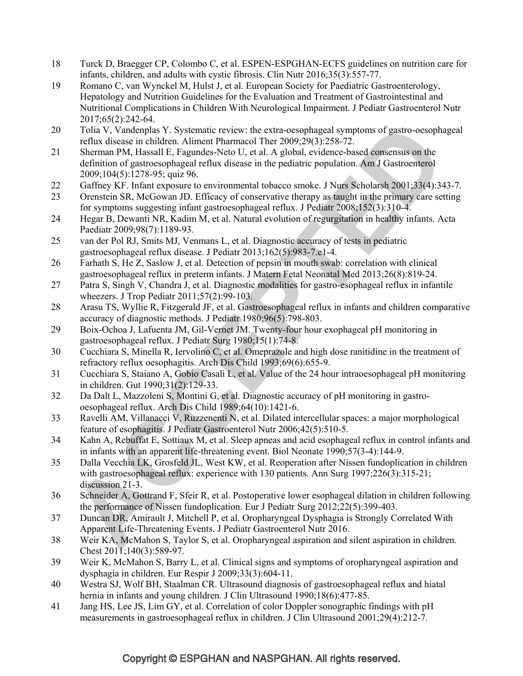- 18 Turck D, Braegger CP, Colombo C, et al. ESPEN-ESPGHAN-ECFS guidelines on nutrition care for infants, children, and adults with cystic fibrosis. Clin Nutr 2016;35(3):557-77.
- 19 Romano C, van Wynckel M, Hulst J, et al. European Society for Paediatric Gastroenterology, Hepatology and Nutrition Guidelines for the Evaluation and Treatment of Gastrointestinal and Nutritional Complications in Children With Neurological Impairment. J Pediatr Gastroenterol Nutr 2017;65(2):242-64.
- 20 Tolia V, Vandenplas Y. Systematic review: the extra-oesophageal symptoms of gastro-oesophageal reflux disease in children. Aliment Pharmacol Ther 2009;29(3):258-72.
- 21 Sherman PM, Hassall E, Fagundes-Neto U, et al. A global, evidence-based consensus on the definition of gastroesophageal reflux disease in the pediatric population. Am J Gastroenterol 2009;104(5):1278-95; quiz 96.
- 22 Gaffney KF. Infant exposure to environmental tobacco smoke. J Nurs Scholarsh 2001;33(4):343-7.
- 23 Orenstein SR, McGowan JD. Efficacy of conservative therapy as taught in the primary care setting for symptoms suggesting infant gastroesophageal reflux. J Pediatr 2008;152(3):310-4.
- 24 Hegar B, Dewanti NR, Kadim M, et al. Natural evolution of regurgitation in healthy infants. Acta Paediatr 2009;98(7):1189-93.
- 25 van der Pol RJ, Smits MJ, Venmans L, et al. Diagnostic accuracy of tests in pediatric gastroesophageal reflux disease. J Pediatr 2013;162(5):983-7.e1-4.
- 26 Farhath S, He Z, Saslow J, et al. Detection of pepsin in mouth swab: correlation with clinical gastroesophageal reflux in preterm infants. J Matern Fetal Neonatal Med 2013;26(8):819-24.
- 27 Patra S, Singh V, Chandra J, et al. Diagnostic modalities for gastro-esophageal reflux in infantile wheezers. J Trop Pediatr 2011;57(2):99-103.
- 28 Arasu TS, Wyllie R, Fitzgerald JF, et al. Gastroesophageal reflux in infants and children comparative accuracy of diagnostic methods. J Pediatr 1980;96(5):798-803.
- 29 Boix-Ochoa J, Lafuenta JM, Gil-Vernet JM. Twenty-four hour exophageal pH monitoring in gastroesophageal reflux. J Pediatr Surg 1980;15(1):74-8.
- 30 Cucchiara S, Minella R, Iervolino C, et al. Omeprazole and high dose ranitidine in the treatment of refractory reflux oesophagitis. Arch Dis Child 1993;69(6):655-9.
- 31 Cucchiara S, Staiano A, Gobio Casali L, et al. Value of the 24 hour intraoesophageal pH monitoring in children. Gut 1990;31(2):129-33.
- 32 Da Dalt L, Mazzoleni S, Montini G, et al. Diagnostic accuracy of pH monitoring in gastrooesophageal reflux. Arch Dis Child 1989;64(10):1421-6.
- 33 Ravelli AM, Villanacci V, Ruzzenenti N, et al. Dilated intercellular spaces: a major morphological feature of esophagitis. J Pediatr Gastroenterol Nutr 2006;42(5):510-5.
- 34 Kahn A, Rebuffat E, Sottiaux M, et al. Sleep apneas and acid esophageal reflux in control infants and in infants with an apparent life-threatening event. Biol Neonate 1990;57(3-4):144-9.
- 35 Dalla Vecchia LK, Grosfeld JL, West KW, et al. Reoperation after Nissen fundoplication in children with gastroesophageal reflux: experience with 130 patients. Ann Surg 1997;226(3):315-21; discussion 21-3.
- 36 Schneider A, Gottrand F, Sfeir R, et al. Postoperative lower esophageal dilation in children following the performance of Nissen fundoplication. Eur J Pediatr Surg 2012;22(5):399-403.
- 37 Duncan DR, Amirault J, Mitchell P, et al. Oropharyngeal Dysphagia is Strongly Correlated With Apparent Life-Threatening Events. J Pediatr Gastroenterol Nutr 2016.
- 38 Weir KA, McMahon S, Taylor S, et al. Oropharyngeal aspiration and silent aspiration in children. Chest 2011;140(3):589-97.
- 39 Weir K, McMahon S, Barry L, et al. Clinical signs and symptoms of oropharyngeal aspiration and dysphagia in children. Eur Respir J 2009;33(3):604-11.
- 40 Westra SJ, Wolf BH, Staalman CR. Ultrasound diagnosis of gastroesophageal reflux and hiatal hernia in infants and young children. J Clin Ultrasound 1990;18(6):477-85.
- 41 Jang HS, Lee JS, Lim GY, et al. Correlation of color Doppler sonographic findings with pH measurements in gastroesophageal reflux in children. J Clin Ultrasound 2001;29(4):212-7.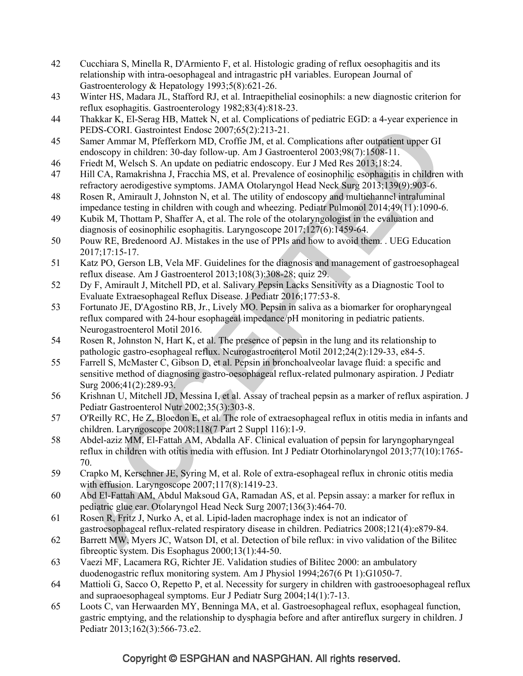- 42 Cucchiara S, Minella R, D'Armiento F, et al. Histologic grading of reflux oesophagitis and its relationship with intra-oesophageal and intragastric pH variables. European Journal of Gastroenterology & Hepatology 1993;5(8):621-26.
- 43 Winter HS, Madara JL, Stafford RJ, et al. Intraepithelial eosinophils: a new diagnostic criterion for reflux esophagitis. Gastroenterology 1982;83(4):818-23.
- 44 Thakkar K, El-Serag HB, Mattek N, et al. Complications of pediatric EGD: a 4-year experience in PEDS-CORI. Gastrointest Endosc 2007;65(2):213-21.
- 45 Samer Ammar M, Pfefferkorn MD, Croffie JM, et al. Complications after outpatient upper GI endoscopy in children: 30-day follow-up. Am J Gastroenterol 2003;98(7):1508-11.
- 46 Friedt M, Welsch S. An update on pediatric endoscopy. Eur J Med Res 2013;18:24.
- 47 Hill CA, Ramakrishna J, Fracchia MS, et al. Prevalence of eosinophilic esophagitis in children with refractory aerodigestive symptoms. JAMA Otolaryngol Head Neck Surg 2013;139(9):903-6.
- 48 Rosen R, Amirault J, Johnston N, et al. The utility of endoscopy and multichannel intraluminal impedance testing in children with cough and wheezing. Pediatr Pulmonol 2014;49(11):1090-6.
- 49 Kubik M, Thottam P, Shaffer A, et al. The role of the otolaryngologist in the evaluation and diagnosis of eosinophilic esophagitis. Laryngoscope 2017;127(6):1459-64.
- 50 Pouw RE, Bredenoord AJ. Mistakes in the use of PPIs and how to avoid them. . UEG Education 2017;17:15-17.
- 51 Katz PO, Gerson LB, Vela MF. Guidelines for the diagnosis and management of gastroesophageal reflux disease. Am J Gastroenterol 2013;108(3):308-28; quiz 29.
- 52 Dy F, Amirault J, Mitchell PD, et al. Salivary Pepsin Lacks Sensitivity as a Diagnostic Tool to Evaluate Extraesophageal Reflux Disease. J Pediatr 2016;177:53-8.
- 53 Fortunato JE, D'Agostino RB, Jr., Lively MO. Pepsin in saliva as a biomarker for oropharyngeal reflux compared with 24-hour esophageal impedance/pH monitoring in pediatric patients. Neurogastroenterol Motil 2016.
- 54 Rosen R, Johnston N, Hart K, et al. The presence of pepsin in the lung and its relationship to pathologic gastro-esophageal reflux. Neurogastroenterol Motil 2012;24(2):129-33, e84-5.
- 55 Farrell S, McMaster C, Gibson D, et al. Pepsin in bronchoalveolar lavage fluid: a specific and sensitive method of diagnosing gastro-oesophageal reflux-related pulmonary aspiration. J Pediatr Surg 2006;41(2):289-93.
- 56 Krishnan U, Mitchell JD, Messina I, et al. Assay of tracheal pepsin as a marker of reflux aspiration. J Pediatr Gastroenterol Nutr 2002;35(3):303-8.
- 57 O'Reilly RC, He Z, Bloedon E, et al. The role of extraesophageal reflux in otitis media in infants and children. Laryngoscope 2008;118(7 Part 2 Suppl 116):1-9.
- 58 Abdel-aziz MM, El-Fattah AM, Abdalla AF. Clinical evaluation of pepsin for laryngopharyngeal reflux in children with otitis media with effusion. Int J Pediatr Otorhinolaryngol 2013;77(10):1765- 70.
- 59 Crapko M, Kerschner JE, Syring M, et al. Role of extra-esophageal reflux in chronic otitis media with effusion. Laryngoscope 2007;117(8):1419-23.
- 60 Abd El-Fattah AM, Abdul Maksoud GA, Ramadan AS, et al. Pepsin assay: a marker for reflux in pediatric glue ear. Otolaryngol Head Neck Surg 2007;136(3):464-70.
- 61 Rosen R, Fritz J, Nurko A, et al. Lipid-laden macrophage index is not an indicator of gastroesophageal reflux-related respiratory disease in children. Pediatrics 2008;121(4):e879-84.
- 62 Barrett MW, Myers JC, Watson DI, et al. Detection of bile reflux: in vivo validation of the Bilitec fibreoptic system. Dis Esophagus 2000;13(1):44-50.
- 63 Vaezi MF, Lacamera RG, Richter JE. Validation studies of Bilitec 2000: an ambulatory duodenogastric reflux monitoring system. Am J Physiol 1994;267(6 Pt 1):G1050-7.
- 64 Mattioli G, Sacco O, Repetto P, et al. Necessity for surgery in children with gastrooesophageal reflux and supraoesophageal symptoms. Eur J Pediatr Surg 2004;14(1):7-13.
- 65 Loots C, van Herwaarden MY, Benninga MA, et al. Gastroesophageal reflux, esophageal function, gastric emptying, and the relationship to dysphagia before and after antireflux surgery in children. J Pediatr 2013;162(3):566-73.e2.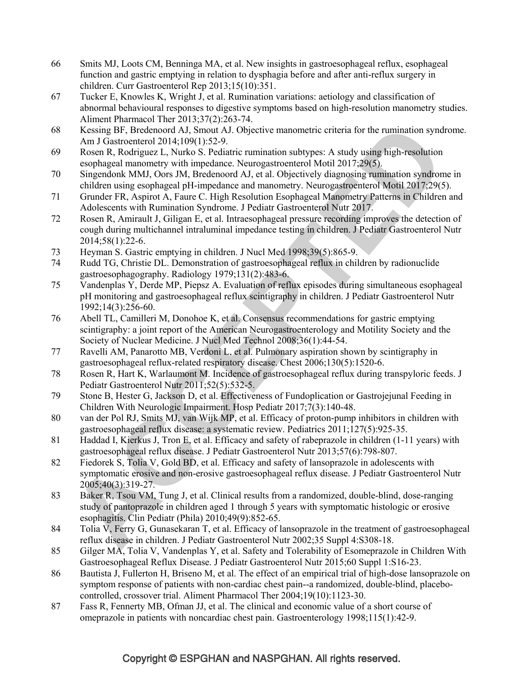- 66 Smits MJ, Loots CM, Benninga MA, et al. New insights in gastroesophageal reflux, esophageal function and gastric emptying in relation to dysphagia before and after anti-reflux surgery in children. Curr Gastroenterol Rep 2013;15(10):351.
- 67 Tucker E, Knowles K, Wright J, et al. Rumination variations: aetiology and classification of abnormal behavioural responses to digestive symptoms based on high-resolution manometry studies. Aliment Pharmacol Ther 2013;37(2):263-74.
- 68 Kessing BF, Bredenoord AJ, Smout AJ. Objective manometric criteria for the rumination syndrome. Am J Gastroenterol 2014;109(1):52-9.
- 69 Rosen R, Rodriguez L, Nurko S. Pediatric rumination subtypes: A study using high-resolution esophageal manometry with impedance. Neurogastroenterol Motil 2017;29(5).
- 70 Singendonk MMJ, Oors JM, Bredenoord AJ, et al. Objectively diagnosing rumination syndrome in children using esophageal pH-impedance and manometry. Neurogastroenterol Motil 2017;29(5).
- 71 Grunder FR, Aspirot A, Faure C. High Resolution Esophageal Manometry Patterns in Children and Adolescents with Rumination Syndrome. J Pediatr Gastroenterol Nutr 2017.
- 72 Rosen R, Amirault J, Giligan E, et al. Intraesophageal pressure recording improves the detection of cough during multichannel intraluminal impedance testing in children. J Pediatr Gastroenterol Nutr 2014;58(1):22-6.
- 73 Heyman S. Gastric emptying in children. J Nucl Med 1998;39(5):865-9.
- 74 Rudd TG, Christie DL. Demonstration of gastroesophageal reflux in children by radionuclide gastroesophagography. Radiology 1979;131(2):483-6.
- 75 Vandenplas Y, Derde MP, Piepsz A. Evaluation of reflux episodes during simultaneous esophageal pH monitoring and gastroesophageal reflux scintigraphy in children. J Pediatr Gastroenterol Nutr 1992;14(3):256-60.
- 76 Abell TL, Camilleri M, Donohoe K, et al. Consensus recommendations for gastric emptying scintigraphy: a joint report of the American Neurogastroenterology and Motility Society and the Society of Nuclear Medicine. J Nucl Med Technol 2008;36(1):44-54.
- 77 Ravelli AM, Panarotto MB, Verdoni L, et al. Pulmonary aspiration shown by scintigraphy in gastroesophageal reflux-related respiratory disease. Chest 2006;130(5):1520-6.
- 78 Rosen R, Hart K, Warlaumont M. Incidence of gastroesophageal reflux during transpyloric feeds. J Pediatr Gastroenterol Nutr 2011;52(5):532-5.
- 79 Stone B, Hester G, Jackson D, et al. Effectiveness of Fundoplication or Gastrojejunal Feeding in Children With Neurologic Impairment. Hosp Pediatr 2017;7(3):140-48.
- 80 van der Pol RJ, Smits MJ, van Wijk MP, et al. Efficacy of proton-pump inhibitors in children with gastroesophageal reflux disease: a systematic review. Pediatrics 2011;127(5):925-35.
- 81 Haddad I, Kierkus J, Tron E, et al. Efficacy and safety of rabeprazole in children (1-11 years) with gastroesophageal reflux disease. J Pediatr Gastroenterol Nutr 2013;57(6):798-807.
- 82 Fiedorek S, Tolia V, Gold BD, et al. Efficacy and safety of lansoprazole in adolescents with symptomatic erosive and non-erosive gastroesophageal reflux disease. J Pediatr Gastroenterol Nutr 2005;40(3):319-27.
- 83 Baker R, Tsou VM, Tung J, et al. Clinical results from a randomized, double-blind, dose-ranging study of pantoprazole in children aged 1 through 5 years with symptomatic histologic or erosive esophagitis. Clin Pediatr (Phila) 2010;49(9):852-65.
- 84 Tolia V, Ferry G, Gunasekaran T, et al. Efficacy of lansoprazole in the treatment of gastroesophageal reflux disease in children. J Pediatr Gastroenterol Nutr 2002;35 Suppl 4:S308-18.
- 85 Gilger MA, Tolia V, Vandenplas Y, et al. Safety and Tolerability of Esomeprazole in Children With Gastroesophageal Reflux Disease. J Pediatr Gastroenterol Nutr 2015;60 Suppl 1:S16-23.
- 86 Bautista J, Fullerton H, Briseno M, et al. The effect of an empirical trial of high-dose lansoprazole on symptom response of patients with non-cardiac chest pain--a randomized, double-blind, placebocontrolled, crossover trial. Aliment Pharmacol Ther 2004;19(10):1123-30.
- 87 Fass R, Fennerty MB, Ofman JJ, et al. The clinical and economic value of a short course of omeprazole in patients with noncardiac chest pain. Gastroenterology 1998;115(1):42-9.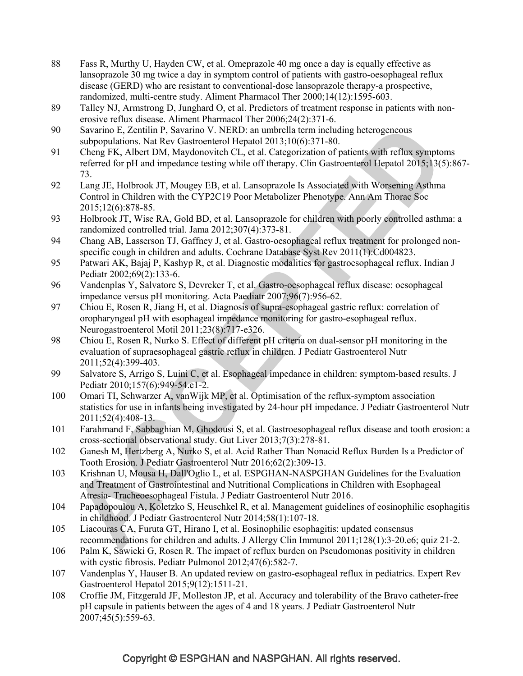- 88 Fass R, Murthy U, Hayden CW, et al. Omeprazole 40 mg once a day is equally effective as lansoprazole 30 mg twice a day in symptom control of patients with gastro-oesophageal reflux disease (GERD) who are resistant to conventional-dose lansoprazole therapy-a prospective, randomized, multi-centre study. Aliment Pharmacol Ther 2000;14(12):1595-603.
- 89 Talley NJ, Armstrong D, Junghard O, et al. Predictors of treatment response in patients with nonerosive reflux disease. Aliment Pharmacol Ther 2006;24(2):371-6.
- 90 Savarino E, Zentilin P, Savarino V. NERD: an umbrella term including heterogeneous subpopulations. Nat Rev Gastroenterol Hepatol 2013;10(6):371-80.
- 91 Cheng FK, Albert DM, Maydonovitch CL, et al. Categorization of patients with reflux symptoms referred for pH and impedance testing while off therapy. Clin Gastroenterol Hepatol 2015;13(5):867- 73.
- 92 Lang JE, Holbrook JT, Mougey EB, et al. Lansoprazole Is Associated with Worsening Asthma Control in Children with the CYP2C19 Poor Metabolizer Phenotype. Ann Am Thorac Soc 2015;12(6):878-85.
- 93 Holbrook JT, Wise RA, Gold BD, et al. Lansoprazole for children with poorly controlled asthma: a randomized controlled trial. Jama 2012;307(4):373-81.
- 94 Chang AB, Lasserson TJ, Gaffney J, et al. Gastro-oesophageal reflux treatment for prolonged nonspecific cough in children and adults. Cochrane Database Syst Rev 2011(1):Cd004823.
- 95 Patwari AK, Bajaj P, Kashyp R, et al. Diagnostic modalities for gastroesophageal reflux. Indian J Pediatr 2002;69(2):133-6.
- 96 Vandenplas Y, Salvatore S, Devreker T, et al. Gastro-oesophageal reflux disease: oesophageal impedance versus pH monitoring. Acta Paediatr 2007;96(7):956-62.
- 97 Chiou E, Rosen R, Jiang H, et al. Diagnosis of supra-esophageal gastric reflux: correlation of oropharyngeal pH with esophageal impedance monitoring for gastro-esophageal reflux. Neurogastroenterol Motil 2011;23(8):717-e326.
- 98 Chiou E, Rosen R, Nurko S. Effect of different pH criteria on dual-sensor pH monitoring in the evaluation of supraesophageal gastric reflux in children. J Pediatr Gastroenterol Nutr 2011;52(4):399-403.
- 99 Salvatore S, Arrigo S, Luini C, et al. Esophageal impedance in children: symptom-based results. J Pediatr 2010;157(6):949-54.e1-2.
- 100 Omari TI, Schwarzer A, vanWijk MP, et al. Optimisation of the reflux-symptom association statistics for use in infants being investigated by 24-hour pH impedance. J Pediatr Gastroenterol Nutr 2011;52(4):408-13.
- 101 Farahmand F, Sabbaghian M, Ghodousi S, et al. Gastroesophageal reflux disease and tooth erosion: a cross-sectional observational study. Gut Liver 2013;7(3):278-81.
- 102 Ganesh M, Hertzberg A, Nurko S, et al. Acid Rather Than Nonacid Reflux Burden Is a Predictor of Tooth Erosion. J Pediatr Gastroenterol Nutr 2016;62(2):309-13.
- 103 Krishnan U, Mousa H, Dall'Oglio L, et al. ESPGHAN-NASPGHAN Guidelines for the Evaluation and Treatment of Gastrointestinal and Nutritional Complications in Children with Esophageal Atresia- Tracheoesophageal Fistula. J Pediatr Gastroenterol Nutr 2016.
- 104 Papadopoulou A, Koletzko S, Heuschkel R, et al. Management guidelines of eosinophilic esophagitis in childhood. J Pediatr Gastroenterol Nutr 2014;58(1):107-18.
- 105 Liacouras CA, Furuta GT, Hirano I, et al. Eosinophilic esophagitis: updated consensus recommendations for children and adults. J Allergy Clin Immunol 2011;128(1):3-20.e6; quiz 21-2.
- 106 Palm K, Sawicki G, Rosen R. The impact of reflux burden on Pseudomonas positivity in children with cystic fibrosis. Pediatr Pulmonol 2012;47(6):582-7.
- 107 Vandenplas Y, Hauser B. An updated review on gastro-esophageal reflux in pediatrics. Expert Rev Gastroenterol Hepatol 2015;9(12):1511-21.
- 108 Croffie JM, Fitzgerald JF, Molleston JP, et al. Accuracy and tolerability of the Bravo catheter-free pH capsule in patients between the ages of 4 and 18 years. J Pediatr Gastroenterol Nutr 2007;45(5):559-63.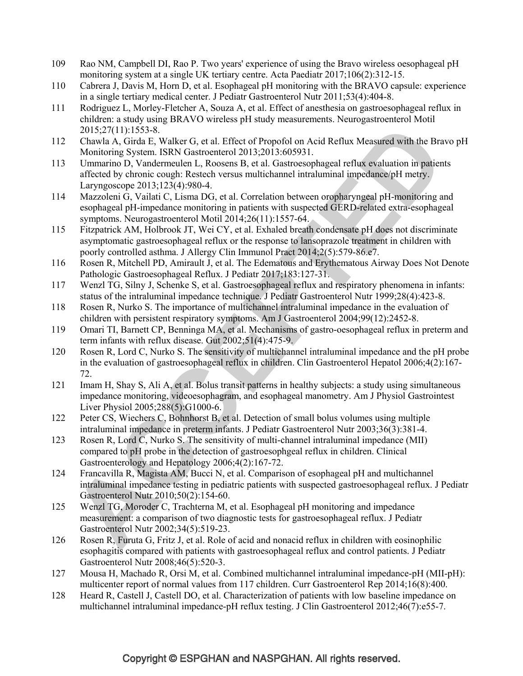- 109 Rao NM, Campbell DI, Rao P. Two years' experience of using the Bravo wireless oesophageal pH monitoring system at a single UK tertiary centre. Acta Paediatr 2017;106(2):312-15.
- 110 Cabrera J, Davis M, Horn D, et al. Esophageal pH monitoring with the BRAVO capsule: experience in a single tertiary medical center. J Pediatr Gastroenterol Nutr 2011;53(4):404-8.
- 111 Rodriguez L, Morley-Fletcher A, Souza A, et al. Effect of anesthesia on gastroesophageal reflux in children: a study using BRAVO wireless pH study measurements. Neurogastroenterol Motil 2015;27(11):1553-8.
- 112 Chawla A, Girda E, Walker G, et al. Effect of Propofol on Acid Reflux Measured with the Bravo pH Monitoring System. ISRN Gastroenterol 2013;2013:605931.
- 113 Ummarino D, Vandermeulen L, Roosens B, et al. Gastroesophageal reflux evaluation in patients affected by chronic cough: Restech versus multichannel intraluminal impedance/pH metry. Laryngoscope 2013;123(4):980-4.
- 114 Mazzoleni G, Vailati C, Lisma DG, et al. Correlation between oropharyngeal pH-monitoring and esophageal pH-impedance monitoring in patients with suspected GERD-related extra-esophageal symptoms. Neurogastroenterol Motil 2014;26(11):1557-64.
- 115 Fitzpatrick AM, Holbrook JT, Wei CY, et al. Exhaled breath condensate pH does not discriminate asymptomatic gastroesophageal reflux or the response to lansoprazole treatment in children with poorly controlled asthma. J Allergy Clin Immunol Pract 2014;2(5):579-86.e7.
- 116 Rosen R, Mitchell PD, Amirault J, et al. The Edematous and Erythematous Airway Does Not Denote Pathologic Gastroesophageal Reflux. J Pediatr 2017;183:127-31.
- 117 Wenzl TG, Silny J, Schenke S, et al. Gastroesophageal reflux and respiratory phenomena in infants: status of the intraluminal impedance technique. J Pediatr Gastroenterol Nutr 1999;28(4):423-8.
- 118 Rosen R, Nurko S. The importance of multichannel intraluminal impedance in the evaluation of children with persistent respiratory symptoms. Am J Gastroenterol 2004;99(12):2452-8.
- 119 Omari TI, Barnett CP, Benninga MA, et al. Mechanisms of gastro-oesophageal reflux in preterm and term infants with reflux disease. Gut 2002;51(4):475-9.
- 120 Rosen R, Lord C, Nurko S. The sensitivity of multichannel intraluminal impedance and the pH probe in the evaluation of gastroesophageal reflux in children. Clin Gastroenterol Hepatol 2006;4(2):167- 72.
- 121 Imam H, Shay S, Ali A, et al. Bolus transit patterns in healthy subjects: a study using simultaneous impedance monitoring, videoesophagram, and esophageal manometry. Am J Physiol Gastrointest Liver Physiol 2005;288(5):G1000-6.
- 122 Peter CS, Wiechers C, Bohnhorst B, et al. Detection of small bolus volumes using multiple intraluminal impedance in preterm infants. J Pediatr Gastroenterol Nutr 2003;36(3):381-4.
- 123 Rosen R, Lord C, Nurko S. The sensitivity of multi-channel intraluminal impedance (MII) compared to pH probe in the detection of gastroesophgeal reflux in children. Clinical Gastroenterology and Hepatology 2006;4(2):167-72.
- 124 Francavilla R, Magista AM, Bucci N, et al. Comparison of esophageal pH and multichannel intraluminal impedance testing in pediatric patients with suspected gastroesophageal reflux. J Pediatr Gastroenterol Nutr 2010;50(2):154-60.
- 125 Wenzl TG, Moroder C, Trachterna M, et al. Esophageal pH monitoring and impedance measurement: a comparison of two diagnostic tests for gastroesophageal reflux. J Pediatr Gastroenterol Nutr 2002;34(5):519-23.
- 126 Rosen R, Furuta G, Fritz J, et al. Role of acid and nonacid reflux in children with eosinophilic esophagitis compared with patients with gastroesophageal reflux and control patients. J Pediatr Gastroenterol Nutr 2008;46(5):520-3.
- 127 Mousa H, Machado R, Orsi M, et al. Combined multichannel intraluminal impedance-pH (MII-pH): multicenter report of normal values from 117 children. Curr Gastroenterol Rep 2014;16(8):400.
- 128 Heard R, Castell J, Castell DO, et al. Characterization of patients with low baseline impedance on multichannel intraluminal impedance-pH reflux testing. J Clin Gastroenterol 2012;46(7):e55-7.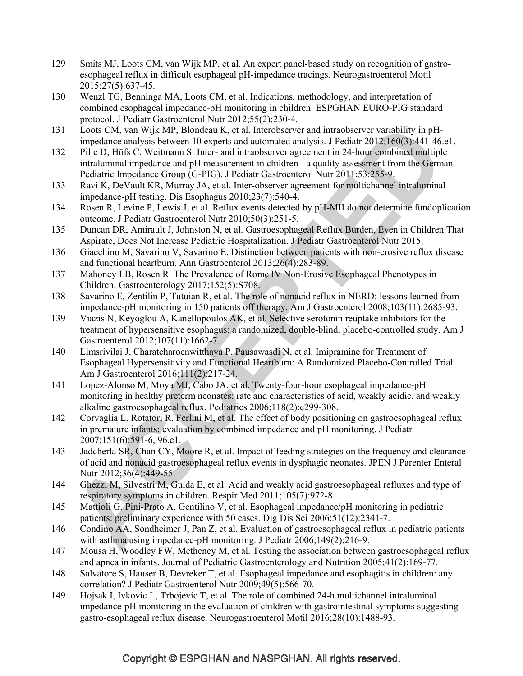- 129 Smits MJ, Loots CM, van Wijk MP, et al. An expert panel-based study on recognition of gastroesophageal reflux in difficult esophageal pH-impedance tracings. Neurogastroenterol Motil 2015;27(5):637-45.
- 130 Wenzl TG, Benninga MA, Loots CM, et al. Indications, methodology, and interpretation of combined esophageal impedance-pH monitoring in children: ESPGHAN EURO-PIG standard protocol. J Pediatr Gastroenterol Nutr 2012;55(2):230-4.
- 131 Loots CM, van Wijk MP, Blondeau K, et al. Interobserver and intraobserver variability in pHimpedance analysis between 10 experts and automated analysis. J Pediatr 2012;160(3):441-46.e1.
- 132 Pilic D, Höfs C, Weitmann S. Inter- and intraobserver agreement in 24-hour combined multiple intraluminal impedance and pH measurement in children - a quality assessment from the German Pediatric Impedance Group (G-PIG). J Pediatr Gastroenterol Nutr 2011;53:255-9.
- 133 Ravi K, DeVault KR, Murray JA, et al. Inter-observer agreement for multichannel intraluminal impedance-pH testing. Dis Esophagus 2010;23(7):540-4.
- 134 Rosen R, Levine P, Lewis J, et al. Reflux events detected by pH-MII do not determine fundoplication outcome. J Pediatr Gastroenterol Nutr 2010;50(3):251-5.
- 135 Duncan DR, Amirault J, Johnston N, et al. Gastroesophageal Reflux Burden, Even in Children That Aspirate, Does Not Increase Pediatric Hospitalization. J Pediatr Gastroenterol Nutr 2015.
- 136 Giacchino M, Savarino V, Savarino E. Distinction between patients with non-erosive reflux disease and functional heartburn. Ann Gastroenterol 2013;26(4):283-89.
- 137 Mahoney LB, Rosen R. The Prevalence of Rome IV Non-Erosive Esophageal Phenotypes in Children. Gastroenterology 2017;152(5):S708.
- 138 Savarino E, Zentilin P, Tutuian R, et al. The role of nonacid reflux in NERD: lessons learned from impedance-pH monitoring in 150 patients off therapy. Am J Gastroenterol 2008;103(11):2685-93.
- 139 Viazis N, Keyoglou A, Kanellopoulos AK, et al. Selective serotonin reuptake inhibitors for the treatment of hypersensitive esophagus: a randomized, double-blind, placebo-controlled study. Am J Gastroenterol 2012;107(11):1662-7.
- 140 Limsrivilai J, Charatcharoenwitthaya P, Pausawasdi N, et al. Imipramine for Treatment of Esophageal Hypersensitivity and Functional Heartburn: A Randomized Placebo-Controlled Trial. Am J Gastroenterol 2016;111(2):217-24.
- 141 Lopez-Alonso M, Moya MJ, Cabo JA, et al. Twenty-four-hour esophageal impedance-pH monitoring in healthy preterm neonates: rate and characteristics of acid, weakly acidic, and weakly alkaline gastroesophageal reflux. Pediatrics 2006;118(2):e299-308.
- 142 Corvaglia L, Rotatori R, Ferlini M, et al. The effect of body positioning on gastroesophageal reflux in premature infants: evaluation by combined impedance and pH monitoring. J Pediatr 2007;151(6):591-6, 96.e1.
- 143 Jadcherla SR, Chan CY, Moore R, et al. Impact of feeding strategies on the frequency and clearance of acid and nonacid gastroesophageal reflux events in dysphagic neonates. JPEN J Parenter Enteral Nutr 2012;36(4):449-55.
- 144 Ghezzi M, Silvestri M, Guida E, et al. Acid and weakly acid gastroesophageal refluxes and type of respiratory symptoms in children. Respir Med 2011;105(7):972-8.
- 145 Mattioli G, Pini-Prato A, Gentilino V, et al. Esophageal impedance/pH monitoring in pediatric patients: preliminary experience with 50 cases. Dig Dis Sci 2006;51(12):2341-7.
- 146 Condino AA, Sondheimer J, Pan Z, et al. Evaluation of gastroesophageal reflux in pediatric patients with asthma using impedance-pH monitoring. J Pediatr 2006;149(2):216-9.
- 147 Mousa H, Woodley FW, Metheney M, et al. Testing the association between gastroesophageal reflux and apnea in infants. Journal of Pediatric Gastroenterology and Nutrition 2005;41(2):169-77.
- 148 Salvatore S, Hauser B, Devreker T, et al. Esophageal impedance and esophagitis in children: any correlation? J Pediatr Gastroenterol Nutr 2009;49(5):566-70.
- 149 Hojsak I, Ivkovic L, Trbojevic T, et al. The role of combined 24-h multichannel intraluminal impedance-pH monitoring in the evaluation of children with gastrointestinal symptoms suggesting gastro-esophageal reflux disease. Neurogastroenterol Motil 2016;28(10):1488-93.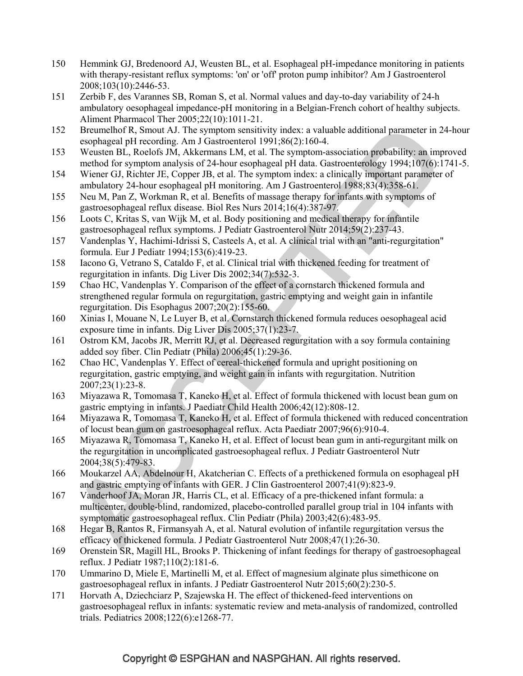- 150 Hemmink GJ, Bredenoord AJ, Weusten BL, et al. Esophageal pH-impedance monitoring in patients with therapy-resistant reflux symptoms: 'on' or 'off' proton pump inhibitor? Am J Gastroenterol 2008;103(10):2446-53.
- 151 Zerbib F, des Varannes SB, Roman S, et al. Normal values and day-to-day variability of 24-h ambulatory oesophageal impedance-pH monitoring in a Belgian-French cohort of healthy subjects. Aliment Pharmacol Ther 2005;22(10):1011-21.
- 152 Breumelhof R, Smout AJ. The symptom sensitivity index: a valuable additional parameter in 24-hour esophageal pH recording. Am J Gastroenterol 1991;86(2):160-4.
- 153 Weusten BL, Roelofs JM, Akkermans LM, et al. The symptom-association probability: an improved method for symptom analysis of 24-hour esophageal pH data. Gastroenterology 1994;107(6):1741-5.
- 154 Wiener GJ, Richter JE, Copper JB, et al. The symptom index: a clinically important parameter of ambulatory 24-hour esophageal pH monitoring. Am J Gastroenterol 1988;83(4):358-61.
- 155 Neu M, Pan Z, Workman R, et al. Benefits of massage therapy for infants with symptoms of gastroesophageal reflux disease. Biol Res Nurs 2014;16(4):387-97.
- 156 Loots C, Kritas S, van Wijk M, et al. Body positioning and medical therapy for infantile gastroesophageal reflux symptoms. J Pediatr Gastroenterol Nutr 2014;59(2):237-43.
- 157 Vandenplas Y, Hachimi-Idrissi S, Casteels A, et al. A clinical trial with an "anti-regurgitation" formula. Eur J Pediatr 1994;153(6):419-23.
- 158 Iacono G, Vetrano S, Cataldo F, et al. Clinical trial with thickened feeding for treatment of regurgitation in infants. Dig Liver Dis 2002;34(7):532-3.
- 159 Chao HC, Vandenplas Y. Comparison of the effect of a cornstarch thickened formula and strengthened regular formula on regurgitation, gastric emptying and weight gain in infantile regurgitation. Dis Esophagus 2007;20(2):155-60.
- 160 Xinias I, Mouane N, Le Luyer B, et al. Cornstarch thickened formula reduces oesophageal acid exposure time in infants. Dig Liver Dis 2005;37(1):23-7.
- 161 Ostrom KM, Jacobs JR, Merritt RJ, et al. Decreased regurgitation with a soy formula containing added soy fiber. Clin Pediatr (Phila) 2006;45(1):29-36.
- 162 Chao HC, Vandenplas Y. Effect of cereal-thickened formula and upright positioning on regurgitation, gastric emptying, and weight gain in infants with regurgitation. Nutrition 2007;23(1):23-8.
- 163 Miyazawa R, Tomomasa T, Kaneko H, et al. Effect of formula thickened with locust bean gum on gastric emptying in infants. J Paediatr Child Health 2006;42(12):808-12.
- 164 Miyazawa R, Tomomasa T, Kaneko H, et al. Effect of formula thickened with reduced concentration of locust bean gum on gastroesophageal reflux. Acta Paediatr 2007;96(6):910-4.
- 165 Miyazawa R, Tomomasa T, Kaneko H, et al. Effect of locust bean gum in anti-regurgitant milk on the regurgitation in uncomplicated gastroesophageal reflux. J Pediatr Gastroenterol Nutr 2004;38(5):479-83.
- 166 Moukarzel AA, Abdelnour H, Akatcherian C. Effects of a prethickened formula on esophageal pH and gastric emptying of infants with GER. J Clin Gastroenterol 2007;41(9):823-9.
- 167 Vanderhoof JA, Moran JR, Harris CL, et al. Efficacy of a pre-thickened infant formula: a multicenter, double-blind, randomized, placebo-controlled parallel group trial in 104 infants with symptomatic gastroesophageal reflux. Clin Pediatr (Phila) 2003;42(6):483-95.
- 168 Hegar B, Rantos R, Firmansyah A, et al. Natural evolution of infantile regurgitation versus the efficacy of thickened formula. J Pediatr Gastroenterol Nutr 2008;47(1):26-30.
- 169 Orenstein SR, Magill HL, Brooks P. Thickening of infant feedings for therapy of gastroesophageal reflux. J Pediatr 1987;110(2):181-6.
- 170 Ummarino D, Miele E, Martinelli M, et al. Effect of magnesium alginate plus simethicone on gastroesophageal reflux in infants. J Pediatr Gastroenterol Nutr 2015;60(2):230-5.
- 171 Horvath A, Dziechciarz P, Szajewska H. The effect of thickened-feed interventions on gastroesophageal reflux in infants: systematic review and meta-analysis of randomized, controlled trials. Pediatrics 2008;122(6):e1268-77.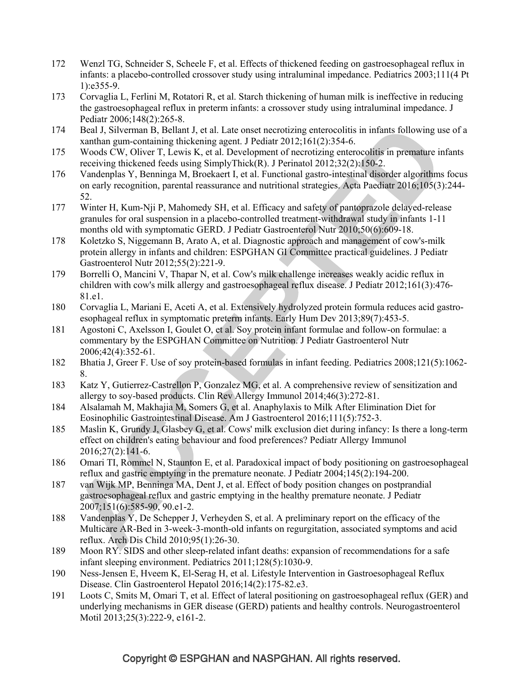- 172 Wenzl TG, Schneider S, Scheele F, et al. Effects of thickened feeding on gastroesophageal reflux in infants: a placebo-controlled crossover study using intraluminal impedance. Pediatrics 2003;111(4 Pt 1):e355-9.
- 173 Corvaglia L, Ferlini M, Rotatori R, et al. Starch thickening of human milk is ineffective in reducing the gastroesophageal reflux in preterm infants: a crossover study using intraluminal impedance. J Pediatr 2006;148(2):265-8.
- 174 Beal J, Silverman B, Bellant J, et al. Late onset necrotizing enterocolitis in infants following use of a xanthan gum-containing thickening agent. J Pediatr 2012;161(2):354-6.
- 175 Woods CW, Oliver T, Lewis K, et al. Development of necrotizing enterocolitis in premature infants receiving thickened feeds using SimplyThick(R). J Perinatol 2012;32(2):150-2.
- 176 Vandenplas Y, Benninga M, Broekaert I, et al. Functional gastro-intestinal disorder algorithms focus on early recognition, parental reassurance and nutritional strategies. Acta Paediatr 2016;105(3):244- 52.
- 177 Winter H, Kum-Nji P, Mahomedy SH, et al. Efficacy and safety of pantoprazole delayed-release granules for oral suspension in a placebo-controlled treatment-withdrawal study in infants 1-11 months old with symptomatic GERD. J Pediatr Gastroenterol Nutr 2010;50(6):609-18.
- 178 Koletzko S, Niggemann B, Arato A, et al. Diagnostic approach and management of cow's-milk protein allergy in infants and children: ESPGHAN GI Committee practical guidelines. J Pediatr Gastroenterol Nutr 2012;55(2):221-9.
- 179 Borrelli O, Mancini V, Thapar N, et al. Cow's milk challenge increases weakly acidic reflux in children with cow's milk allergy and gastroesophageal reflux disease. J Pediatr 2012;161(3):476- 81.e1.
- 180 Corvaglia L, Mariani E, Aceti A, et al. Extensively hydrolyzed protein formula reduces acid gastroesophageal reflux in symptomatic preterm infants. Early Hum Dev 2013;89(7):453-5.
- 181 Agostoni C, Axelsson I, Goulet O, et al. Soy protein infant formulae and follow-on formulae: a commentary by the ESPGHAN Committee on Nutrition. J Pediatr Gastroenterol Nutr 2006;42(4):352-61.
- 182 Bhatia J, Greer F. Use of soy protein-based formulas in infant feeding. Pediatrics 2008;121(5):1062- 8.
- 183 Katz Y, Gutierrez-Castrellon P, Gonzalez MG, et al. A comprehensive review of sensitization and allergy to soy-based products. Clin Rev Allergy Immunol 2014;46(3):272-81.
- 184 Alsalamah M, Makhajia M, Somers G, et al. Anaphylaxis to Milk After Elimination Diet for Eosinophilic Gastrointestinal Disease. Am J Gastroenterol 2016;111(5):752-3.
- 185 Maslin K, Grundy J, Glasbey G, et al. Cows' milk exclusion diet during infancy: Is there a long-term effect on children's eating behaviour and food preferences? Pediatr Allergy Immunol 2016;27(2):141-6.
- 186 Omari TI, Rommel N, Staunton E, et al. Paradoxical impact of body positioning on gastroesophageal reflux and gastric emptying in the premature neonate. J Pediatr 2004;145(2):194-200.
- 187 van Wijk MP, Benninga MA, Dent J, et al. Effect of body position changes on postprandial gastroesophageal reflux and gastric emptying in the healthy premature neonate. J Pediatr 2007;151(6):585-90, 90.e1-2.
- 188 Vandenplas Y, De Schepper J, Verheyden S, et al. A preliminary report on the efficacy of the Multicare AR-Bed in 3-week-3-month-old infants on regurgitation, associated symptoms and acid reflux. Arch Dis Child 2010;95(1):26-30.
- 189 Moon RY. SIDS and other sleep-related infant deaths: expansion of recommendations for a safe infant sleeping environment. Pediatrics 2011;128(5):1030-9.
- 190 Ness-Jensen E, Hveem K, El-Serag H, et al. Lifestyle Intervention in Gastroesophageal Reflux Disease. Clin Gastroenterol Hepatol 2016;14(2):175-82.e3.
- 191 Loots C, Smits M, Omari T, et al. Effect of lateral positioning on gastroesophageal reflux (GER) and underlying mechanisms in GER disease (GERD) patients and healthy controls. Neurogastroenterol Motil 2013;25(3):222-9, e161-2.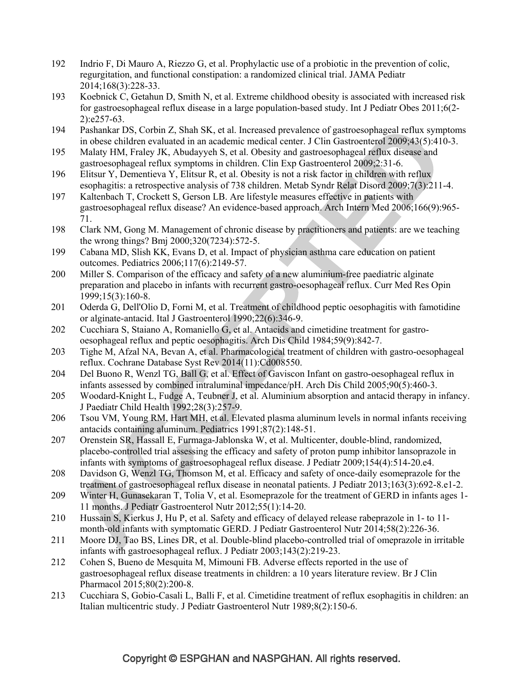- 192 Indrio F, Di Mauro A, Riezzo G, et al. Prophylactic use of a probiotic in the prevention of colic, regurgitation, and functional constipation: a randomized clinical trial. JAMA Pediatr 2014;168(3):228-33.
- 193 Koebnick C, Getahun D, Smith N, et al. Extreme childhood obesity is associated with increased risk for gastroesophageal reflux disease in a large population-based study. Int J Pediatr Obes 2011;6(2- 2):e257-63.
- 194 Pashankar DS, Corbin Z, Shah SK, et al. Increased prevalence of gastroesophageal reflux symptoms in obese children evaluated in an academic medical center. J Clin Gastroenterol 2009;43(5):410-3.
- 195 Malaty HM, Fraley JK, Abudayyeh S, et al. Obesity and gastroesophageal reflux disease and gastroesophageal reflux symptoms in children. Clin Exp Gastroenterol 2009;2:31-6.
- 196 Elitsur Y, Dementieva Y, Elitsur R, et al. Obesity is not a risk factor in children with reflux esophagitis: a retrospective analysis of 738 children. Metab Syndr Relat Disord 2009;7(3):211-4.
- 197 Kaltenbach T, Crockett S, Gerson LB. Are lifestyle measures effective in patients with gastroesophageal reflux disease? An evidence-based approach. Arch Intern Med 2006;166(9):965- 71.
- 198 Clark NM, Gong M. Management of chronic disease by practitioners and patients: are we teaching the wrong things? Bmj 2000;320(7234):572-5.
- 199 Cabana MD, Slish KK, Evans D, et al. Impact of physician asthma care education on patient outcomes. Pediatrics 2006;117(6):2149-57.
- 200 Miller S. Comparison of the efficacy and safety of a new aluminium-free paediatric alginate preparation and placebo in infants with recurrent gastro-oesophageal reflux. Curr Med Res Opin 1999;15(3):160-8.
- 201 Oderda G, Dell'Olio D, Forni M, et al. Treatment of childhood peptic oesophagitis with famotidine or alginate-antacid. Ital J Gastroenterol 1990;22(6):346-9.
- 202 Cucchiara S, Staiano A, Romaniello G, et al. Antacids and cimetidine treatment for gastrooesophageal reflux and peptic oesophagitis. Arch Dis Child 1984;59(9):842-7.
- 203 Tighe M, Afzal NA, Bevan A, et al. Pharmacological treatment of children with gastro-oesophageal reflux. Cochrane Database Syst Rev 2014(11):Cd008550.
- 204 Del Buono R, Wenzl TG, Ball G, et al. Effect of Gaviscon Infant on gastro-oesophageal reflux in infants assessed by combined intraluminal impedance/pH. Arch Dis Child 2005;90(5):460-3.
- 205 Woodard-Knight L, Fudge A, Teubner J, et al. Aluminium absorption and antacid therapy in infancy. J Paediatr Child Health 1992;28(3):257-9.
- 206 Tsou VM, Young RM, Hart MH, et al. Elevated plasma aluminum levels in normal infants receiving antacids containing aluminum. Pediatrics 1991;87(2):148-51.
- 207 Orenstein SR, Hassall E, Furmaga-Jablonska W, et al. Multicenter, double-blind, randomized, placebo-controlled trial assessing the efficacy and safety of proton pump inhibitor lansoprazole in infants with symptoms of gastroesophageal reflux disease. J Pediatr 2009;154(4):514-20.e4.
- 208 Davidson G, Wenzl TG, Thomson M, et al. Efficacy and safety of once-daily esomeprazole for the treatment of gastroesophageal reflux disease in neonatal patients. J Pediatr 2013;163(3):692-8.e1-2.
- 209 Winter H, Gunasekaran T, Tolia V, et al. Esomeprazole for the treatment of GERD in infants ages 1- 11 months. J Pediatr Gastroenterol Nutr 2012;55(1):14-20.
- 210 Hussain S, Kierkus J, Hu P, et al. Safety and efficacy of delayed release rabeprazole in 1- to 11 month-old infants with symptomatic GERD. J Pediatr Gastroenterol Nutr 2014;58(2):226-36.
- 211 Moore DJ, Tao BS, Lines DR, et al. Double-blind placebo-controlled trial of omeprazole in irritable infants with gastroesophageal reflux. J Pediatr 2003;143(2):219-23.
- 212 Cohen S, Bueno de Mesquita M, Mimouni FB. Adverse effects reported in the use of gastroesophageal reflux disease treatments in children: a 10 years literature review. Br J Clin Pharmacol 2015;80(2):200-8.
- 213 Cucchiara S, Gobio-Casali L, Balli F, et al. Cimetidine treatment of reflux esophagitis in children: an Italian multicentric study. J Pediatr Gastroenterol Nutr 1989;8(2):150-6.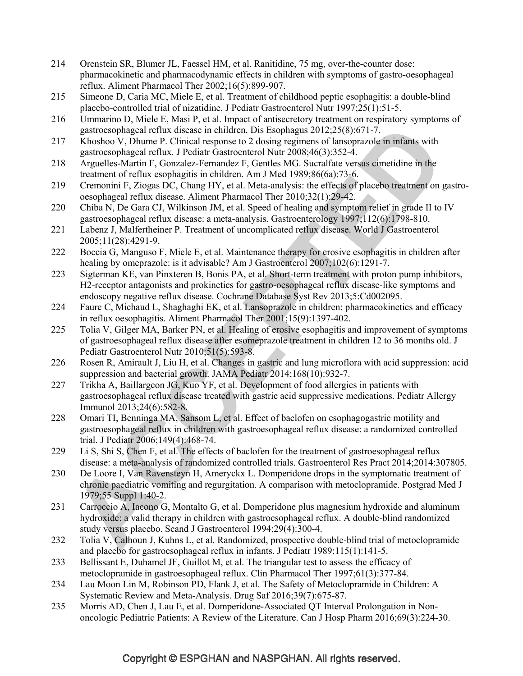- 214 Orenstein SR, Blumer JL, Faessel HM, et al. Ranitidine, 75 mg, over-the-counter dose: pharmacokinetic and pharmacodynamic effects in children with symptoms of gastro-oesophageal reflux. Aliment Pharmacol Ther 2002;16(5):899-907.
- 215 Simeone D, Caria MC, Miele E, et al. Treatment of childhood peptic esophagitis: a double-blind placebo-controlled trial of nizatidine. J Pediatr Gastroenterol Nutr 1997;25(1):51-5.
- 216 Ummarino D, Miele E, Masi P, et al. Impact of antisecretory treatment on respiratory symptoms of gastroesophageal reflux disease in children. Dis Esophagus 2012;25(8):671-7.
- 217 Khoshoo V, Dhume P. Clinical response to 2 dosing regimens of lansoprazole in infants with gastroesophageal reflux. J Pediatr Gastroenterol Nutr 2008;46(3):352-4.
- 218 Arguelles-Martin F, Gonzalez-Fernandez F, Gentles MG. Sucralfate versus cimetidine in the treatment of reflux esophagitis in children. Am J Med 1989;86(6a):73-6.
- 219 Cremonini F, Ziogas DC, Chang HY, et al. Meta-analysis: the effects of placebo treatment on gastrooesophageal reflux disease. Aliment Pharmacol Ther 2010;32(1):29-42.
- 220 Chiba N, De Gara CJ, Wilkinson JM, et al. Speed of healing and symptom relief in grade II to IV gastroesophageal reflux disease: a meta-analysis. Gastroenterology 1997;112(6):1798-810.
- 221 Labenz J, Malfertheiner P. Treatment of uncomplicated reflux disease. World J Gastroenterol 2005;11(28):4291-9.
- 222 Boccia G, Manguso F, Miele E, et al. Maintenance therapy for erosive esophagitis in children after healing by omeprazole: is it advisable? Am J Gastroenterol 2007;102(6):1291-7.
- 223 Sigterman KE, van Pinxteren B, Bonis PA, et al. Short-term treatment with proton pump inhibitors, H2-receptor antagonists and prokinetics for gastro-oesophageal reflux disease-like symptoms and endoscopy negative reflux disease. Cochrane Database Syst Rev 2013;5:Cd002095.
- 224 Faure C, Michaud L, Shaghaghi EK, et al. Lansoprazole in children: pharmacokinetics and efficacy in reflux oesophagitis. Aliment Pharmacol Ther 2001;15(9):1397-402.
- 225 Tolia V, Gilger MA, Barker PN, et al. Healing of erosive esophagitis and improvement of symptoms of gastroesophageal reflux disease after esomeprazole treatment in children 12 to 36 months old. J Pediatr Gastroenterol Nutr 2010;51(5):593-8.
- 226 Rosen R, Amirault J, Liu H, et al. Changes in gastric and lung microflora with acid suppression: acid suppression and bacterial growth. JAMA Pediatr 2014;168(10):932-7.
- 227 Trikha A, Baillargeon JG, Kuo YF, et al. Development of food allergies in patients with gastroesophageal reflux disease treated with gastric acid suppressive medications. Pediatr Allergy Immunol 2013;24(6):582-8.
- 228 Omari TI, Benninga MA, Sansom L, et al. Effect of baclofen on esophagogastric motility and gastroesophageal reflux in children with gastroesophageal reflux disease: a randomized controlled trial. J Pediatr 2006;149(4):468-74.
- 229 Li S, Shi S, Chen F, et al. The effects of baclofen for the treatment of gastroesophageal reflux disease: a meta-analysis of randomized controlled trials. Gastroenterol Res Pract 2014;2014:307805.
- 230 De Loore I, Van Ravensteyn H, Ameryckx L. Domperidone drops in the symptomatic treatment of chronic paediatric vomiting and regurgitation. A comparison with metoclopramide. Postgrad Med J 1979;55 Suppl 1:40-2.
- 231 Carroccio A, Iacono G, Montalto G, et al. Domperidone plus magnesium hydroxide and aluminum hydroxide: a valid therapy in children with gastroesophageal reflux. A double-blind randomized study versus placebo. Scand J Gastroenterol 1994;29(4):300-4.
- 232 Tolia V, Calhoun J, Kuhns L, et al. Randomized, prospective double-blind trial of metoclopramide and placebo for gastroesophageal reflux in infants. J Pediatr 1989;115(1):141-5.
- 233 Bellissant E, Duhamel JF, Guillot M, et al. The triangular test to assess the efficacy of metoclopramide in gastroesophageal reflux. Clin Pharmacol Ther 1997;61(3):377-84.
- 234 Lau Moon Lin M, Robinson PD, Flank J, et al. The Safety of Metoclopramide in Children: A Systematic Review and Meta-Analysis. Drug Saf 2016;39(7):675-87.
- 235 Morris AD, Chen J, Lau E, et al. Domperidone-Associated QT Interval Prolongation in Nononcologic Pediatric Patients: A Review of the Literature. Can J Hosp Pharm 2016;69(3):224-30.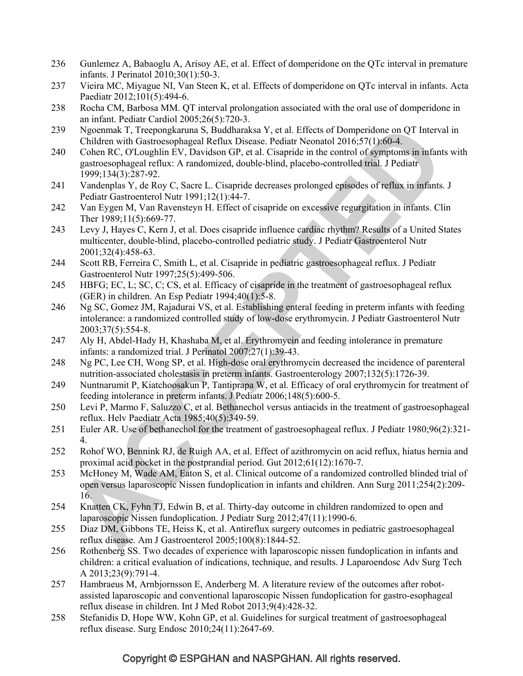- 236 Gunlemez A, Babaoglu A, Arisoy AE, et al. Effect of domperidone on the QTc interval in premature infants. J Perinatol 2010;30(1):50-3.
- 237 Vieira MC, Miyague NI, Van Steen K, et al. Effects of domperidone on QTc interval in infants. Acta Paediatr 2012;101(5):494-6.
- 238 Rocha CM, Barbosa MM. QT interval prolongation associated with the oral use of domperidone in an infant. Pediatr Cardiol 2005;26(5):720-3.
- 239 Ngoenmak T, Treepongkaruna S, Buddharaksa Y, et al. Effects of Domperidone on QT Interval in Children with Gastroesophageal Reflux Disease. Pediatr Neonatol 2016;57(1):60-4.
- 240 Cohen RC, O'Loughlin EV, Davidson GP, et al. Cisapride in the control of symptoms in infants with gastroesophageal reflux: A randomized, double-blind, placebo-controlled trial. J Pediatr 1999;134(3):287-92.
- 241 Vandenplas Y, de Roy C, Sacre L. Cisapride decreases prolonged episodes of reflux in infants. J Pediatr Gastroenterol Nutr 1991;12(1):44-7.
- 242 Van Eygen M, Van Ravensteyn H. Effect of cisapride on excessive regurgitation in infants. Clin Ther 1989;11(5):669-77.
- 243 Levy J, Hayes C, Kern J, et al. Does cisapride influence cardiac rhythm? Results of a United States multicenter, double-blind, placebo-controlled pediatric study. J Pediatr Gastroenterol Nutr 2001;32(4):458-63.
- 244 Scott RB, Ferreira C, Smith L, et al. Cisapride in pediatric gastroesophageal reflux. J Pediatr Gastroenterol Nutr 1997;25(5):499-506.
- 245 HBFG; EC, L; SC, C; CS, et al. Efficacy of cisapride in the treatment of gastroesophageal reflux (GER) in children. An Esp Pediatr 1994;40(1):5-8.
- 246 Ng SC, Gomez JM, Rajadurai VS, et al. Establishing enteral feeding in preterm infants with feeding intolerance: a randomized controlled study of low-dose erythromycin. J Pediatr Gastroenterol Nutr 2003;37(5):554-8.
- 247 Aly H, Abdel-Hady H, Khashaba M, et al. Erythromycin and feeding intolerance in premature infants: a randomized trial. J Perinatol 2007;27(1):39-43.
- 248 Ng PC, Lee CH, Wong SP, et al. High-dose oral erythromycin decreased the incidence of parenteral nutrition-associated cholestasis in preterm infants. Gastroenterology 2007;132(5):1726-39.
- 249 Nuntnarumit P, Kiatchoosakun P, Tantiprapa W, et al. Efficacy of oral erythromycin for treatment of feeding intolerance in preterm infants. J Pediatr 2006;148(5):600-5.
- 250 Levi P, Marmo F, Saluzzo C, et al. Bethanechol versus antiacids in the treatment of gastroesophageal reflux. Helv Paediatr Acta 1985;40(5):349-59.
- 251 Euler AR. Use of bethanechol for the treatment of gastroesophageal reflux. J Pediatr 1980;96(2):321- 4.
- 252 Rohof WO, Bennink RJ, de Ruigh AA, et al. Effect of azithromycin on acid reflux, hiatus hernia and proximal acid pocket in the postprandial period. Gut 2012;61(12):1670-7.
- 253 McHoney M, Wade AM, Eaton S, et al. Clinical outcome of a randomized controlled blinded trial of open versus laparoscopic Nissen fundoplication in infants and children. Ann Surg 2011;254(2):209- 16.
- 254 Knatten CK, Fyhn TJ, Edwin B, et al. Thirty-day outcome in children randomized to open and laparoscopic Nissen fundoplication. J Pediatr Surg 2012;47(11):1990-6.
- 255 Diaz DM, Gibbons TE, Heiss K, et al. Antireflux surgery outcomes in pediatric gastroesophageal reflux disease. Am J Gastroenterol 2005;100(8):1844-52.
- 256 Rothenberg SS. Two decades of experience with laparoscopic nissen fundoplication in infants and children: a critical evaluation of indications, technique, and results. J Laparoendosc Adv Surg Tech A 2013;23(9):791-4.
- 257 Hambraeus M, Arnbjornsson E, Anderberg M. A literature review of the outcomes after robotassisted laparoscopic and conventional laparoscopic Nissen fundoplication for gastro-esophageal reflux disease in children. Int J Med Robot 2013;9(4):428-32.
- 258 Stefanidis D, Hope WW, Kohn GP, et al. Guidelines for surgical treatment of gastroesophageal reflux disease. Surg Endosc 2010;24(11):2647-69.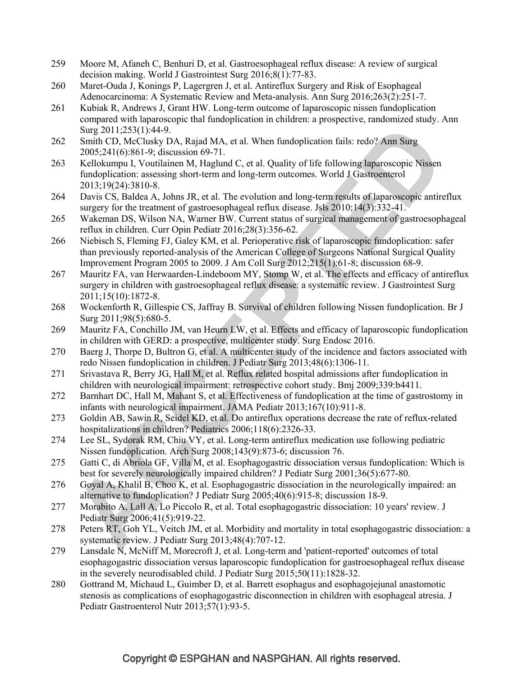- 259 Moore M, Afaneh C, Benhuri D, et al. Gastroesophageal reflux disease: A review of surgical decision making. World J Gastrointest Surg 2016;8(1):77-83.
- 260 Maret-Ouda J, Konings P, Lagergren J, et al. Antireflux Surgery and Risk of Esophageal Adenocarcinoma: A Systematic Review and Meta-analysis. Ann Surg 2016;263(2):251-7.
- 261 Kubiak R, Andrews J, Grant HW. Long-term outcome of laparoscopic nissen fundoplication compared with laparoscopic thal fundoplication in children: a prospective, randomized study. Ann Surg 2011;253(1):44-9.
- 262 Smith CD, McClusky DA, Rajad MA, et al. When fundoplication fails: redo? Ann Surg 2005;241(6):861-9; discussion 69-71.
- 263 Kellokumpu I, Voutilainen M, Haglund C, et al. Quality of life following laparoscopic Nissen fundoplication: assessing short-term and long-term outcomes. World J Gastroenterol 2013;19(24):3810-8.
- 264 Davis CS, Baldea A, Johns JR, et al. The evolution and long-term results of laparoscopic antireflux surgery for the treatment of gastroesophageal reflux disease. Jsls 2010;14(3):332-41.
- 265 Wakeman DS, Wilson NA, Warner BW. Current status of surgical management of gastroesophageal reflux in children. Curr Opin Pediatr 2016;28(3):356-62.
- 266 Niebisch S, Fleming FJ, Galey KM, et al. Perioperative risk of laparoscopic fundoplication: safer than previously reported-analysis of the American College of Surgeons National Surgical Quality Improvement Program 2005 to 2009. J Am Coll Surg 2012;215(1):61-8; discussion 68-9.
- 267 Mauritz FA, van Herwaarden-Lindeboom MY, Stomp W, et al. The effects and efficacy of antireflux surgery in children with gastroesophageal reflux disease: a systematic review. J Gastrointest Surg 2011;15(10):1872-8.
- 268 Wockenforth R, Gillespie CS, Jaffray B. Survival of children following Nissen fundoplication. Br J Surg 2011;98(5):680-5.
- 269 Mauritz FA, Conchillo JM, van Heurn LW, et al. Effects and efficacy of laparoscopic fundoplication in children with GERD: a prospective, multicenter study. Surg Endosc 2016.
- 270 Baerg J, Thorpe D, Bultron G, et al. A multicenter study of the incidence and factors associated with redo Nissen fundoplication in children. J Pediatr Surg 2013;48(6):1306-11.
- 271 Srivastava R, Berry JG, Hall M, et al. Reflux related hospital admissions after fundoplication in children with neurological impairment: retrospective cohort study. Bmj 2009;339:b4411.
- 272 Barnhart DC, Hall M, Mahant S, et al. Effectiveness of fundoplication at the time of gastrostomy in infants with neurological impairment. JAMA Pediatr 2013;167(10):911-8.
- 273 Goldin AB, Sawin R, Seidel KD, et al. Do antireflux operations decrease the rate of reflux-related hospitalizations in children? Pediatrics 2006;118(6):2326-33.
- 274 Lee SL, Sydorak RM, Chiu VY, et al. Long-term antireflux medication use following pediatric Nissen fundoplication. Arch Surg 2008;143(9):873-6; discussion 76.
- 275 Gatti C, di Abriola GF, Villa M, et al. Esophagogastric dissociation versus fundoplication: Which is best for severely neurologically impaired children? J Pediatr Surg 2001;36(5):677-80.
- 276 Goyal A, Khalil B, Choo K, et al. Esophagogastric dissociation in the neurologically impaired: an alternative to fundoplication? J Pediatr Surg 2005;40(6):915-8; discussion 18-9.
- 277 Morabito A, Lall A, Lo Piccolo R, et al. Total esophagogastric dissociation: 10 years' review. J Pediatr Surg 2006;41(5):919-22.
- 278 Peters RT, Goh YL, Veitch JM, et al. Morbidity and mortality in total esophagogastric dissociation: a systematic review. J Pediatr Surg 2013;48(4):707-12.
- 279 Lansdale N, McNiff M, Morecroft J, et al. Long-term and 'patient-reported' outcomes of total esophagogastric dissociation versus laparoscopic fundoplication for gastroesophageal reflux disease in the severely neurodisabled child. J Pediatr Surg 2015;50(11):1828-32.
- 280 Gottrand M, Michaud L, Guimber D, et al. Barrett esophagus and esophagojejunal anastomotic stenosis as complications of esophagogastric disconnection in children with esophageal atresia. J Pediatr Gastroenterol Nutr 2013;57(1):93-5.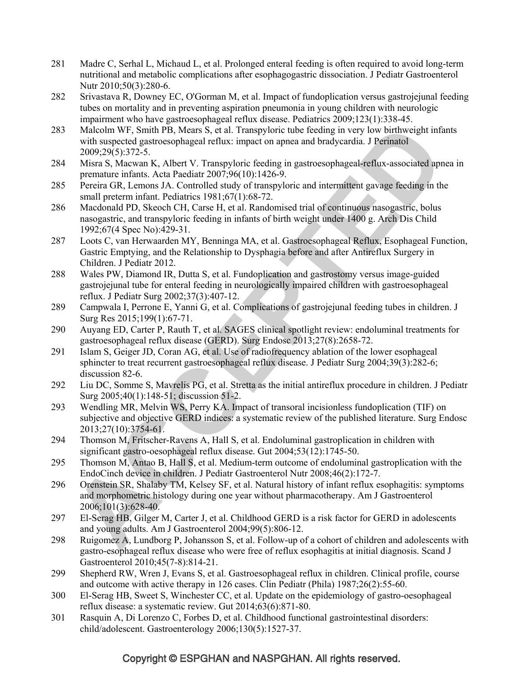- 281 Madre C, Serhal L, Michaud L, et al. Prolonged enteral feeding is often required to avoid long-term nutritional and metabolic complications after esophagogastric dissociation. J Pediatr Gastroenterol Nutr 2010;50(3):280-6.
- 282 Srivastava R, Downey EC, O'Gorman M, et al. Impact of fundoplication versus gastrojejunal feeding tubes on mortality and in preventing aspiration pneumonia in young children with neurologic impairment who have gastroesophageal reflux disease. Pediatrics 2009;123(1):338-45.
- 283 Malcolm WF, Smith PB, Mears S, et al. Transpyloric tube feeding in very low birthweight infants with suspected gastroesophageal reflux: impact on apnea and bradycardia. J Perinatol 2009;29(5):372-5.
- 284 Misra S, Macwan K, Albert V. Transpyloric feeding in gastroesophageal-reflux-associated apnea in premature infants. Acta Paediatr 2007;96(10):1426-9.
- 285 Pereira GR, Lemons JA. Controlled study of transpyloric and intermittent gavage feeding in the small preterm infant. Pediatrics 1981;67(1):68-72.
- 286 Macdonald PD, Skeoch CH, Carse H, et al. Randomised trial of continuous nasogastric, bolus nasogastric, and transpyloric feeding in infants of birth weight under 1400 g. Arch Dis Child 1992;67(4 Spec No):429-31.
- 287 Loots C, van Herwaarden MY, Benninga MA, et al. Gastroesophageal Reflux, Esophageal Function, Gastric Emptying, and the Relationship to Dysphagia before and after Antireflux Surgery in Children. J Pediatr 2012.
- 288 Wales PW, Diamond IR, Dutta S, et al. Fundoplication and gastrostomy versus image-guided gastrojejunal tube for enteral feeding in neurologically impaired children with gastroesophageal reflux. J Pediatr Surg 2002;37(3):407-12.
- 289 Campwala I, Perrone E, Yanni G, et al. Complications of gastrojejunal feeding tubes in children. J Surg Res 2015;199(1):67-71.
- 290 Auyang ED, Carter P, Rauth T, et al. SAGES clinical spotlight review: endoluminal treatments for gastroesophageal reflux disease (GERD). Surg Endosc 2013;27(8):2658-72.
- 291 Islam S, Geiger JD, Coran AG, et al. Use of radiofrequency ablation of the lower esophageal sphincter to treat recurrent gastroesophageal reflux disease. J Pediatr Surg 2004;39(3):282-6; discussion 82-6.
- 292 Liu DC, Somme S, Mavrelis PG, et al. Stretta as the initial antireflux procedure in children. J Pediatr Surg 2005;40(1):148-51; discussion 51-2.
- 293 Wendling MR, Melvin WS, Perry KA. Impact of transoral incisionless fundoplication (TIF) on subjective and objective GERD indices: a systematic review of the published literature. Surg Endosc 2013;27(10):3754-61.
- 294 Thomson M, Fritscher-Ravens A, Hall S, et al. Endoluminal gastroplication in children with significant gastro-oesophageal reflux disease. Gut 2004;53(12):1745-50.
- 295 Thomson M, Antao B, Hall S, et al. Medium-term outcome of endoluminal gastroplication with the EndoCinch device in children. J Pediatr Gastroenterol Nutr 2008;46(2):172-7.
- 296 Orenstein SR, Shalaby TM, Kelsey SF, et al. Natural history of infant reflux esophagitis: symptoms and morphometric histology during one year without pharmacotherapy. Am J Gastroenterol 2006;101(3):628-40.
- 297 El-Serag HB, Gilger M, Carter J, et al. Childhood GERD is a risk factor for GERD in adolescents and young adults. Am J Gastroenterol 2004;99(5):806-12.
- 298 Ruigomez A, Lundborg P, Johansson S, et al. Follow-up of a cohort of children and adolescents with gastro-esophageal reflux disease who were free of reflux esophagitis at initial diagnosis. Scand J Gastroenterol 2010;45(7-8):814-21.
- 299 Shepherd RW, Wren J, Evans S, et al. Gastroesophageal reflux in children. Clinical profile, course and outcome with active therapy in 126 cases. Clin Pediatr (Phila) 1987;26(2):55-60.
- 300 El-Serag HB, Sweet S, Winchester CC, et al. Update on the epidemiology of gastro-oesophageal reflux disease: a systematic review. Gut 2014;63(6):871-80.
- 301 Rasquin A, Di Lorenzo C, Forbes D, et al. Childhood functional gastrointestinal disorders: child/adolescent. Gastroenterology 2006;130(5):1527-37.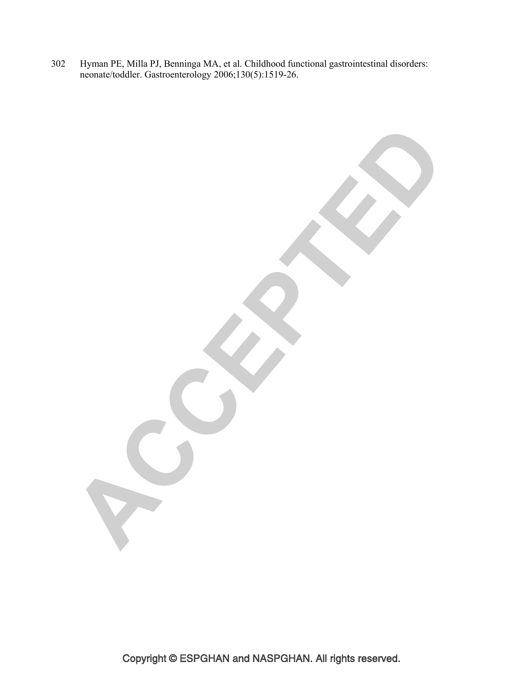302 Hyman PE, Milla PJ, Benninga MA, et al. Childhood functional gastrointestinal disorders: neonate/toddler. Gastroenterology 2006;130(5):1519-26.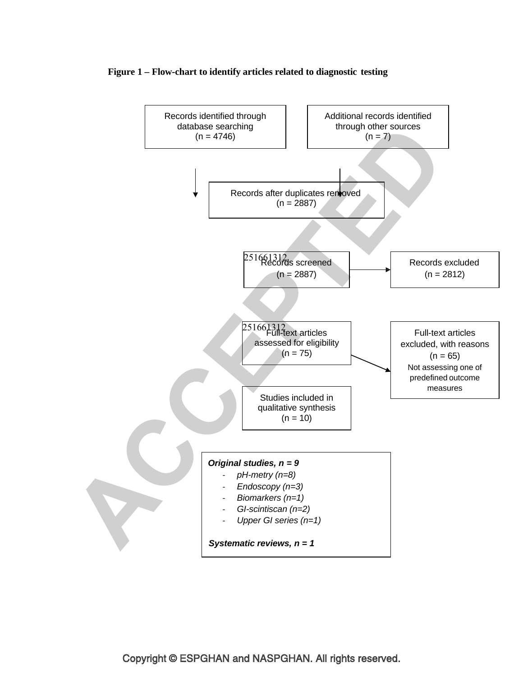#### **Figure 1 – Flow-chart to identify articles related to diagnostic testing**

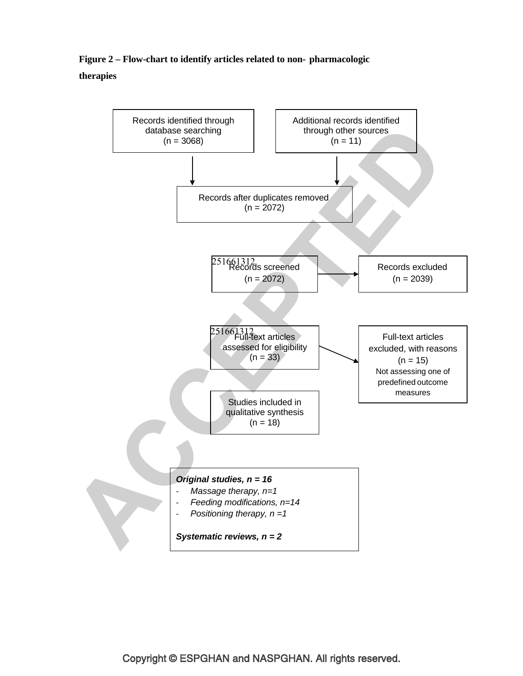## **Figure 2 – Flow-chart to identify articles related to non- pharmacologic therapies**

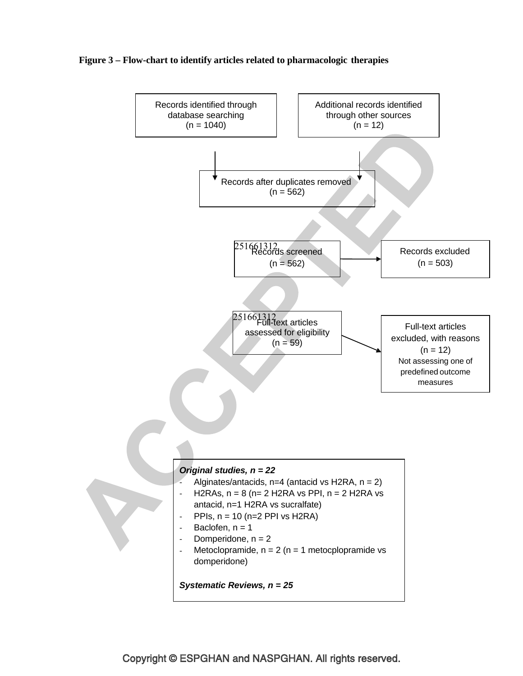

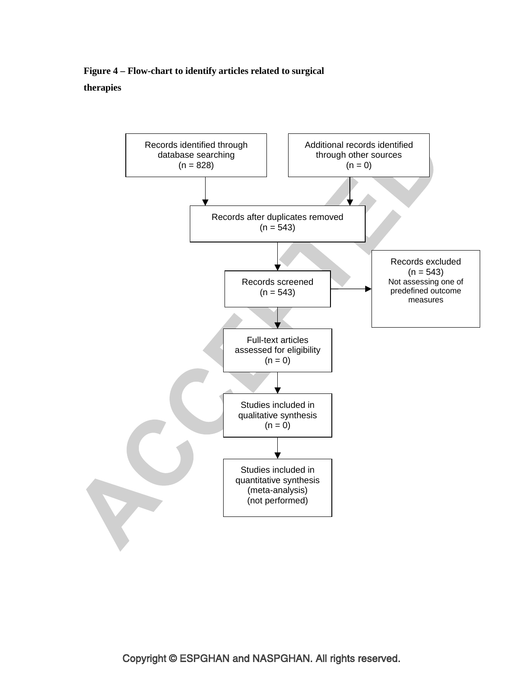**Figure 4 – Flow-chart to identify articles related to surgical therapies**

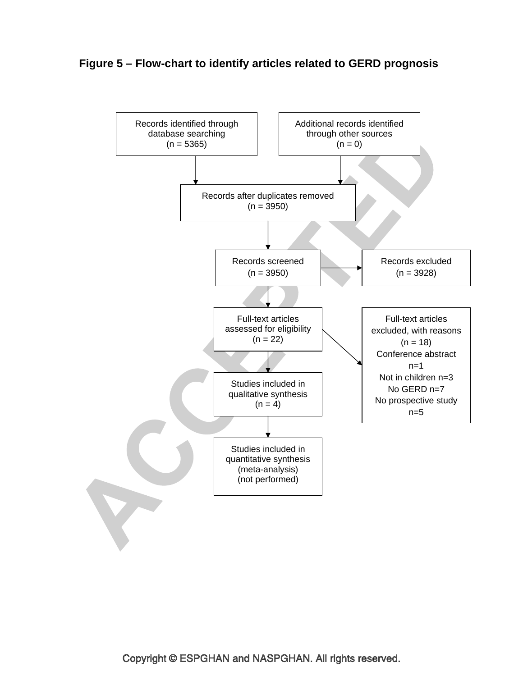### **Figure 5 – Flow-chart to identify articles related to GERD prognosis**

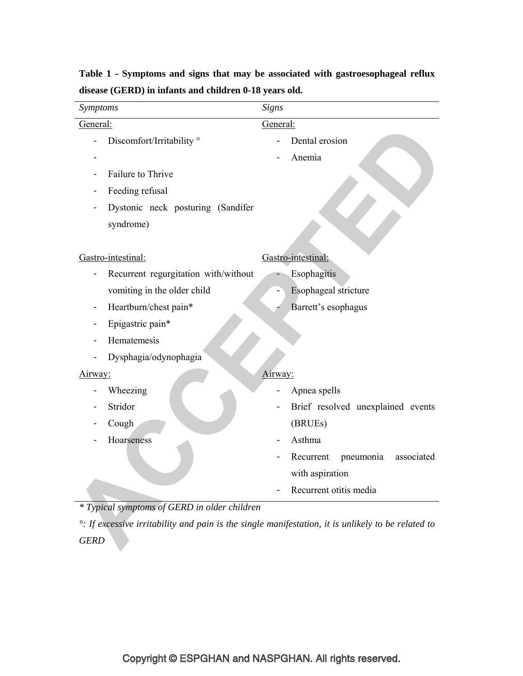| Symptoms                             | <b>Signs</b>                         |  |  |
|--------------------------------------|--------------------------------------|--|--|
| General:                             | General:                             |  |  |
| Discomfort/Irritability <sup>o</sup> | Dental erosion                       |  |  |
|                                      | Anemia                               |  |  |
| Failure to Thrive                    |                                      |  |  |
| Feeding refusal                      |                                      |  |  |
| Dystonic neck posturing (Sandifer    |                                      |  |  |
| syndrome)                            |                                      |  |  |
|                                      |                                      |  |  |
| Gastro-intestinal:                   | Gastro-intestinal:                   |  |  |
| Recurrent regurgitation with/without | Esophagitis                          |  |  |
| vomiting in the older child          | Esophageal stricture                 |  |  |
| Heartburn/chest pain*                | Barrett's esophagus                  |  |  |
| Epigastric pain*                     |                                      |  |  |
| Hematemesis                          |                                      |  |  |
| Dysphagia/odynophagia                |                                      |  |  |
| Airway:                              | Airway:                              |  |  |
| Wheezing                             | Apnea spells                         |  |  |
| Stridor                              | Brief resolved unexplained events    |  |  |
| Cough                                | (BRUEs)                              |  |  |
| Hoarseness                           | Asthma                               |  |  |
|                                      | Recurrent<br>pneumonia<br>associated |  |  |
|                                      | with aspiration                      |  |  |
|                                      | Recurrent otitis media               |  |  |

# **Table 1 - Symptoms and signs that may be associated with gastroesophageal reflux disease (GERD) in infants and children 0-18 years old.**

*\* Typical symptoms of GERD in older children* 

*°: If excessive irritability and pain is the single manifestation, it is unlikely to be related to GERD*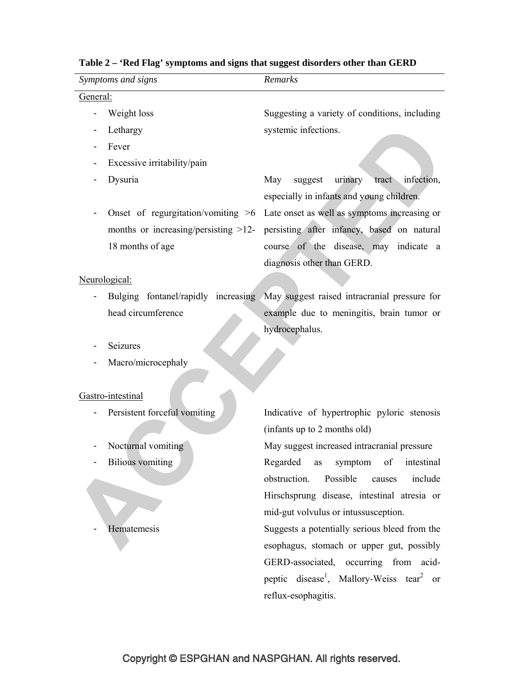| Symptoms and signs                      | Remarks                                                                          |  |  |  |  |  |  |
|-----------------------------------------|----------------------------------------------------------------------------------|--|--|--|--|--|--|
| General:                                |                                                                                  |  |  |  |  |  |  |
| Weight loss                             | Suggesting a variety of conditions, including                                    |  |  |  |  |  |  |
| Lethargy                                | systemic infections.                                                             |  |  |  |  |  |  |
| Fever                                   |                                                                                  |  |  |  |  |  |  |
| Excessive irritability/pain             |                                                                                  |  |  |  |  |  |  |
| Dysuria                                 | urinary<br>May<br>suggest<br>tract<br>infection,                                 |  |  |  |  |  |  |
|                                         | especially in infants and young children.                                        |  |  |  |  |  |  |
| Onset of regurgitation/vomiting $>6$    | Late onset as well as symptoms increasing or                                     |  |  |  |  |  |  |
| months or increasing/persisting $>12$ - | persisting after infancy, based on natural                                       |  |  |  |  |  |  |
| 18 months of age                        | course of the disease, may indicate a                                            |  |  |  |  |  |  |
|                                         | diagnosis other than GERD.                                                       |  |  |  |  |  |  |
| Neurological:                           |                                                                                  |  |  |  |  |  |  |
|                                         | Bulging fontanel/rapidly increasing May suggest raised intracranial pressure for |  |  |  |  |  |  |
| head circumference                      | example due to meningitis, brain tumor or                                        |  |  |  |  |  |  |
|                                         | hydrocephalus.                                                                   |  |  |  |  |  |  |
| Seizures                                |                                                                                  |  |  |  |  |  |  |
| Macro/microcephaly                      |                                                                                  |  |  |  |  |  |  |
|                                         |                                                                                  |  |  |  |  |  |  |
| Gastro-intestinal                       |                                                                                  |  |  |  |  |  |  |
| Persistent forceful vomiting            | Indicative of hypertrophic pyloric stenosis                                      |  |  |  |  |  |  |
|                                         | (infants up to 2 months old)                                                     |  |  |  |  |  |  |
| Nocturnal vomiting                      | May suggest increased intracranial pressure                                      |  |  |  |  |  |  |
| <b>Bilious</b> vomiting                 | intestinal<br>Regarded<br>symptom<br>of<br>as                                    |  |  |  |  |  |  |
|                                         | Possible<br>obstruction.<br>include<br>causes                                    |  |  |  |  |  |  |
|                                         | Hirschsprung disease, intestinal atresia or                                      |  |  |  |  |  |  |
|                                         | mid-gut volvulus or intussusception.                                             |  |  |  |  |  |  |
| Hematemesis                             | Suggests a potentially serious bleed from the                                    |  |  |  |  |  |  |
|                                         | esophagus, stomach or upper gut, possibly                                        |  |  |  |  |  |  |
|                                         | GERD-associated, occurring from acid-                                            |  |  |  |  |  |  |
|                                         | peptic disease <sup>1</sup> , Mallory-Weiss tear <sup>2</sup> or                 |  |  |  |  |  |  |
|                                         | reflux-esophagitis.                                                              |  |  |  |  |  |  |
|                                         |                                                                                  |  |  |  |  |  |  |

# **Table 2 – 'Red Flag' symptoms and signs that suggest disorders other than GERD**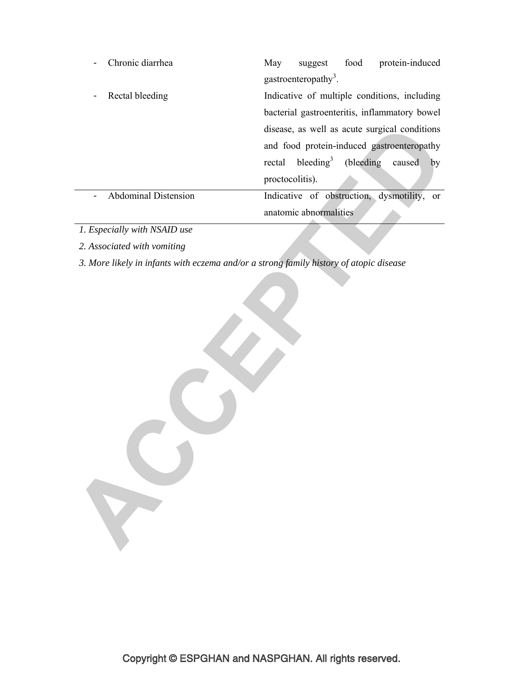| Chronic diarrhea            | May                                           | suggest                                | food | protein-induced                               |
|-----------------------------|-----------------------------------------------|----------------------------------------|------|-----------------------------------------------|
|                             |                                               | gastroenteropathy <sup>3</sup> .       |      |                                               |
| Rectal bleeding             | Indicative of multiple conditions, including  |                                        |      |                                               |
|                             |                                               |                                        |      | bacterial gastroenteritis, inflammatory bowel |
|                             | disease, as well as acute surgical conditions |                                        |      |                                               |
|                             |                                               |                                        |      | and food protein-induced gastroenteropathy    |
|                             |                                               | rectal bleeding <sup>3</sup> (bleeding |      | caused<br>by                                  |
|                             | proctocolitis).                               |                                        |      |                                               |
| <b>Abdominal Distension</b> |                                               |                                        |      | Indicative of obstruction, dysmotility, or    |
|                             |                                               | anatomic abnormalities                 |      |                                               |

*1. Especially with NSAID use* 

*2. Associated with vomiting* 

*3. More likely in infants with eczema and/or a strong family history of atopic disease* 

S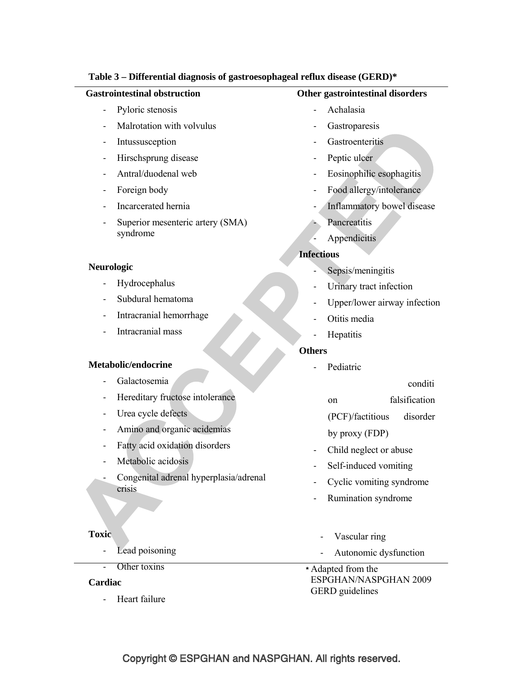### **Table 3 – Differential diagnosis of gastroesophageal reflux disease (GERD)\***

#### **Gastrointestinal obstruction**

- Pyloric stenosis
- Malrotation with volvulus
- **Intussusception**
- Hirschsprung disease
- Antral/duodenal web
- Foreign body
- Incarcerated hernia
- Superior mesenteric artery (SMA) syndrome

### **Neurologic**

- **Hydrocephalus**
- Subdural hematoma
- Intracranial hemorrhage
- Intracranial mass

#### **Metabolic/endocrine**

- Galactosemia
- Hereditary fructose intolerance
- Urea cycle defects
- Amino and organic acidemias
- Fatty acid oxidation disorders
- Metabolic acidosis

- Congenital adrenal hyperplasia/adrenal crisis

#### **Toxic**

- Lead poisoning
- Other toxins

# **Cardiac**

Heart failure

### **Other gastrointestinal disorders**

- **Achalasia**
- **Gastroparesis**
- **Gastroenteritis**
- Peptic ulcer
- Eosinophilic esophagitis
- Food allergy/intolerance
- Inflammatory bowel disease
- **Pancreatitis**
- **Appendicitis**

### **Infectious**

- Sepsis/meningitis
- Urinary tract infection
- Upper/lower airway infection
- Otitis media
- **Hepatitis**

### **Others**

- Pediatric

conditi

on falsification

(PCF)/factitious disorder

by proxy (FDP)

- Child neglect or abuse
- Self-induced vomiting
- Cyclic vomiting syndrome
- Rumination syndrome
- Vascular ring
- Autonomic dysfunction
- **\*** Adapted from the ESPGHAN/NASPGHAN 2009 GERD guidelines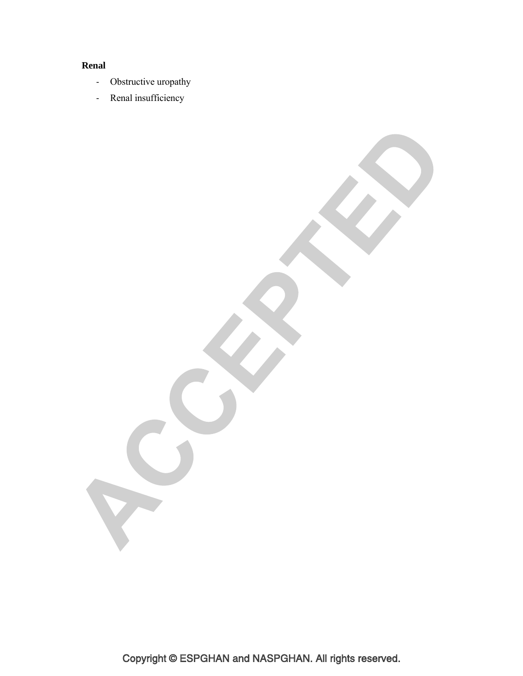# **Renal**

- Obstructive uropathy
- Renal insufficiency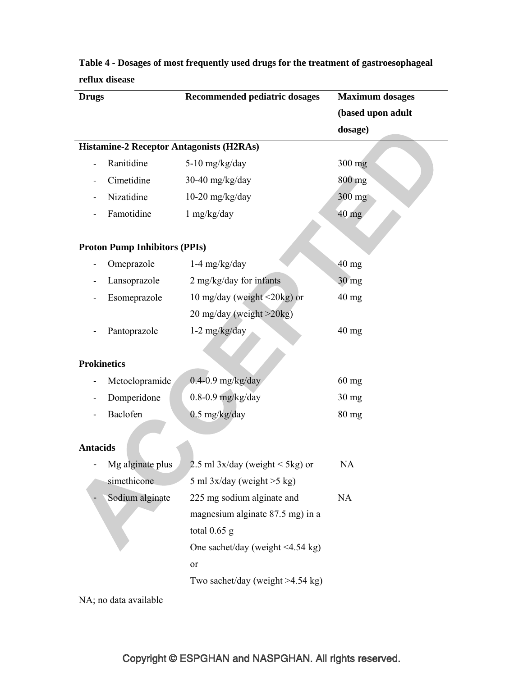| reflux disease           |                                                 |                                        |                        |  |  |  |
|--------------------------|-------------------------------------------------|----------------------------------------|------------------------|--|--|--|
| <b>Drugs</b>             |                                                 | Recommended pediatric dosages          | <b>Maximum</b> dosages |  |  |  |
|                          |                                                 |                                        | (based upon adult      |  |  |  |
|                          |                                                 |                                        | dosage)                |  |  |  |
|                          | <b>Histamine-2 Receptor Antagonists (H2RAs)</b> |                                        |                        |  |  |  |
| $\overline{\phantom{a}}$ | Ranitidine                                      | $5-10$ mg/kg/day                       | 300 mg                 |  |  |  |
|                          | Cimetidine                                      | 30-40 mg/kg/day                        | 800 mg                 |  |  |  |
|                          | Nizatidine                                      | $10-20$ mg/kg/day                      | 300 mg                 |  |  |  |
|                          | Famotidine                                      | $1$ mg/kg/day                          | 40 mg                  |  |  |  |
|                          |                                                 |                                        |                        |  |  |  |
|                          | <b>Proton Pump Inhibitors (PPIs)</b>            |                                        |                        |  |  |  |
|                          | Omeprazole                                      | $1-4$ mg/kg/day                        | $40$ mg                |  |  |  |
|                          | Lansoprazole                                    | 2 mg/kg/day for infants                | $30 \text{ mg}$        |  |  |  |
|                          | Esomeprazole                                    | 10 mg/day (weight $\leq$ 20kg) or      | $40 \text{ mg}$        |  |  |  |
|                          |                                                 | 20 mg/day (weight >20kg)               |                        |  |  |  |
|                          | Pantoprazole                                    | $1-2$ mg/kg/day                        | $40$ mg                |  |  |  |
|                          |                                                 |                                        |                        |  |  |  |
| <b>Prokinetics</b>       |                                                 |                                        |                        |  |  |  |
|                          | Metoclopramide                                  | $0.4 - 0.9$ mg/kg/day                  | $60$ mg                |  |  |  |
|                          | Domperidone                                     | $0.8-0.9$ mg/kg/day                    | $30 \text{ mg}$        |  |  |  |
|                          | Baclofen                                        | $0.5$ mg/kg/day                        | 80 mg                  |  |  |  |
|                          |                                                 |                                        |                        |  |  |  |
| <b>Antacids</b>          |                                                 |                                        |                        |  |  |  |
|                          | Mg alginate plus                                | 2.5 ml $3x/day$ (weight < 5kg) or      | NA                     |  |  |  |
|                          | simethicone                                     | 5 ml $3x/day$ (weight $>5$ kg)         |                        |  |  |  |
|                          | Sodium alginate                                 | 225 mg sodium alginate and             | NA                     |  |  |  |
|                          |                                                 | magnesium alginate 87.5 mg) in a       |                        |  |  |  |
|                          |                                                 | total $0.65$ g                         |                        |  |  |  |
|                          |                                                 | One sachet/day (weight $\leq$ 4.54 kg) |                        |  |  |  |
|                          |                                                 | or                                     |                        |  |  |  |
|                          |                                                 | Two sachet/day (weight $>4.54$ kg)     |                        |  |  |  |
|                          |                                                 |                                        |                        |  |  |  |

**Table 4 - Dosages of most frequently used drugs for the treatment of gastroesophageal** 

NA; no data available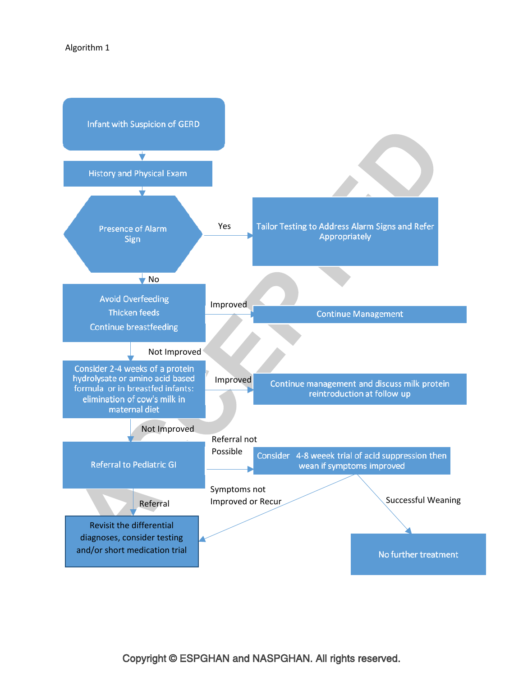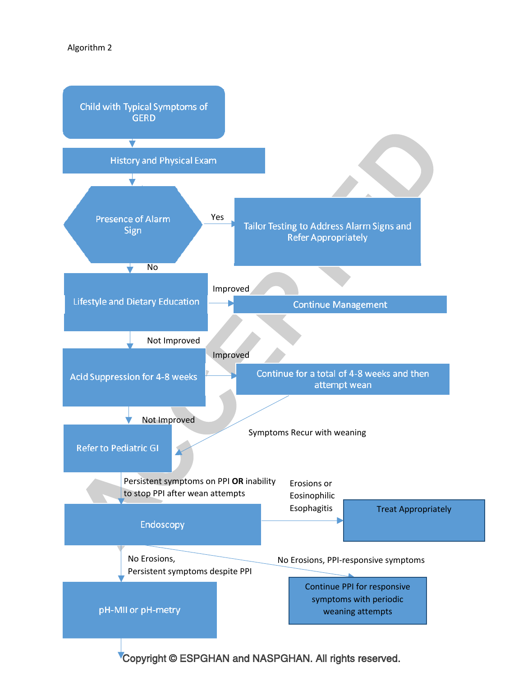